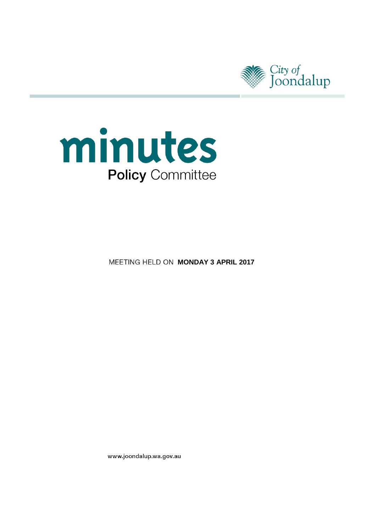



**MEETING HELD ON MONDAY 3 APRIL 2017** 

www.joondalup.wa.gov.au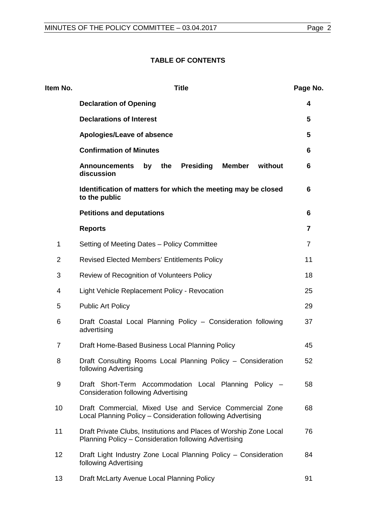# **TABLE OF CONTENTS**

| Item No.       | <b>Title</b>                                                                                                                | Page No. |
|----------------|-----------------------------------------------------------------------------------------------------------------------------|----------|
|                | <b>Declaration of Opening</b>                                                                                               | 4        |
|                | <b>Declarations of Interest</b>                                                                                             | 5        |
|                | Apologies/Leave of absence                                                                                                  | 5        |
|                | <b>Confirmation of Minutes</b>                                                                                              | 6        |
|                | <b>Presiding</b><br><b>Member</b><br>the<br>without<br><b>Announcements</b><br>by<br>discussion                             | 6        |
|                | Identification of matters for which the meeting may be closed<br>to the public                                              | 6        |
|                | <b>Petitions and deputations</b>                                                                                            | 6        |
|                | <b>Reports</b>                                                                                                              | 7        |
| 1              | Setting of Meeting Dates - Policy Committee                                                                                 | 7        |
| $\overline{2}$ | <b>Revised Elected Members' Entitlements Policy</b>                                                                         | 11       |
| 3              | Review of Recognition of Volunteers Policy                                                                                  | 18       |
| 4              | Light Vehicle Replacement Policy - Revocation                                                                               | 25       |
| 5              | <b>Public Art Policy</b>                                                                                                    | 29       |
| 6              | Draft Coastal Local Planning Policy - Consideration following<br>advertising                                                | 37       |
| $\overline{7}$ | Draft Home-Based Business Local Planning Policy                                                                             | 45       |
| 8              | Draft Consulting Rooms Local Planning Policy - Consideration<br>following Advertising                                       | 52       |
| 9              | Draft Short-Term Accommodation Local Planning Policy -<br><b>Consideration following Advertising</b>                        | 58       |
| 10             | Draft Commercial, Mixed Use and Service Commercial Zone<br>Local Planning Policy – Consideration following Advertising      | 68       |
| 11             | Draft Private Clubs, Institutions and Places of Worship Zone Local<br>Planning Policy - Consideration following Advertising | 76       |
| 12             | Draft Light Industry Zone Local Planning Policy - Consideration<br>following Advertising                                    | 84       |
| 13             | Draft McLarty Avenue Local Planning Policy                                                                                  | 91       |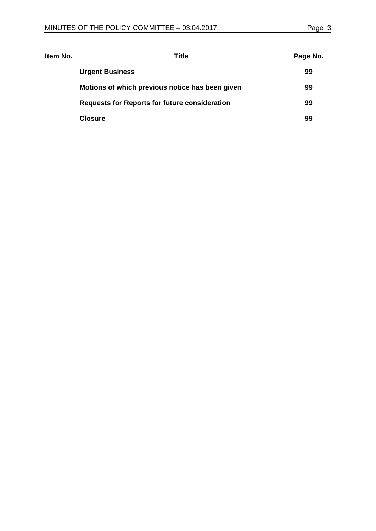| ltem No. | Title                                                | Page No. |
|----------|------------------------------------------------------|----------|
|          | <b>Urgent Business</b>                               | 99       |
|          | Motions of which previous notice has been given      | 99       |
|          | <b>Requests for Reports for future consideration</b> | 99       |
|          | <b>Closure</b>                                       | 99       |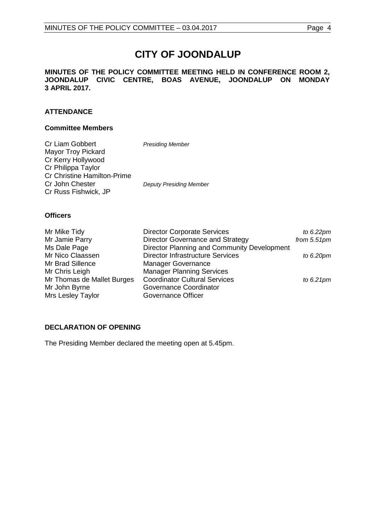# **CITY OF JOONDALUP**

#### **MINUTES OF THE POLICY COMMITTEE MEETING HELD IN CONFERENCE ROOM 2, JOONDALUP CIVIC CENTRE, BOAS AVENUE, JOONDALUP ON MONDAY 3 APRIL 2017.**

# **ATTENDANCE**

### **Committee Members**

| Cr Liam Gobbert                    | <b>Presiding Member</b>        |
|------------------------------------|--------------------------------|
| <b>Mayor Troy Pickard</b>          |                                |
| Cr Kerry Hollywood                 |                                |
| Cr Philippa Taylor                 |                                |
| <b>Cr Christine Hamilton-Prime</b> |                                |
| Cr John Chester                    | <b>Deputy Presiding Member</b> |
| Cr Russ Fishwick, JP               |                                |

#### **Officers**

| Mr Mike Tidy               | <b>Director Corporate Services</b>          | to $6.22$ pm   |
|----------------------------|---------------------------------------------|----------------|
| Mr Jamie Parry             | <b>Director Governance and Strategy</b>     | from $5.51$ pm |
| Ms Dale Page               | Director Planning and Community Development |                |
| Mr Nico Claassen           | <b>Director Infrastructure Services</b>     | to $6.20$ pm   |
| Mr Brad Sillence           | <b>Manager Governance</b>                   |                |
| Mr Chris Leigh             | <b>Manager Planning Services</b>            |                |
| Mr Thomas de Mallet Burges | <b>Coordinator Cultural Services</b>        | to $6.21$ pm   |
| Mr John Byrne              | Governance Coordinator                      |                |
| Mrs Lesley Taylor          | Governance Officer                          |                |

# <span id="page-3-0"></span>**DECLARATION OF OPENING**

The Presiding Member declared the meeting open at 5.45pm.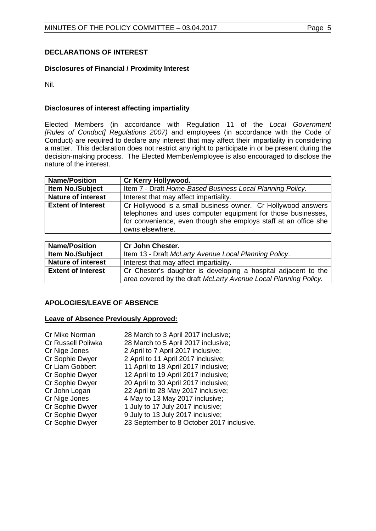# <span id="page-4-0"></span>**DECLARATIONS OF INTEREST**

# **Disclosures of Financial / Proximity Interest**

Nil.

# **Disclosures of interest affecting impartiality**

Elected Members (in accordance with Regulation 11 of the *Local Government [Rules of Conduct] Regulations 2007)* and employees (in accordance with the Code of Conduct) are required to declare any interest that may affect their impartiality in considering a matter. This declaration does not restrict any right to participate in or be present during the decision-making process. The Elected Member/employee is also encouraged to disclose the nature of the interest.

| <b>Name/Position</b>      | Cr Kerry Hollywood.                                                                                                                                                                                                |
|---------------------------|--------------------------------------------------------------------------------------------------------------------------------------------------------------------------------------------------------------------|
| <b>Item No./Subject</b>   | Item 7 - Draft Home-Based Business Local Planning Policy.                                                                                                                                                          |
| <b>Nature of interest</b> | Interest that may affect impartiality.                                                                                                                                                                             |
| <b>Extent of Interest</b> | Cr Hollywood is a small business owner. Cr Hollywood answers<br>telephones and uses computer equipment for those businesses,<br>for convenience, even though she employs staff at an office she<br>owns elsewhere. |

| <b>Name/Position</b>      | <b>Cr John Chester.</b>                                         |
|---------------------------|-----------------------------------------------------------------|
| <b>Item No./Subject</b>   | Item 13 - Draft McLarty Avenue Local Planning Policy.           |
| <b>Nature of interest</b> | Interest that may affect impartiality.                          |
| <b>Extent of Interest</b> | Cr Chester's daughter is developing a hospital adjacent to the  |
|                           | area covered by the draft McLarty Avenue Local Planning Policy. |

# <span id="page-4-1"></span>**APOLOGIES/LEAVE OF ABSENCE**

# **Leave of Absence Previously Approved:**

| Cr Mike Norman         | 28 March to 3 April 2017 inclusive;       |
|------------------------|-------------------------------------------|
| Cr Russell Poliwka     | 28 March to 5 April 2017 inclusive;       |
| Cr Nige Jones          | 2 April to 7 April 2017 inclusive;        |
| Cr Sophie Dwyer        | 2 April to 11 April 2017 inclusive;       |
| <b>Cr Liam Gobbert</b> | 11 April to 18 April 2017 inclusive;      |
| Cr Sophie Dwyer        | 12 April to 19 April 2017 inclusive;      |
| Cr Sophie Dwyer        | 20 April to 30 April 2017 inclusive;      |
| Cr John Logan          | 22 April to 28 May 2017 inclusive;        |
| Cr Nige Jones          | 4 May to 13 May 2017 inclusive;           |
| Cr Sophie Dwyer        | 1 July to 17 July 2017 inclusive;         |
| Cr Sophie Dwyer        | 9 July to 13 July 2017 inclusive;         |
| Cr Sophie Dwyer        | 23 September to 8 October 2017 inclusive. |
|                        |                                           |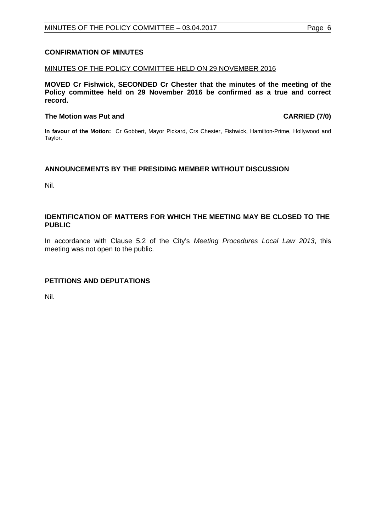# <span id="page-5-0"></span>**CONFIRMATION OF MINUTES**

#### MINUTES OF THE POLICY COMMITTEE HELD ON 29 NOVEMBER 2016

**MOVED Cr Fishwick, SECONDED Cr Chester that the minutes of the meeting of the Policy committee held on 29 November 2016 be confirmed as a true and correct record.**

#### **The Motion was Put and CARRIED (7/0)**

**In favour of the Motion:** Cr Gobbert, Mayor Pickard, Crs Chester, Fishwick, Hamilton-Prime, Hollywood and Taylor.

#### <span id="page-5-1"></span>**ANNOUNCEMENTS BY THE PRESIDING MEMBER WITHOUT DISCUSSION**

Nil.

### <span id="page-5-2"></span>**IDENTIFICATION OF MATTERS FOR WHICH THE MEETING MAY BE CLOSED TO THE PUBLIC**

In accordance with Clause 5.2 of the City's *Meeting Procedures Local Law 2013*, this meeting was not open to the public.

# <span id="page-5-3"></span>**PETITIONS AND DEPUTATIONS**

Nil.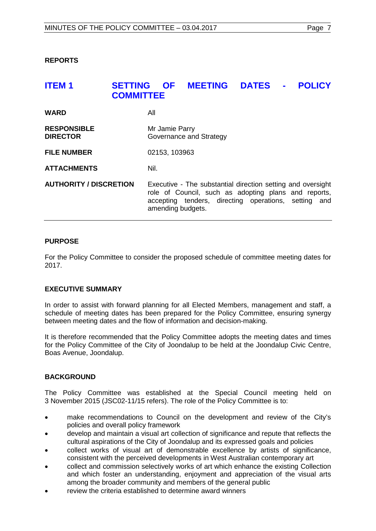<span id="page-6-0"></span>**REPORTS**

# <span id="page-6-1"></span>**ITEM 1 SETTING OF MEETING DATES - POLICY COMMITTEE**

| <b>WARD</b>                           | All                                                                                                                                                                                              |
|---------------------------------------|--------------------------------------------------------------------------------------------------------------------------------------------------------------------------------------------------|
| <b>RESPONSIBLE</b><br><b>DIRECTOR</b> | Mr Jamie Parry<br>Governance and Strategy                                                                                                                                                        |
| <b>FILE NUMBER</b>                    | 02153, 103963                                                                                                                                                                                    |
| <b>ATTACHMENTS</b>                    | Nil.                                                                                                                                                                                             |
| <b>AUTHORITY / DISCRETION</b>         | Executive - The substantial direction setting and oversight<br>role of Council, such as adopting plans and reports,<br>accepting tenders, directing operations, setting and<br>amending budgets. |

# **PURPOSE**

For the Policy Committee to consider the proposed schedule of committee meeting dates for 2017.

# **EXECUTIVE SUMMARY**

In order to assist with forward planning for all Elected Members, management and staff, a schedule of meeting dates has been prepared for the Policy Committee, ensuring synergy between meeting dates and the flow of information and decision-making.

It is therefore recommended that the Policy Committee adopts the meeting dates and times for the Policy Committee of the City of Joondalup to be held at the Joondalup Civic Centre, Boas Avenue, Joondalup.

# **BACKGROUND**

The Policy Committee was established at the Special Council meeting held on 3 November 2015 (JSC02-11/15 refers). The role of the Policy Committee is to:

- make recommendations to Council on the development and review of the City's policies and overall policy framework
- develop and maintain a visual art collection of significance and repute that reflects the cultural aspirations of the City of Joondalup and its expressed goals and policies
- collect works of visual art of demonstrable excellence by artists of significance, consistent with the perceived developments in West Australian contemporary art
- collect and commission selectively works of art which enhance the existing Collection and which foster an understanding, enjoyment and appreciation of the visual arts among the broader community and members of the general public
- review the criteria established to determine award winners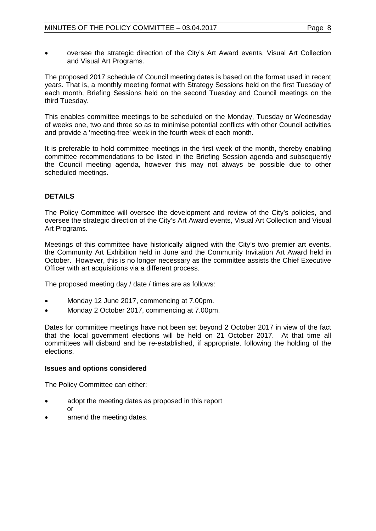• oversee the strategic direction of the City's Art Award events, Visual Art Collection and Visual Art Programs.

The proposed 2017 schedule of Council meeting dates is based on the format used in recent years. That is, a monthly meeting format with Strategy Sessions held on the first Tuesday of each month, Briefing Sessions held on the second Tuesday and Council meetings on the third Tuesday.

This enables committee meetings to be scheduled on the Monday, Tuesday or Wednesday of weeks one, two and three so as to minimise potential conflicts with other Council activities and provide a 'meeting-free' week in the fourth week of each month.

It is preferable to hold committee meetings in the first week of the month, thereby enabling committee recommendations to be listed in the Briefing Session agenda and subsequently the Council meeting agenda, however this may not always be possible due to other scheduled meetings.

# **DETAILS**

The Policy Committee will oversee the development and review of the City's policies, and oversee the strategic direction of the City's Art Award events, Visual Art Collection and Visual Art Programs.

Meetings of this committee have historically aligned with the City's two premier art events, the Community Art Exhibition held in June and the Community Invitation Art Award held in October. However, this is no longer necessary as the committee assists the Chief Executive Officer with art acquisitions via a different process.

The proposed meeting day / date / times are as follows:

- Monday 12 June 2017, commencing at 7.00pm.
- Monday 2 October 2017, commencing at 7.00pm.

Dates for committee meetings have not been set beyond 2 October 2017 in view of the fact that the local government elections will be held on 21 October 2017. At that time all committees will disband and be re-established, if appropriate, following the holding of the elections.

# **Issues and options considered**

The Policy Committee can either:

- adopt the meeting dates as proposed in this report or
- amend the meeting dates.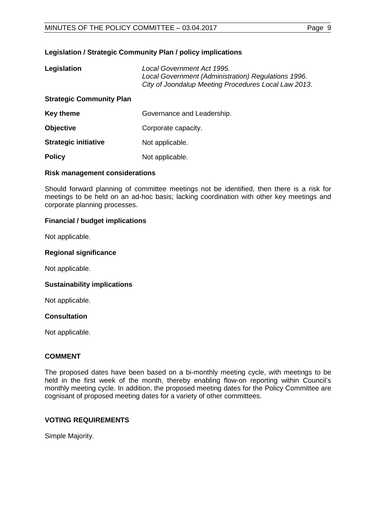# **Legislation / Strategic Community Plan / policy implications**

| Legislation                     | Local Government Act 1995.<br>Local Government (Administration) Regulations 1996.<br>City of Joondalup Meeting Procedures Local Law 2013. |
|---------------------------------|-------------------------------------------------------------------------------------------------------------------------------------------|
| <b>Strategic Community Plan</b> |                                                                                                                                           |
| <b>Key theme</b>                | Governance and Leadership.                                                                                                                |
| <b>Objective</b>                | Corporate capacity.                                                                                                                       |
| <b>Strategic initiative</b>     | Not applicable.                                                                                                                           |
| <b>Policy</b>                   | Not applicable.                                                                                                                           |

# **Risk management considerations**

Should forward planning of committee meetings not be identified, then there is a risk for meetings to be held on an ad-hoc basis; lacking coordination with other key meetings and corporate planning processes.

# **Financial / budget implications**

Not applicable.

# **Regional significance**

Not applicable.

# **Sustainability implications**

Not applicable.

# **Consultation**

Not applicable.

# **COMMENT**

The proposed dates have been based on a bi-monthly meeting cycle, with meetings to be held in the first week of the month, thereby enabling flow-on reporting within Council's monthly meeting cycle. In addition, the proposed meeting dates for the Policy Committee are cognisant of proposed meeting dates for a variety of other committees.

# **VOTING REQUIREMENTS**

Simple Majority.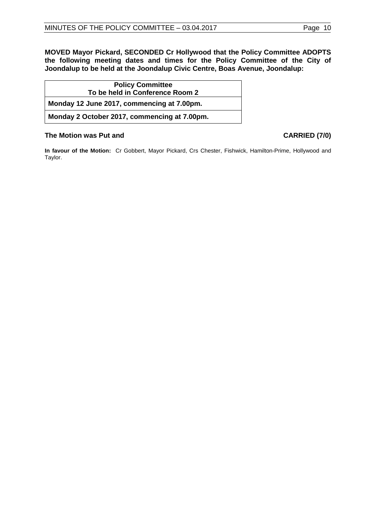**MOVED Mayor Pickard, SECONDED Cr Hollywood that the Policy Committee ADOPTS the following meeting dates and times for the Policy Committee of the City of Joondalup to be held at the Joondalup Civic Centre, Boas Avenue, Joondalup:**

| <b>Policy Committee</b>                      |
|----------------------------------------------|
| To be held in Conference Room 2              |
| Monday 12 June 2017, commencing at 7.00pm.   |
| Monday 2 October 2017, commencing at 7.00pm. |

# **The Motion was Put and CARRIED (7/0)**

**In favour of the Motion:** Cr Gobbert, Mayor Pickard, Crs Chester, Fishwick, Hamilton-Prime, Hollywood and Taylor.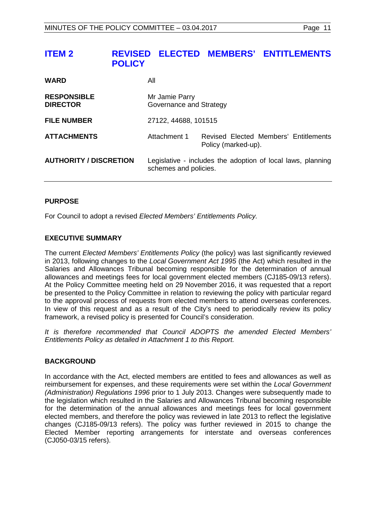# <span id="page-10-0"></span>**ITEM 2 REVISED ELECTED MEMBERS' ENTITLEMENTS POLICY**

| <b>WARD</b>                           | All                                                                                  |                                                              |
|---------------------------------------|--------------------------------------------------------------------------------------|--------------------------------------------------------------|
| <b>RESPONSIBLE</b><br><b>DIRECTOR</b> | Mr Jamie Parry<br>Governance and Strategy                                            |                                                              |
| <b>FILE NUMBER</b>                    | 27122, 44688, 101515                                                                 |                                                              |
| <b>ATTACHMENTS</b>                    | Attachment 1                                                                         | Revised Elected Members' Entitlements<br>Policy (marked-up). |
| <b>AUTHORITY / DISCRETION</b>         | Legislative - includes the adoption of local laws, planning<br>schemes and policies. |                                                              |

# **PURPOSE**

For Council to adopt a revised *Elected Members' Entitlements Policy.*

# **EXECUTIVE SUMMARY**

The current *Elected Members' Entitlements Policy* (the policy) was last significantly reviewed in 2013, following changes to the *Local Government Act 1995* (the Act) which resulted in the Salaries and Allowances Tribunal becoming responsible for the determination of annual allowances and meetings fees for local government elected members (CJ185-09/13 refers). At the Policy Committee meeting held on 29 November 2016, it was requested that a report be presented to the Policy Committee in relation to reviewing the policy with particular regard to the approval process of requests from elected members to attend overseas conferences. In view of this request and as a result of the City's need to periodically review its policy framework, a revised policy is presented for Council's consideration.

*It is therefore recommended that Council ADOPTS the amended Elected Members' Entitlements Policy as detailed in Attachment 1 to this Report.*

# **BACKGROUND**

In accordance with the Act, elected members are entitled to fees and allowances as well as reimbursement for expenses, and these requirements were set within the *Local Government (Administration) Regulations 1996* prior to 1 July 2013. Changes were subsequently made to the legislation which resulted in the Salaries and Allowances Tribunal becoming responsible for the determination of the annual allowances and meetings fees for local government elected members, and therefore the policy was reviewed in late 2013 to reflect the legislative changes (CJ185-09/13 refers). The policy was further reviewed in 2015 to change the Elected Member reporting arrangements for interstate and overseas conferences (CJ050-03/15 refers).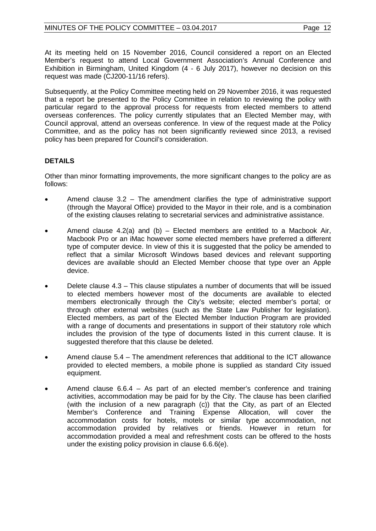At its meeting held on 15 November 2016, Council considered a report on an Elected Member's request to attend Local Government Association's Annual Conference and Exhibition in Birmingham, United Kingdom (4 - 6 July 2017), however no decision on this request was made (CJ200-11/16 refers).

Subsequently, at the Policy Committee meeting held on 29 November 2016, it was requested that a report be presented to the Policy Committee in relation to reviewing the policy with particular regard to the approval process for requests from elected members to attend overseas conferences. The policy currently stipulates that an Elected Member may, with Council approval, attend an overseas conference. In view of the request made at the Policy Committee, and as the policy has not been significantly reviewed since 2013, a revised policy has been prepared for Council's consideration.

# **DETAILS**

Other than minor formatting improvements, the more significant changes to the policy are as follows:

- Amend clause  $3.2$  The amendment clarifies the type of administrative support (through the Mayoral Office) provided to the Mayor in their role, and is a combination of the existing clauses relating to secretarial services and administrative assistance.
- Amend clause 4.2(a) and (b) Elected members are entitled to a Macbook Air, Macbook Pro or an iMac however some elected members have preferred a different type of computer device. In view of this it is suggested that the policy be amended to reflect that a similar Microsoft Windows based devices and relevant supporting devices are available should an Elected Member choose that type over an Apple device.
- Delete clause 4.3 This clause stipulates a number of documents that will be issued to elected members however most of the documents are available to elected members electronically through the City's website; elected member's portal; or through other external websites (such as the State Law Publisher for legislation). Elected members, as part of the Elected Member Induction Program are provided with a range of documents and presentations in support of their statutory role which includes the provision of the type of documents listed in this current clause. It is suggested therefore that this clause be deleted.
- Amend clause 5.4 The amendment references that additional to the ICT allowance provided to elected members, a mobile phone is supplied as standard City issued equipment.
- Amend clause  $6.6.4 As$  part of an elected member's conference and training activities, accommodation may be paid for by the City. The clause has been clarified (with the inclusion of a new paragraph (c)) that the City, as part of an Elected Member's Conference and Training Expense Allocation, will cover the accommodation costs for hotels, motels or similar type accommodation, not accommodation provided by relatives or friends. However in return for accommodation provided a meal and refreshment costs can be offered to the hosts under the existing policy provision in clause 6.6.6(e).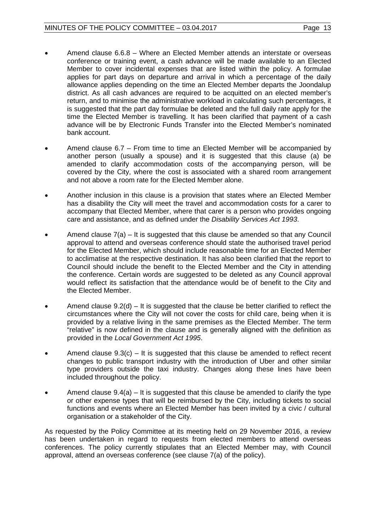- Amend clause 6.6.8 Where an Elected Member attends an interstate or overseas conference or training event, a cash advance will be made available to an Elected Member to cover incidental expenses that are listed within the policy. A formulae applies for part days on departure and arrival in which a percentage of the daily allowance applies depending on the time an Elected Member departs the Joondalup district. As all cash advances are required to be acquitted on an elected member's return, and to minimise the administrative workload in calculating such percentages, it is suggested that the part day formulae be deleted and the full daily rate apply for the time the Elected Member is travelling. It has been clarified that payment of a cash advance will be by Electronic Funds Transfer into the Elected Member's nominated bank account.
- Amend clause 6.7 From time to time an Elected Member will be accompanied by another person (usually a spouse) and it is suggested that this clause (a) be amended to clarify accommodation costs of the accompanying person, will be covered by the City, where the cost is associated with a shared room arrangement and not above a room rate for the Elected Member alone.
- Another inclusion in this clause is a provision that states where an Elected Member has a disability the City will meet the travel and accommodation costs for a carer to accompany that Elected Member, where that carer is a person who provides ongoing care and assistance, and as defined under the *Disability Services Act 1993*.
- Amend clause  $7(a) It$  is suggested that this clause be amended so that any Council approval to attend and overseas conference should state the authorised travel period for the Elected Member, which should include reasonable time for an Elected Member to acclimatise at the respective destination. It has also been clarified that the report to Council should include the benefit to the Elected Member and the City in attending the conference. Certain words are suggested to be deleted as any Council approval would reflect its satisfaction that the attendance would be of benefit to the City and the Elected Member.
- Amend clause  $9.2(d) It$  is suggested that the clause be better clarified to reflect the circumstances where the City will not cover the costs for child care, being when it is provided by a relative living in the same premises as the Elected Member. The term "relative" is now defined in the clause and is generally aligned with the definition as provided in the *Local Government Act 1995*.
- Amend clause  $9.3(c) It$  is suggested that this clause be amended to reflect recent changes to public transport industry with the introduction of Uber and other similar type providers outside the taxi industry. Changes along these lines have been included throughout the policy.
- Amend clause  $9.4(a) It$  is suggested that this clause be amended to clarify the type or other expense types that will be reimbursed by the City, including tickets to social functions and events where an Elected Member has been invited by a civic / cultural organisation or a stakeholder of the City.

As requested by the Policy Committee at its meeting held on 29 November 2016, a review has been undertaken in regard to requests from elected members to attend overseas conferences. The policy currently stipulates that an Elected Member may, with Council approval, attend an overseas conference (see clause 7(a) of the policy).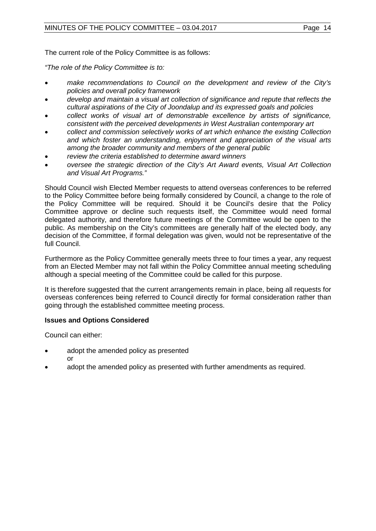The current role of the Policy Committee is as follows:

*"The role of the Policy Committee is to:*

- *make recommendations to Council on the development and review of the City's policies and overall policy framework*
- *develop and maintain a visual art collection of significance and repute that reflects the cultural aspirations of the City of Joondalup and its expressed goals and policies*
- *collect works of visual art of demonstrable excellence by artists of significance, consistent with the perceived developments in West Australian contemporary art*
- *collect and commission selectively works of art which enhance the existing Collection and which foster an understanding, enjoyment and appreciation of the visual arts among the broader community and members of the general public*
- *review the criteria established to determine award winners*
- *oversee the strategic direction of the City's Art Award events, Visual Art Collection and Visual Art Programs."*

Should Council wish Elected Member requests to attend overseas conferences to be referred to the Policy Committee before being formally considered by Council, a change to the role of the Policy Committee will be required. Should it be Council's desire that the Policy Committee approve or decline such requests itself, the Committee would need formal delegated authority, and therefore future meetings of the Committee would be open to the public. As membership on the City's committees are generally half of the elected body, any decision of the Committee, if formal delegation was given, would not be representative of the full Council.

Furthermore as the Policy Committee generally meets three to four times a year, any request from an Elected Member may not fall within the Policy Committee annual meeting scheduling although a special meeting of the Committee could be called for this purpose.

It is therefore suggested that the current arrangements remain in place, being all requests for overseas conferences being referred to Council directly for formal consideration rather than going through the established committee meeting process.

# **Issues and Options Considered**

Council can either:

- adopt the amended policy as presented
	- or
- adopt the amended policy as presented with further amendments as required.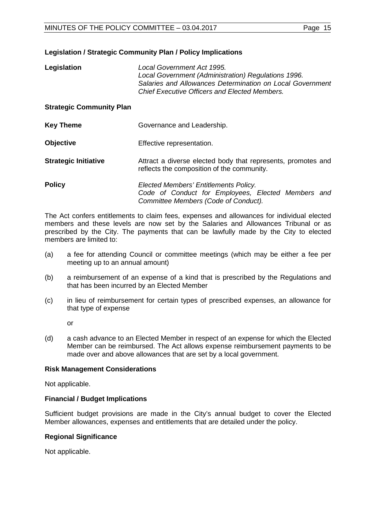### **Legislation / Strategic Community Plan / Policy Implications**

| Legislation | Local Government Act 1995.                                |
|-------------|-----------------------------------------------------------|
|             | Local Government (Administration) Regulations 1996.       |
|             | Salaries and Allowances Determination on Local Government |
|             | Chief Executive Officers and Elected Members.             |

#### **Strategic Community Plan**

| <b>Key Theme</b>            | Governance and Leadership.                                                                                                          |
|-----------------------------|-------------------------------------------------------------------------------------------------------------------------------------|
| Objective                   | Effective representation.                                                                                                           |
| <b>Strategic Initiative</b> | Attract a diverse elected body that represents, promotes and<br>reflects the composition of the community.                          |
| <b>Policy</b>               | Elected Members' Entitlements Policy.<br>Code of Conduct for Employees, Elected Members and<br>Committee Members (Code of Conduct). |

The Act confers entitlements to claim fees, expenses and allowances for individual elected members and these levels are now set by the Salaries and Allowances Tribunal or as prescribed by the City. The payments that can be lawfully made by the City to elected members are limited to:

- (a) a fee for attending Council or committee meetings (which may be either a fee per meeting up to an annual amount)
- (b) a reimbursement of an expense of a kind that is prescribed by the Regulations and that has been incurred by an Elected Member
- (c) in lieu of reimbursement for certain types of prescribed expenses, an allowance for that type of expense

or

(d) a cash advance to an Elected Member in respect of an expense for which the Elected Member can be reimbursed. The Act allows expense reimbursement payments to be made over and above allowances that are set by a local government.

#### **Risk Management Considerations**

Not applicable.

#### **Financial / Budget Implications**

Sufficient budget provisions are made in the City's annual budget to cover the Elected Member allowances, expenses and entitlements that are detailed under the policy.

#### **Regional Significance**

Not applicable.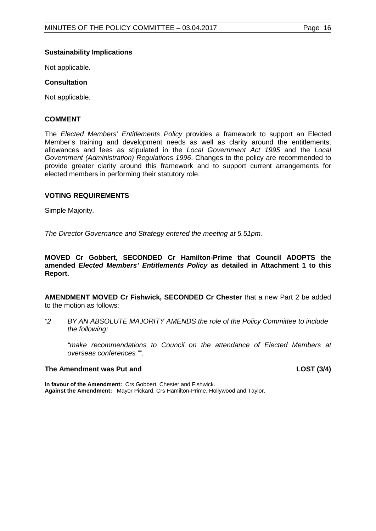# **Sustainability Implications**

Not applicable.

# **Consultation**

Not applicable.

# **COMMENT**

The *Elected Members' Entitlements Policy* provides a framework to support an Elected Member's training and development needs as well as clarity around the entitlements, allowances and fees as stipulated in the *Local Government Act 1995* and the *Local Government (Administration) Regulations 1996*. Changes to the policy are recommended to provide greater clarity around this framework and to support current arrangements for elected members in performing their statutory role.

# **VOTING REQUIREMENTS**

Simple Majority.

*The Director Governance and Strategy entered the meeting at 5.51pm.*

#### **MOVED Cr Gobbert, SECONDED Cr Hamilton-Prime that Council ADOPTS the amended** *Elected Members' Entitlements Policy* **as detailed in Attachment 1 to this Report.**

**AMENDMENT MOVED Cr Fishwick, SECONDED Cr Chester** that a new Part 2 be added to the motion as follows:

*"2 BY AN ABSOLUTE MAJORITY AMENDS the role of the Policy Committee to include the following:*

*"make recommendations to Council on the attendance of Elected Members at overseas conferences."".*

# **The Amendment was Put and LOST (3/4)**

**In favour of the Amendment:** Crs Gobbert, Chester and Fishwick. **Against the Amendment:** Mayor Pickard, Crs Hamilton-Prime, Hollywood and Taylor.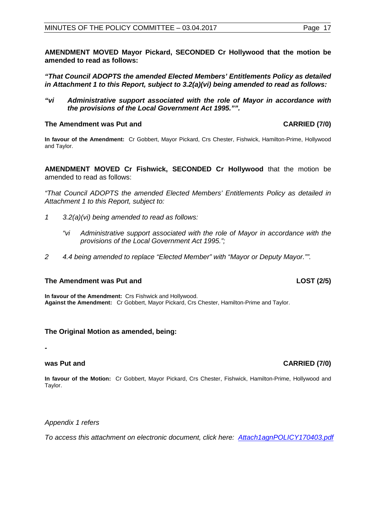**AMENDMENT MOVED Mayor Pickard, SECONDED Cr Hollywood that the motion be amended to read as follows:**

*"That Council ADOPTS the amended Elected Members' Entitlements Policy as detailed in Attachment 1 to this Report, subject to 3.2(a)(vi) being amended to read as follows:*

*"vi Administrative support associated with the role of Mayor in accordance with the provisions of the Local Government Act 1995."".*

#### **The Amendment was Put and CARRIED (7/0)**

**In favour of the Amendment:** Cr Gobbert, Mayor Pickard, Crs Chester, Fishwick, Hamilton-Prime, Hollywood and Taylor.

**AMENDMENT MOVED Cr Fishwick, SECONDED Cr Hollywood** that the motion be amended to read as follows:

*"That Council ADOPTS the amended Elected Members' Entitlements Policy as detailed in Attachment 1 to this Report, subject to:*

- *1 3.2(a)(vi) being amended to read as follows:*
	- *"vi Administrative support associated with the role of Mayor in accordance with the provisions of the Local Government Act 1995.";*
- *2 4.4 being amended to replace "Elected Member" with "Mayor or Deputy Mayor."".*

# **The Amendment was Put and LOST (2/5)**

**In favour of the Amendment:** Crs Fishwick and Hollywood. **Against the Amendment:** Cr Gobbert, Mayor Pickard, Crs Chester, Hamilton-Prime and Taylor.

# **The Original Motion as amended, being:**

*-*

**In favour of the Motion:** Cr Gobbert, Mayor Pickard, Crs Chester, Fishwick, Hamilton-Prime, Hollywood and Taylor.

*Appendix 1 refers*

*[To access this attachment on electronic document, click here: Attach1agnPOLICY170403.pdf](http://www.joondalup.wa.gov.au/files/committees/POLI/2017/Attach1agnPOLICY170403.pdf)*

# **was Put and CARRIED (7/0)**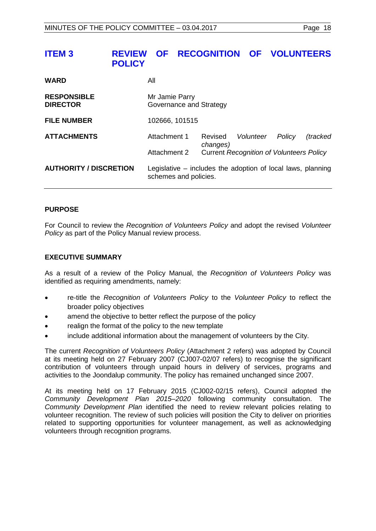# <span id="page-17-0"></span>**ITEM 3 REVIEW OF RECOGNITION OF VOLUNTEERS POLICY**

| <b>WARD</b>                           | All                                       |                                                             |                                                 |        |          |
|---------------------------------------|-------------------------------------------|-------------------------------------------------------------|-------------------------------------------------|--------|----------|
| <b>RESPONSIBLE</b><br><b>DIRECTOR</b> | Mr Jamie Parry<br>Governance and Strategy |                                                             |                                                 |        |          |
| <b>FILE NUMBER</b>                    | 102666, 101515                            |                                                             |                                                 |        |          |
| <b>ATTACHMENTS</b>                    | Attachment 1                              | Revised<br>changes)                                         | Volunteer                                       | Policy | (tracked |
|                                       | Attachment 2                              |                                                             | <b>Current Recognition of Volunteers Policy</b> |        |          |
| <b>AUTHORITY / DISCRETION</b>         | schemes and policies.                     | Legislative – includes the adoption of local laws, planning |                                                 |        |          |

# **PURPOSE**

For Council to review the *Recognition of Volunteers Policy* and adopt the revised *Volunteer Policy* as part of the Policy Manual review process.

# **EXECUTIVE SUMMARY**

As a result of a review of the Policy Manual, the *Recognition of Volunteers Policy* was identified as requiring amendments, namely:

- re-title the *Recognition of Volunteers Policy* to the *Volunteer Policy* to reflect the broader policy objectives
- amend the objective to better reflect the purpose of the policy
- realign the format of the policy to the new template
- include additional information about the management of volunteers by the City.

The current *Recognition of Volunteers Policy* (Attachment 2 refers) was adopted by Council at its meeting held on 27 February 2007 (CJ007-02/07 refers) to recognise the significant contribution of volunteers through unpaid hours in delivery of services, programs and activities to the Joondalup community. The policy has remained unchanged since 2007.

At its meeting held on 17 February 2015 (CJ002-02/15 refers), Council adopted the *Community Development Plan 2015–2020* following community consultation. The *Community Development Plan* identified the need to review relevant policies relating to volunteer recognition. The review of such policies will position the City to deliver on priorities related to supporting opportunities for volunteer management, as well as acknowledging volunteers through recognition programs.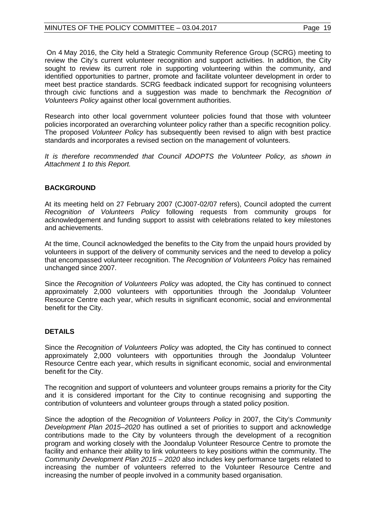# MINUTES OF THE POLICY COMMITTEE - 03.04.2017 Page 19

On 4 May 2016, the City held a Strategic Community Reference Group (SCRG) meeting to review the City's current volunteer recognition and support activities. In addition, the City sought to review its current role in supporting volunteering within the community, and identified opportunities to partner, promote and facilitate volunteer development in order to meet best practice standards. SCRG feedback indicated support for recognising volunteers through civic functions and a suggestion was made to benchmark the *Recognition of Volunteers Policy* against other local government authorities.

Research into other local government volunteer policies found that those with volunteer policies incorporated an overarching volunteer policy rather than a specific recognition policy. The proposed *Volunteer Policy* has subsequently been revised to align with best practice standards and incorporates a revised section on the management of volunteers.

*It is therefore recommended that Council ADOPTS the Volunteer Policy, as shown in Attachment 1 to this Report.*

# **BACKGROUND**

At its meeting held on 27 February 2007 (CJ007-02/07 refers), Council adopted the current *Recognition of Volunteers Policy* following requests from community groups for acknowledgement and funding support to assist with celebrations related to key milestones and achievements.

At the time, Council acknowledged the benefits to the City from the unpaid hours provided by volunteers in support of the delivery of community services and the need to develop a policy that encompassed volunteer recognition. The *Recognition of Volunteers Policy* has remained unchanged since 2007.

Since the *Recognition of Volunteers Policy* was adopted, the City has continued to connect approximately 2,000 volunteers with opportunities through the Joondalup Volunteer Resource Centre each year, which results in significant economic, social and environmental benefit for the City.

# **DETAILS**

Since the *Recognition of Volunteers Policy* was adopted, the City has continued to connect approximately 2,000 volunteers with opportunities through the Joondalup Volunteer Resource Centre each year, which results in significant economic, social and environmental benefit for the City.

The recognition and support of volunteers and volunteer groups remains a priority for the City and it is considered important for the City to continue recognising and supporting the contribution of volunteers and volunteer groups through a stated policy position.

Since the adoption of the *Recognition of Volunteers Policy* in 2007, the City's *Community Development Plan 2015–2020* has outlined a set of priorities to support and acknowledge contributions made to the City by volunteers through the development of a recognition program and working closely with the Joondalup Volunteer Resource Centre to promote the facility and enhance their ability to link volunteers to key positions within the community. The *Community Development Plan 2015 – 2020* also includes key performance targets related to increasing the number of volunteers referred to the Volunteer Resource Centre and increasing the number of people involved in a community based organisation.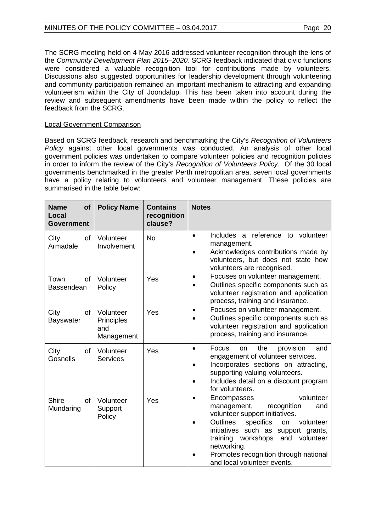The SCRG meeting held on 4 May 2016 addressed volunteer recognition through the lens of the *Community Development Plan 2015–2020.* SCRG feedback indicated that civic functions were considered a valuable recognition tool for contributions made by volunteers. Discussions also suggested opportunities for leadership development through volunteering and community participation remained an important mechanism to attracting and expanding volunteerism within the City of Joondalup. This has been taken into account during the review and subsequent amendments have been made within the policy to reflect the feedback from the SCRG.

# Local Government Comparison

Based on SCRG feedback, research and benchmarking the City's *Recognition of Volunteers Policy* against other local governments was conducted. An analysis of other local government policies was undertaken to compare volunteer policies and recognition policies in order to inform the review of the City's *Recognition of Volunteers Policy*. Of the 30 local governments benchmarked in the greater Perth metropolitan area, seven local governments have a policy relating to volunteers and volunteer management. These policies are summarised in the table below:

| <b>Name</b><br>of<br>Local<br><b>Government</b> | <b>Policy Name</b>                           | <b>Contains</b><br>recognition<br>clause? | <b>Notes</b>                                                                                                                                                                                                                                                                                                                                  |
|-------------------------------------------------|----------------------------------------------|-------------------------------------------|-----------------------------------------------------------------------------------------------------------------------------------------------------------------------------------------------------------------------------------------------------------------------------------------------------------------------------------------------|
| City<br>of<br>Armadale                          | Volunteer<br>Involvement                     | <b>No</b>                                 | Includes a reference to volunteer<br>$\bullet$<br>management.<br>Acknowledges contributions made by<br>volunteers, but does not state how<br>volunteers are recognised.                                                                                                                                                                       |
| Town<br>οf<br>Bassendean                        | Volunteer<br>Policy                          | Yes                                       | Focuses on volunteer management.<br>$\bullet$<br>Outlines specific components such as<br>volunteer registration and application<br>process, training and insurance.                                                                                                                                                                           |
| City<br>of<br><b>Bayswater</b>                  | Volunteer<br>Principles<br>and<br>Management | Yes                                       | Focuses on volunteer management.<br>$\bullet$<br>Outlines specific components such as<br>volunteer registration and application<br>process, training and insurance.                                                                                                                                                                           |
| City<br><b>of</b><br>Gosnells                   | Volunteer<br><b>Services</b>                 | Yes                                       | Focus<br>the<br>provision<br>and<br>on<br>$\bullet$<br>engagement of volunteer services.<br>Incorporates sections on attracting,<br>supporting valuing volunteers.<br>Includes detail on a discount program<br>for volunteers.                                                                                                                |
| <b>Shire</b><br>of<br>Mundaring                 | Volunteer<br>Support<br>Policy               | Yes                                       | volunteer<br>Encompasses<br>$\bullet$<br>management,<br>recognition<br>and<br>volunteer support initiatives.<br><b>Outlines</b><br>specifics<br>volunteer<br>on<br>initiatives such as<br>support grants,<br>workshops<br>training<br>and<br>volunteer<br>networking.<br>Promotes recognition through national<br>and local volunteer events. |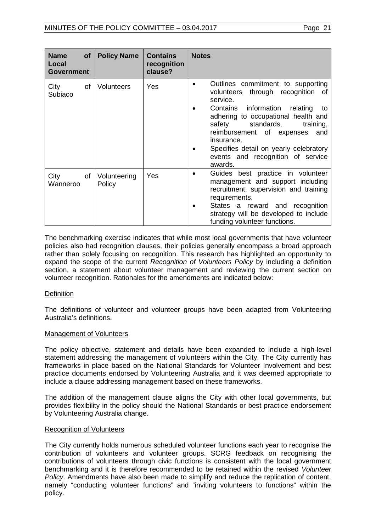| <b>Name</b><br>Local<br><b>Government</b> | of <sub>l</sub> | <b>Policy Name</b>     | <b>Contains</b><br>recognition<br>clause? | <b>Notes</b>                                                                                                                                                                                                                                                                                                                                            |
|-------------------------------------------|-----------------|------------------------|-------------------------------------------|---------------------------------------------------------------------------------------------------------------------------------------------------------------------------------------------------------------------------------------------------------------------------------------------------------------------------------------------------------|
| City<br>Subiaco                           | 0f              | <b>Volunteers</b>      | Yes                                       | Outlines commitment to supporting<br>volunteers through recognition<br>of<br>service.<br>information relating<br>Contains<br>to<br>adhering to occupational health and<br>safety<br>standards,<br>training,<br>reimbursement of expenses<br>and<br>insurance.<br>Specifies detail on yearly celebratory<br>events and recognition of service<br>awards. |
| City<br>Wanneroo                          | of              | Volunteering<br>Policy | Yes                                       | Guides best practice in volunteer<br>management and support including<br>recruitment, supervision and training<br>requirements.<br>States a reward and recognition<br>strategy will be developed to include<br>funding volunteer functions.                                                                                                             |

The benchmarking exercise indicates that while most local governments that have volunteer policies also had recognition clauses, their policies generally encompass a broad approach rather than solely focusing on recognition. This research has highlighted an opportunity to expand the scope of the current *Recognition of Volunteers Policy* by including a definition section, a statement about volunteer management and reviewing the current section on volunteer recognition. Rationales for the amendments are indicated below:

# **Definition**

The definitions of volunteer and volunteer groups have been adapted from Volunteering Australia's definitions.

#### Management of Volunteers

The policy objective, statement and details have been expanded to include a high-level statement addressing the management of volunteers within the City. The City currently has frameworks in place based on the National Standards for Volunteer Involvement and best practice documents endorsed by Volunteering Australia and it was deemed appropriate to include a clause addressing management based on these frameworks.

The addition of the management clause aligns the City with other local governments, but provides flexibility in the policy should the National Standards or best practice endorsement by Volunteering Australia change.

#### Recognition of Volunteers

The City currently holds numerous scheduled volunteer functions each year to recognise the contribution of volunteers and volunteer groups. SCRG feedback on recognising the contributions of volunteers through civic functions is consistent with the local government benchmarking and it is therefore recommended to be retained within the revised *Volunteer Policy*. Amendments have also been made to simplify and reduce the replication of content, namely "conducting volunteer functions" and "inviting volunteers to functions" within the policy.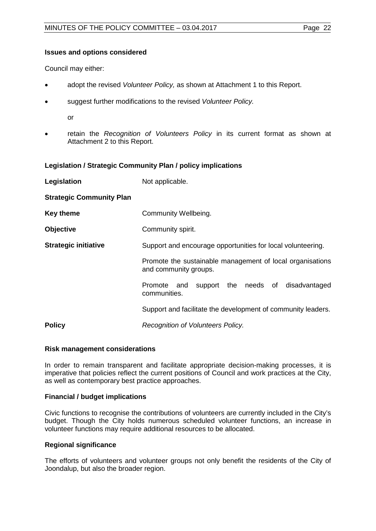# **Issues and options considered**

Council may either:

- adopt the revised *Volunteer Policy,* as shown at Attachment 1 to this Report.
- suggest further modifications to the revised *Volunteer Policy.*

or

• retain the *Recognition of Volunteers Policy* in its current format as shown at Attachment 2 to this Report.

# **Legislation / Strategic Community Plan / policy implications**

| Legislation                     | Not applicable.                                                                                                                                   |  |  |  |
|---------------------------------|---------------------------------------------------------------------------------------------------------------------------------------------------|--|--|--|
| <b>Strategic Community Plan</b> |                                                                                                                                                   |  |  |  |
| <b>Key theme</b>                | Community Wellbeing.                                                                                                                              |  |  |  |
| <b>Objective</b>                | Community spirit.                                                                                                                                 |  |  |  |
| <b>Strategic initiative</b>     | Support and encourage opportunities for local volunteering.<br>Promote the sustainable management of local organisations<br>and community groups. |  |  |  |
|                                 |                                                                                                                                                   |  |  |  |
|                                 | support the needs of<br>disadvantaged<br>Promote<br>and<br>communities.                                                                           |  |  |  |
|                                 | Support and facilitate the development of community leaders.                                                                                      |  |  |  |
| <b>Policy</b>                   | Recognition of Volunteers Policy.                                                                                                                 |  |  |  |

#### **Risk management considerations**

In order to remain transparent and facilitate appropriate decision-making processes, it is imperative that policies reflect the current positions of Council and work practices at the City, as well as contemporary best practice approaches.

# **Financial / budget implications**

Civic functions to recognise the contributions of volunteers are currently included in the City's budget. Though the City holds numerous scheduled volunteer functions, an increase in volunteer functions may require additional resources to be allocated.

# **Regional significance**

The efforts of volunteers and volunteer groups not only benefit the residents of the City of Joondalup, but also the broader region.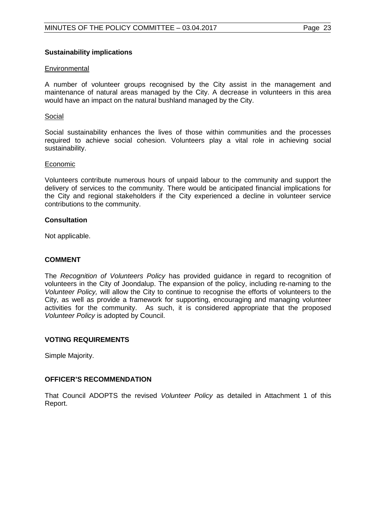### **Sustainability implications**

#### **Environmental**

A number of volunteer groups recognised by the City assist in the management and maintenance of natural areas managed by the City. A decrease in volunteers in this area would have an impact on the natural bushland managed by the City.

#### Social

Social sustainability enhances the lives of those within communities and the processes required to achieve social cohesion. Volunteers play a vital role in achieving social sustainability.

#### Economic

Volunteers contribute numerous hours of unpaid labour to the community and support the delivery of services to the community. There would be anticipated financial implications for the City and regional stakeholders if the City experienced a decline in volunteer service contributions to the community.

#### **Consultation**

Not applicable.

#### **COMMENT**

The *Recognition of Volunteers Policy* has provided guidance in regard to recognition of volunteers in the City of Joondalup. The expansion of the policy, including re-naming to the *Volunteer Policy,* will allow the City to continue to recognise the efforts of volunteers to the City, as well as provide a framework for supporting, encouraging and managing volunteer activities for the community. As such, it is considered appropriate that the proposed *Volunteer Policy* is adopted by Council.

# **VOTING REQUIREMENTS**

Simple Majority.

#### **OFFICER'S RECOMMENDATION**

That Council ADOPTS the revised *Volunteer Policy* as detailed in Attachment 1 of this Report.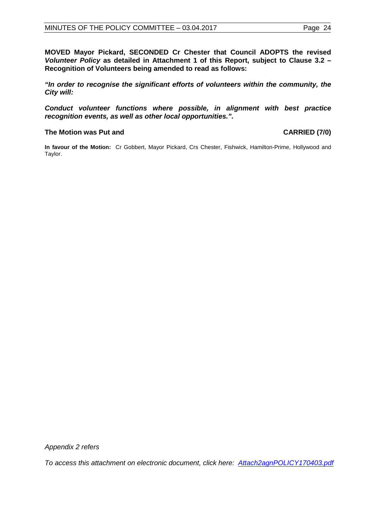**MOVED Mayor Pickard, SECONDED Cr Chester that Council ADOPTS the revised**  *Volunteer Policy* **as detailed in Attachment 1 of this Report, subject to Clause 3.2 – Recognition of Volunteers being amended to read as follows:**

*"In order to recognise the significant efforts of volunteers within the community, the City will:*

*Conduct volunteer functions where possible, in alignment with best practice recognition events, as well as other local opportunities."***.**

# **The Motion was Put and CARRIED (7/0)**

**In favour of the Motion:** Cr Gobbert, Mayor Pickard, Crs Chester, Fishwick, Hamilton-Prime, Hollywood and Taylor.

*Appendix 2 refers*

*[To access this attachment on electronic document, click here: Attach2agnPOLICY170403.pdf](http://www.joondalup.wa.gov.au/files/committees/POLI/2017/Attach2agnPOLICY170403.pdf)*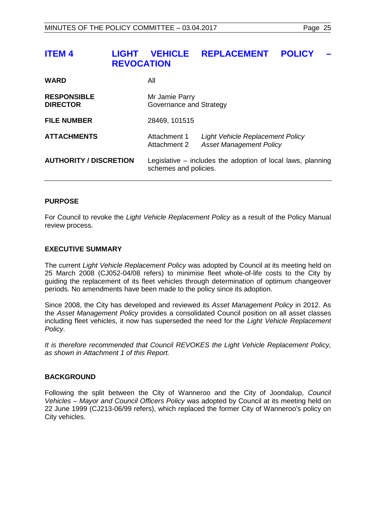# <span id="page-24-0"></span>**ITEM 4 LIGHT VEHICLE REPLACEMENT POLICY – REVOCATION**

| <b>WARD</b>                           | All                                       |                                                                    |  |
|---------------------------------------|-------------------------------------------|--------------------------------------------------------------------|--|
| <b>RESPONSIBLE</b><br><b>DIRECTOR</b> | Mr Jamie Parry<br>Governance and Strategy |                                                                    |  |
| <b>FILE NUMBER</b>                    | 28469, 101515                             |                                                                    |  |
| <b>ATTACHMENTS</b>                    | Attachment 1<br>Attachment 2              | Light Vehicle Replacement Policy<br><b>Asset Management Policy</b> |  |
| <b>AUTHORITY / DISCRETION</b>         | schemes and policies.                     | Legislative – includes the adoption of local laws, planning        |  |

# **PURPOSE**

For Council to revoke the *Light Vehicle Replacement Policy* as a result of the Policy Manual review process.

# **EXECUTIVE SUMMARY**

The current *Light Vehicle Replacement Policy* was adopted by Council at its meeting held on 25 March 2008 (CJ052-04/08 refers) to minimise fleet whole-of-life costs to the City by guiding the replacement of its fleet vehicles through determination of optimum changeover periods. No amendments have been made to the policy since its adoption.

Since 2008, the City has developed and reviewed its *Asset Management Policy* in 2012. As the *Asset Management Policy* provides a consolidated Council position on all asset classes including fleet vehicles, it now has superseded the need for the *Light Vehicle Replacement Policy*.

*It is therefore recommended that Council REVOKES the Light Vehicle Replacement Policy, as shown in Attachment 1 of this Report.* 

# **BACKGROUND**

Following the split between the City of Wanneroo and the City of Joondalup, *Council Vehicles – Mayor and Council Officers Policy* was adopted by Council at its meeting held on 22 June 1999 (CJ213-06/99 refers), which replaced the former City of Wanneroo's policy on City vehicles.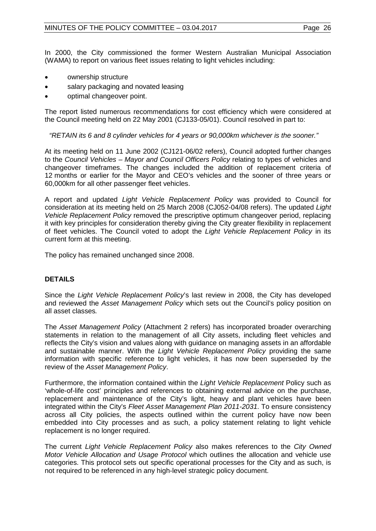In 2000, the City commissioned the former Western Australian Municipal Association (WAMA) to report on various fleet issues relating to light vehicles including:

- ownership structure
- salary packaging and novated leasing
- optimal changeover point.

The report listed numerous recommendations for cost efficiency which were considered at the Council meeting held on 22 May 2001 (CJ133-05/01). Council resolved in part to:

*"RETAIN its 6 and 8 cylinder vehicles for 4 years or 90,000km whichever is the sooner."*

At its meeting held on 11 June 2002 (CJ121-06/02 refers), Council adopted further changes to the *Council Vehicles – Mayor and Council Officers Policy* relating to types of vehicles and changeover timeframes. The changes included the addition of replacement criteria of 12 months or earlier for the Mayor and CEO's vehicles and the sooner of three years or 60,000km for all other passenger fleet vehicles.

A report and updated *Light Vehicle Replacement Policy* was provided to Council for consideration at its meeting held on 25 March 2008 (CJ052-04/08 refers). The updated *Light Vehicle Replacement Policy* removed the prescriptive optimum changeover period, replacing it with key principles for consideration thereby giving the City greater flexibility in replacement of fleet vehicles. The Council voted to adopt the *Light Vehicle Replacement Policy* in its current form at this meeting.

The policy has remained unchanged since 2008.

# **DETAILS**

Since the *Light Vehicle Replacement Policy*'s last review in 2008, the City has developed and reviewed the *Asset Management Policy* which sets out the Council's policy position on all asset classes*.* 

The *Asset Management Policy* (Attachment 2 refers) has incorporated broader overarching statements in relation to the management of all City assets, including fleet vehicles and reflects the City's vision and values along with guidance on managing assets in an affordable and sustainable manner. With the *Light Vehicle Replacement Policy* providing the same information with specific reference to light vehicles, it has now been superseded by the review of the *Asset Management Policy*.

Furthermore, the information contained within the *Light Vehicle Replacement* Policy such as 'whole-of-life cost' principles and references to obtaining external advice on the purchase, replacement and maintenance of the City's light, heavy and plant vehicles have been integrated within the City's *Fleet Asset Management Plan 2011-2031*. To ensure consistency across all City policies, the aspects outlined within the current policy have now been embedded into City processes and as such, a policy statement relating to light vehicle replacement is no longer required.

The current *Light Vehicle Replacement Policy* also makes references to the *City Owned Motor Vehicle Allocation and Usage Protocol* which outlines the allocation and vehicle use categories. This protocol sets out specific operational processes for the City and as such, is not required to be referenced in any high-level strategic policy document.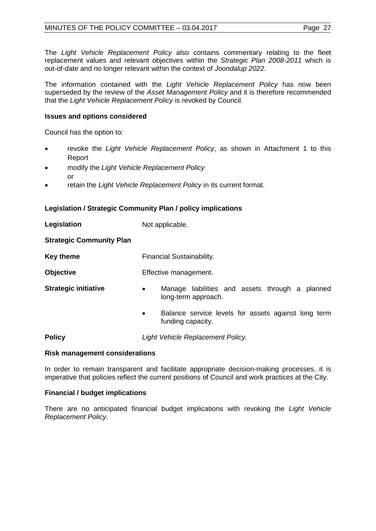The *Light Vehicle Replacement Policy* also contains commentary relating to the fleet replacement values and relevant objectives within the *Strategic Plan 2008-2011* which is out-of-date and no longer relevant within the context of *Joondalup 2022.*

The information contained with the *Light Vehicle Replacement Policy* has now been superseded by the review of the *Asset Management Policy* and it is therefore recommended that the *Light Vehicle Replacement Policy* is revoked by Council.

# **Issues and options considered**

Council has the option to:

- revoke the *Light Vehicle Replacement Policy*, as shown in Attachment 1 to this Report
- modify the *Light Vehicle Replacement Policy* or
- retain the *Light Vehicle Replacement Policy* in its current format.

# **Legislation / Strategic Community Plan / policy implications**

| Financial Sustainability.<br>Effective management.<br>Manage liabilities and assets through a planned<br>$\bullet$<br>long-term approach.<br>Balance service levels for assets against long term<br>$\bullet$<br>funding capacity.<br>Light Vehicle Replacement Policy. | Legislation                     | Not applicable. |  |  |
|-------------------------------------------------------------------------------------------------------------------------------------------------------------------------------------------------------------------------------------------------------------------------|---------------------------------|-----------------|--|--|
|                                                                                                                                                                                                                                                                         | <b>Strategic Community Plan</b> |                 |  |  |
|                                                                                                                                                                                                                                                                         | <b>Key theme</b>                |                 |  |  |
|                                                                                                                                                                                                                                                                         | <b>Objective</b>                |                 |  |  |
|                                                                                                                                                                                                                                                                         | <b>Strategic initiative</b>     |                 |  |  |
|                                                                                                                                                                                                                                                                         |                                 |                 |  |  |
|                                                                                                                                                                                                                                                                         | <b>Policy</b>                   |                 |  |  |

# **Risk management considerations**

In order to remain transparent and facilitate appropriate decision-making processes, it is imperative that policies reflect the current positions of Council and work practices at the City.

# **Financial / budget implications**

There are no anticipated financial budget implications with revoking the *Light Vehicle Replacement Policy*.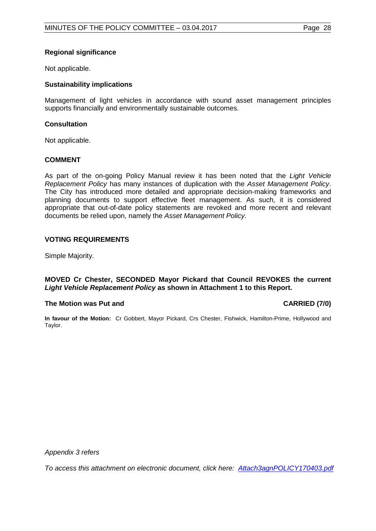# **Regional significance**

Not applicable.

# **Sustainability implications**

Management of light vehicles in accordance with sound asset management principles supports financially and environmentally sustainable outcomes.

# **Consultation**

Not applicable.

# **COMMENT**

As part of the on-going Policy Manual review it has been noted that the *Light Vehicle Replacement Policy* has many instances of duplication with the *Asset Management Policy*. The City has introduced more detailed and appropriate decision-making frameworks and planning documents to support effective fleet management. As such, it is considered appropriate that out-of-date policy statements are revoked and more recent and relevant documents be relied upon, namely the *Asset Management Policy.*

# **VOTING REQUIREMENTS**

Simple Majority.

#### **MOVED Cr Chester, SECONDED Mayor Pickard that Council REVOKES the current**  *Light Vehicle Replacement Policy* **as shown in Attachment 1 to this Report.**

# **The Motion was Put and CARRIED (7/0)**

**In favour of the Motion:** Cr Gobbert, Mayor Pickard, Crs Chester, Fishwick, Hamilton-Prime, Hollywood and Taylor.

*Appendix 3 refers*

*[To access this attachment on electronic document, click here: Attach3agnPOLICY170403.pdf](http://www.joondalup.wa.gov.au/files/committees/POLI/2017/Attach3agnPOLICY170403.pdf)*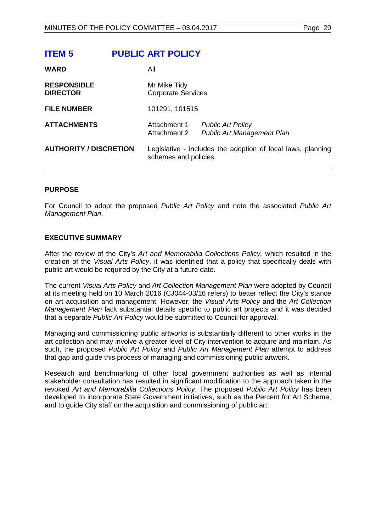<span id="page-28-0"></span>

| <b>ITEM 5</b>                         | <b>PUBLIC ART POLICY</b>                  |                                                               |
|---------------------------------------|-------------------------------------------|---------------------------------------------------------------|
| <b>WARD</b>                           | All                                       |                                                               |
| <b>RESPONSIBLE</b><br><b>DIRECTOR</b> | Mr Mike Tidy<br><b>Corporate Services</b> |                                                               |
| <b>FILE NUMBER</b>                    | 101291, 101515                            |                                                               |
| <b>ATTACHMENTS</b>                    | Attachment 1<br>Attachment 2              | <b>Public Art Policy</b><br><b>Public Art Management Plan</b> |
| <b>AUTHORITY / DISCRETION</b>         | schemes and policies.                     | Legislative - includes the adoption of local laws, planning   |

#### **PURPOSE**

For Council to adopt the proposed *Public Art Policy* and note the associated *Public Art Management Plan*.

#### **EXECUTIVE SUMMARY**

After the review of the City's *Art and Memorabilia Collections Policy,* which resulted in the creation of the *Visual Arts Policy*, it was identified that a policy that specifically deals with public art would be required by the City at a future date.

The current *Visual Arts Policy* and *Art Collection Management Plan* were adopted by Council at its meeting held on 10 March 2016 (CJ044-03/16 refers) to better reflect the City's stance on art acquisition and management. However, the *Visual Arts Policy* and the *Art Collection Management Plan* lack substantial details specific to public art projects and it was decided that a separate *Public Art Policy* would be submitted to Council for approval.

Managing and commissioning public artworks is substantially different to other works in the art collection and may involve a greater level of City intervention to acquire and maintain. As such, the proposed *Public Art Policy* and *Public Art Management Plan* attempt to address that gap and guide this process of managing and commissioning public artwork.

Research and benchmarking of other local government authorities as well as internal stakeholder consultation has resulted in significant modification to the approach taken in the revoked *Art and Memorabilia Collections Policy*. The proposed *Public Art Policy* has been developed to incorporate State Government initiatives, such as the Percent for Art Scheme, and to guide City staff on the acquisition and commissioning of public art.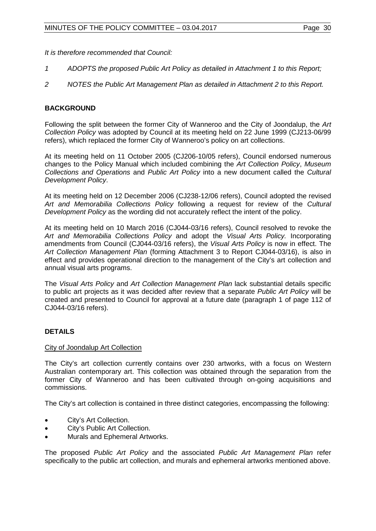*It is therefore recommended that Council:*

- *1 ADOPTS the proposed Public Art Policy as detailed in Attachment 1 to this Report;*
- *2 NOTES the Public Art Management Plan as detailed in Attachment 2 to this Report.*

# **BACKGROUND**

Following the split between the former City of Wanneroo and the City of Joondalup, the *Art Collection Policy* was adopted by Council at its meeting held on 22 June 1999 (CJ213-06/99 refers), which replaced the former City of Wanneroo's policy on art collections.

At its meeting held on 11 October 2005 (CJ206-10/05 refers), Council endorsed numerous changes to the Policy Manual which included combining the *Art Collection Policy*, *Museum Collections and Operations* and *Public Art Policy* into a new document called the *Cultural Development Policy*.

At its meeting held on 12 December 2006 (CJ238-12/06 refers), Council adopted the revised *Art and Memorabilia Collections Policy* following a request for review of the *Cultural Development Policy* as the wording did not accurately reflect the intent of the policy.

At its meeting held on 10 March 2016 (CJ044-03/16 refers), Council resolved to revoke the *Art and Memorabilia Collections Policy* and adopt the *Visual Arts Policy.* Incorporating amendments from Council (CJ044-03/16 refers), the *Visual Arts Policy* is now in effect. The *Art Collection Management Plan* (forming Attachment 3 to Report CJ044-03/16), is also in effect and provides operational direction to the management of the City's art collection and annual visual arts programs.

The *Visual Arts Policy* and *Art Collection Management Plan* lack substantial details specific to public art projects as it was decided after review that a separate *Public Art Policy* will be created and presented to Council for approval at a future date (paragraph 1 of page 112 of CJ044-03/16 refers).

# **DETAILS**

# City of Joondalup Art Collection

The City's art collection currently contains over 230 artworks, with a focus on Western Australian contemporary art. This collection was obtained through the separation from the former City of Wanneroo and has been cultivated through on-going acquisitions and commissions.

The City's art collection is contained in three distinct categories, encompassing the following:

- City's Art Collection.
- City's Public Art Collection.
- Murals and Ephemeral Artworks.

The proposed *Public Art Policy* and the associated *Public Art Management Plan* refer specifically to the public art collection, and murals and ephemeral artworks mentioned above.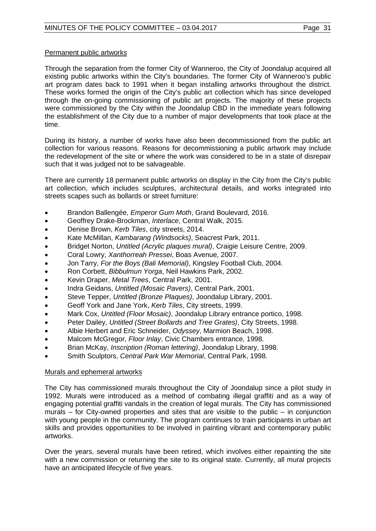# Permanent public artworks

Through the separation from the former City of Wanneroo, the City of Joondalup acquired all existing public artworks within the City's boundaries. The former City of Wanneroo's public art program dates back to 1991 when it began installing artworks throughout the district. These works formed the origin of the City's public art collection which has since developed through the on-going commissioning of public art projects. The majority of these projects were commissioned by the City within the Joondalup CBD in the immediate years following the establishment of the City due to a number of major developments that took place at the time.

During its history, a number of works have also been decommissioned from the public art collection for various reasons. Reasons for decommissioning a public artwork may include the redevelopment of the site or where the work was considered to be in a state of disrepair such that it was judged not to be salvageable.

There are currently 18 permanent public artworks on display in the City from the City's public art collection, which includes sculptures, architectural details, and works integrated into streets scapes such as bollards or street furniture:

- Brandon Ballengée, *Emperor Gum Moth*, Grand Boulevard, 2016.
- Geoffrey Drake-Brockman, *Interlace*, Central Walk, 2015.
- Denise Brown, *Kerb Tiles*, city streets, 2014.
- Kate McMillan, *Kambarang (Windsocks)*, Seacrest Park, 2011.
- Bridget Norton, *Untitled (Acrylic plaques mural)*, Craigie Leisure Centre, 2009.
- Coral Lowry, *Xanthorreah Pressei*, Boas Avenue, 2007.
- Jon Tarry, *For the Boys (Bali Memorial)*, Kingsley Football Club, 2004.
- Ron Corbett, *Bibbulmun Yorga*, Neil Hawkins Park, 2002.
- Kevin Draper, *Metal Trees*, Central Park, 2001.
- Indra Geidans, *Untitled (Mosaic Pavers)*, Central Park, 2001.
- Steve Tepper, *Untitled (Bronze Plaques)*, Joondalup Library, 2001.
- Geoff York and Jane York, *Kerb Tiles*, City streets, 1999.
- Mark Cox, *Untitled (Floor Mosaic)*, Joondalup Library entrance portico, 1998.
- Peter Dailey, *Untitled (Street Bollards and Tree Grates)*, City Streets, 1998.
- Albie Herbert and Eric Schneider, *Odyssey*, Marmion Beach, 1998.
- Malcom McGregor, *Floor Inlay*, Civic Chambers entrance, 1998.
- Brian McKay, *Inscription (Roman lettering)*, Joondalup Library, 1998.
- Smith Sculptors, *Central Park War Memorial*, Central Park, 1998.

# Murals and ephemeral artworks

The City has commissioned murals throughout the City of Joondalup since a pilot study in 1992. Murals were introduced as a method of combating illegal graffiti and as a way of engaging potential graffiti vandals in the creation of legal murals. The City has commissioned murals  $-$  for City-owned properties and sites that are visible to the public  $-$  in conjunction with young people in the community. The program continues to train participants in urban art skills and provides opportunities to be involved in painting vibrant and contemporary public artworks.

Over the years, several murals have been retired, which involves either repainting the site with a new commission or returning the site to its original state. Currently, all mural projects have an anticipated lifecycle of five years.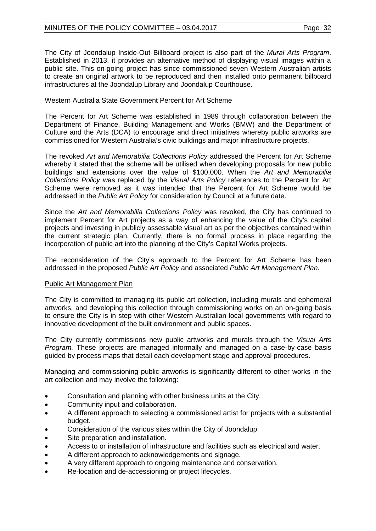The City of Joondalup Inside-Out Billboard project is also part of the *Mural Arts Program*. Established in 2013, it provides an alternative method of displaying visual images within a public site. This on-going project has since commissioned seven Western Australian artists to create an original artwork to be reproduced and then installed onto permanent billboard infrastructures at the Joondalup Library and Joondalup Courthouse.

# Western Australia State Government Percent for Art Scheme

The Percent for Art Scheme was established in 1989 through collaboration between the Department of Finance, Building Management and Works (BMW) and the Department of Culture and the Arts (DCA) to encourage and direct initiatives whereby public artworks are commissioned for Western Australia's civic buildings and major infrastructure projects.

The revoked *Art and Memorabilia Collections Policy* addressed the Percent for Art Scheme whereby it stated that the scheme will be utilised when developing proposals for new public buildings and extensions over the value of \$100,000. When the *Art and Memorabilia Collections Policy* was replaced by the *Visual Arts Policy* references to the Percent for Art Scheme were removed as it was intended that the Percent for Art Scheme would be addressed in the *Public Art Policy* for consideration by Council at a future date.

Since the *Art and Memorabilia Collections Policy* was revoked, the City has continued to implement Percent for Art projects as a way of enhancing the value of the City's capital projects and investing in publicly assessable visual art as per the objectives contained within the current strategic plan. Currently, there is no formal process in place regarding the incorporation of public art into the planning of the City's Capital Works projects.

The reconsideration of the City's approach to the Percent for Art Scheme has been addressed in the proposed *Public Art Policy* and associated *Public Art Management Plan*.

# Public Art Management Plan

The City is committed to managing its public art collection, including murals and ephemeral artworks, and developing this collection through commissioning works on an on-going basis to ensure the City is in step with other Western Australian local governments with regard to innovative development of the built environment and public spaces.

The City currently commissions new public artworks and murals through the *Visual Arts Program.* These projects are managed informally and managed on a case-by-case basis guided by process maps that detail each development stage and approval procedures.

Managing and commissioning public artworks is significantly different to other works in the art collection and may involve the following:

- Consultation and planning with other business units at the City.
- Community input and collaboration.
- A different approach to selecting a commissioned artist for projects with a substantial budget.
- Consideration of the various sites within the City of Joondalup.
- Site preparation and installation.
- Access to or installation of infrastructure and facilities such as electrical and water.
- A different approach to acknowledgements and signage.
- A very different approach to ongoing maintenance and conservation.
- Re-location and de-accessioning or project lifecycles.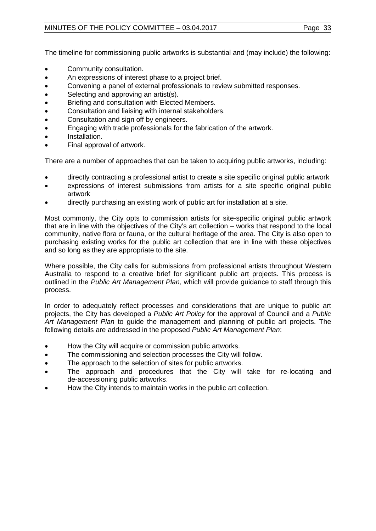# MINUTES OF THE POLICY COMMITTEE - 03.04.2017 Page 33

The timeline for commissioning public artworks is substantial and (may include) the following:

- Community consultation.
- An expressions of interest phase to a project brief.
- Convening a panel of external professionals to review submitted responses.
- Selecting and approving an artist(s).
- Briefing and consultation with Elected Members.
- Consultation and liaising with internal stakeholders.
- Consultation and sign off by engineers.
- Engaging with trade professionals for the fabrication of the artwork.
- Installation.
- Final approval of artwork.

There are a number of approaches that can be taken to acquiring public artworks, including:

- directly contracting a professional artist to create a site specific original public artwork
- expressions of interest submissions from artists for a site specific original public artwork
- directly purchasing an existing work of public art for installation at a site.

Most commonly, the City opts to commission artists for site-specific original public artwork that are in line with the objectives of the City's art collection – works that respond to the local community, native flora or fauna, or the cultural heritage of the area. The City is also open to purchasing existing works for the public art collection that are in line with these objectives and so long as they are appropriate to the site.

Where possible, the City calls for submissions from professional artists throughout Western Australia to respond to a creative brief for significant public art projects. This process is outlined in the *Public Art Management Plan,* which will provide guidance to staff through this process.

In order to adequately reflect processes and considerations that are unique to public art projects, the City has developed a *Public Art Policy* for the approval of Council and a *Public Art Management Plan* to guide the management and planning of public art projects. The following details are addressed in the proposed *Public Art Management Plan*:

- How the City will acquire or commission public artworks.
- The commissioning and selection processes the City will follow.
- The approach to the selection of sites for public artworks.
- The approach and procedures that the City will take for re-locating and de-accessioning public artworks.
- How the City intends to maintain works in the public art collection.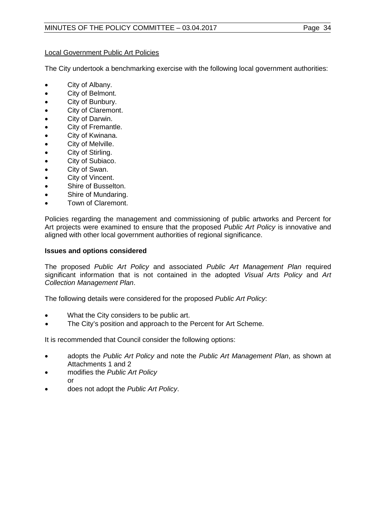# Local Government Public Art Policies

The City undertook a benchmarking exercise with the following local government authorities:

- City of Albany.
- City of Belmont.
- City of Bunbury.
- City of Claremont.
- City of Darwin.
- City of Fremantle.
- City of Kwinana.
- City of Melville.
- City of Stirling.
- City of Subiaco.
- City of Swan.
- City of Vincent.
- Shire of Busselton.
- Shire of Mundaring.
- Town of Claremont.

Policies regarding the management and commissioning of public artworks and Percent for Art projects were examined to ensure that the proposed *Public Art Policy* is innovative and aligned with other local government authorities of regional significance.

# **Issues and options considered**

The proposed *Public Art Policy* and associated *Public Art Management Plan* required significant information that is not contained in the adopted *Visual Arts Policy* and *Art Collection Management Plan*.

The following details were considered for the proposed *Public Art Policy*:

- What the City considers to be public art.
- The City's position and approach to the Percent for Art Scheme.

It is recommended that Council consider the following options:

- adopts the *Public Art Policy* and note the *Public Art Management Plan*, as shown at Attachments 1 and 2
- modifies the *Public Art Policy* or
- does not adopt the *Public Art Policy*.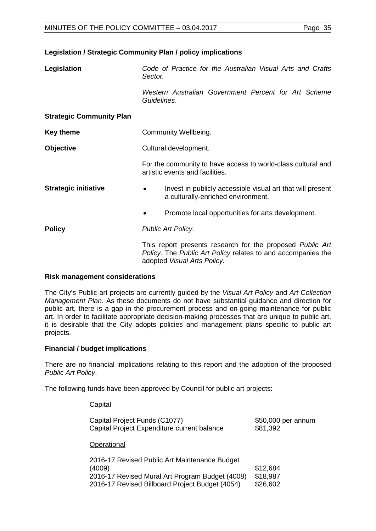### **Legislation / Strategic Community Plan / policy implications**

| Legislation                     | Code of Practice for the Australian Visual Arts and Crafts<br>Sector.                                                                                    |  |  |  |
|---------------------------------|----------------------------------------------------------------------------------------------------------------------------------------------------------|--|--|--|
|                                 | Western Australian Government Percent for Art Scheme<br>Guidelines.                                                                                      |  |  |  |
| <b>Strategic Community Plan</b> |                                                                                                                                                          |  |  |  |
| <b>Key theme</b>                | Community Wellbeing.                                                                                                                                     |  |  |  |
| <b>Objective</b>                | Cultural development.                                                                                                                                    |  |  |  |
|                                 | For the community to have access to world-class cultural and<br>artistic events and facilities.                                                          |  |  |  |
| <b>Strategic initiative</b>     | Invest in publicly accessible visual art that will present<br>a culturally-enriched environment.                                                         |  |  |  |
|                                 | Promote local opportunities for arts development.                                                                                                        |  |  |  |
| <b>Policy</b>                   | Public Art Policy.                                                                                                                                       |  |  |  |
|                                 | This report presents research for the proposed Public Art<br>Policy. The Public Art Policy relates to and accompanies the<br>adopted Visual Arts Policy. |  |  |  |

#### **Risk management considerations**

The City's Public art projects are currently guided by the *Visual Art Policy* and *Art Collection Management Plan*. As these documents do not have substantial guidance and direction for public art, there is a gap in the procurement process and on-going maintenance for public art. In order to facilitate appropriate decision-making processes that are unique to public art, it is desirable that the City adopts policies and management plans specific to public art projects.

# **Financial / budget implications**

There are no financial implications relating to this report and the adoption of the proposed *Public Art Policy*.

The following funds have been approved by Council for public art projects:

| Capital                                                                                                                                                       |                                  |
|---------------------------------------------------------------------------------------------------------------------------------------------------------------|----------------------------------|
| Capital Project Funds (C1077)<br>Capital Project Expenditure current balance                                                                                  | \$50,000 per annum<br>\$81,392   |
| Operational                                                                                                                                                   |                                  |
| 2016-17 Revised Public Art Maintenance Budget<br>(4009)<br>2016-17 Revised Mural Art Program Budget (4008)<br>2016-17 Revised Billboard Project Budget (4054) | \$12,684<br>\$18,987<br>\$26,602 |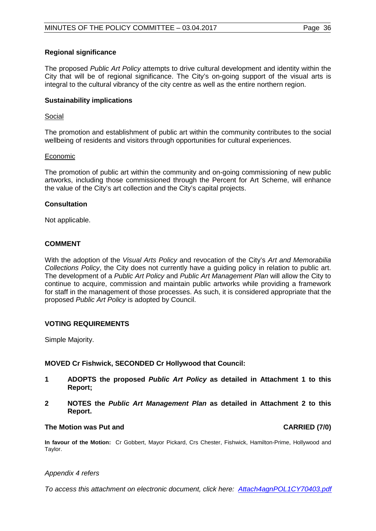# **Regional significance**

The proposed *Public Art Policy* attempts to drive cultural development and identity within the City that will be of regional significance. The City's on-going support of the visual arts is integral to the cultural vibrancy of the city centre as well as the entire northern region.

# **Sustainability implications**

# Social

The promotion and establishment of public art within the community contributes to the social wellbeing of residents and visitors through opportunities for cultural experiences.

# Economic

The promotion of public art within the community and on-going commissioning of new public artworks, including those commissioned through the Percent for Art Scheme, will enhance the value of the City's art collection and the City's capital projects.

# **Consultation**

Not applicable.

# **COMMENT**

With the adoption of the *Visual Arts Policy* and revocation of the City's *Art and Memorabilia Collections Policy*, the City does not currently have a guiding policy in relation to public art. The development of a *Public Art Policy* and *Public Art Management Plan* will allow the City to continue to acquire, commission and maintain public artworks while providing a framework for staff in the management of those processes. As such, it is considered appropriate that the proposed *Public Art Policy* is adopted by Council.

# **VOTING REQUIREMENTS**

Simple Majority.

# **MOVED Cr Fishwick, SECONDED Cr Hollywood that Council:**

- **1 ADOPTS the proposed** *Public Art Policy* **as detailed in Attachment 1 to this Report;**
- **2 NOTES the** *Public Art Management Plan* **as detailed in Attachment 2 to this Report.**

# **The Motion was Put and CARRIED (7/0)**

**In favour of the Motion:** Cr Gobbert, Mayor Pickard, Crs Chester, Fishwick, Hamilton-Prime, Hollywood and Taylor.

#### *Appendix 4 refers*

*[To access this attachment on electronic document, click here: Attach4agnPOL1CY70403.pdf](http://www.joondalup.wa.gov.au/files/committees/POLI/2017/Attach4agnPOL1CY70403.pdf)*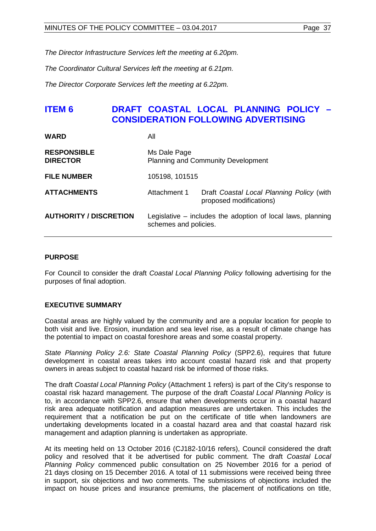*The Director Infrastructure Services left the meeting at 6.20pm.*

*The Coordinator Cultural Services left the meeting at 6.21pm.*

*The Director Corporate Services left the meeting at 6.22pm.*

# **ITEM 6 DRAFT COASTAL LOCAL PLANNING POLICY – CONSIDERATION FOLLOWING ADVERTISING**

| <b>WARD</b>                           | All                                                                                  |                                                               |  |  |  |  |
|---------------------------------------|--------------------------------------------------------------------------------------|---------------------------------------------------------------|--|--|--|--|
| <b>RESPONSIBLE</b><br><b>DIRECTOR</b> | Ms Dale Page<br><b>Planning and Community Development</b>                            |                                                               |  |  |  |  |
| <b>FILE NUMBER</b>                    | 105198, 101515                                                                       |                                                               |  |  |  |  |
| <b>ATTACHMENTS</b>                    | Attachment 1<br>Draft Coastal Local Planning Policy (with<br>proposed modifications) |                                                               |  |  |  |  |
| <b>AUTHORITY / DISCRETION</b>         | schemes and policies.                                                                | Legislative $-$ includes the adoption of local laws, planning |  |  |  |  |

## **PURPOSE**

For Council to consider the draft *Coastal Local Planning Policy* following advertising for the purposes of final adoption.

# **EXECUTIVE SUMMARY**

Coastal areas are highly valued by the community and are a popular location for people to both visit and live. Erosion, inundation and sea level rise, as a result of climate change has the potential to impact on coastal foreshore areas and some coastal property.

*State Planning Policy 2.6: State Coastal Planning Policy* (SPP2.6), requires that future development in coastal areas takes into account coastal hazard risk and that property owners in areas subject to coastal hazard risk be informed of those risks.

The draft *Coastal Local Planning Policy* (Attachment 1 refers) is part of the City's response to coastal risk hazard management. The purpose of the draft *Coastal Local Planning Policy* is to, in accordance with SPP2.6, ensure that when developments occur in a coastal hazard risk area adequate notification and adaption measures are undertaken. This includes the requirement that a notification be put on the certificate of title when landowners are undertaking developments located in a coastal hazard area and that coastal hazard risk management and adaption planning is undertaken as appropriate.

At its meeting held on 13 October 2016 (CJ182-10/16 refers), Council considered the draft policy and resolved that it be advertised for public comment. The draft *Coastal Local Planning Policy* commenced public consultation on 25 November 2016 for a period of 21 days closing on 15 December 2016. A total of 11 submissions were received being three in support, six objections and two comments. The submissions of objections included the impact on house prices and insurance premiums, the placement of notifications on title,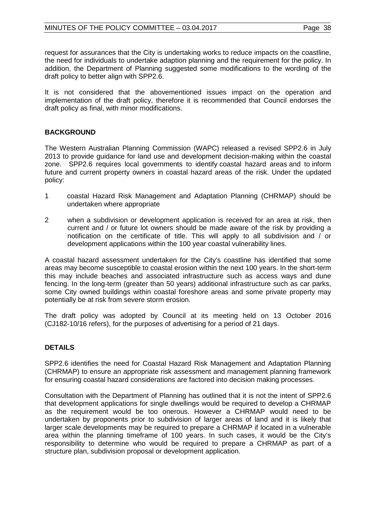request for assurances that the City is undertaking works to reduce impacts on the coastline, the need for individuals to undertake adaption planning and the requirement for the policy. In addition, the Department of Planning suggested some modifications to the wording of the draft policy to better align with SPP2.6.

It is not considered that the abovementioned issues impact on the operation and implementation of the draft policy, therefore it is recommended that Council endorses the draft policy as final, with minor modifications.

# **BACKGROUND**

The Western Australian Planning Commission (WAPC) released a revised SPP2.6 in July 2013 to provide guidance for land use and development decision-making within the coastal zone. SPP2.6 requires local governments to identify coastal hazard areas and to inform future and current property owners in coastal hazard areas of the risk. Under the updated policy:

- 1 coastal Hazard Risk Management and Adaptation Planning (CHRMAP) should be undertaken where appropriate
- 2 when a subdivision or development application is received for an area at risk, then current and / or future lot owners should be made aware of the risk by providing a notification on the certificate of title. This will apply to all subdivision and / or development applications within the 100 year coastal vulnerability lines.

A coastal hazard assessment undertaken for the City's coastline has identified that some areas may become susceptible to coastal erosion within the next 100 years. In the short-term this may include beaches and associated infrastructure such as access ways and dune fencing. In the long-term (greater than 50 years) additional infrastructure such as car parks, some City owned buildings within coastal foreshore areas and some private property may potentially be at risk from severe storm erosion.

The draft policy was adopted by Council at its meeting held on 13 October 2016 (CJ182-10/16 refers), for the purposes of advertising for a period of 21 days.

# **DETAILS**

SPP2.6 identifies the need for Coastal Hazard Risk Management and Adaptation Planning (CHRMAP) to ensure an appropriate risk assessment and management planning framework for ensuring coastal hazard considerations are factored into decision making processes.

Consultation with the Department of Planning has outlined that it is not the intent of SPP2.6 that development applications for single dwellings would be required to develop a CHRMAP as the requirement would be too onerous. However a CHRMAP would need to be undertaken by proponents prior to subdivision of larger areas of land and it is likely that larger scale developments may be required to prepare a CHRMAP if located in a vulnerable area within the planning timeframe of 100 years. In such cases, it would be the City's responsibility to determine who would be required to prepare a CHRMAP as part of a structure plan, subdivision proposal or development application.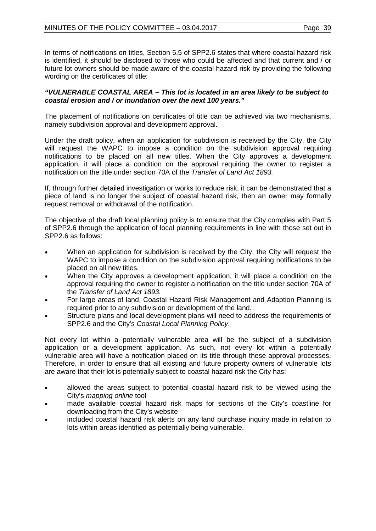In terms of notifications on titles, Section 5.5 of SPP2.6 states that where coastal hazard risk is identified, it should be disclosed to those who could be affected and that current and / or future lot owners should be made aware of the coastal hazard risk by providing the following wording on the certificates of title:

## *"VULNERABLE COASTAL AREA – This lot is located in an area likely to be subject to coastal erosion and / or inundation over the next 100 years."*

The placement of notifications on certificates of title can be achieved via two mechanisms, namely subdivision approval and development approval.

Under the draft policy, when an application for subdivision is received by the City, the City will request the WAPC to impose a condition on the subdivision approval requiring notifications to be placed on all new titles. When the City approves a development application, it will place a condition on the approval requiring the owner to register a notification on the title under section 70A of the *Transfer of Land Act 1893.*

If, through further detailed investigation or works to reduce risk, it can be demonstrated that a piece of land is no longer the subject of coastal hazard risk, then an owner may formally request removal or withdrawal of the notification.

The objective of the draft local planning policy is to ensure that the City complies with Part 5 of SPP2.6 through the application of local planning requirements in line with those set out in SPP2.6 as follows:

- When an application for subdivision is received by the City, the City will request the WAPC to impose a condition on the subdivision approval requiring notifications to be placed on all new titles.
- When the City approves a development application, it will place a condition on the approval requiring the owner to register a notification on the title under section 70A of the *Transfer of Land Act 1893.*
- For large areas of land, Coastal Hazard Risk Management and Adaption Planning is required prior to any subdivision or development of the land.
- Structure plans and local development plans will need to address the requirements of SPP2.6 and the City's *Coastal Local Planning Policy*.

Not every lot within a potentially vulnerable area will be the subject of a subdivision application or a development application. As such, not every lot within a potentially vulnerable area will have a notification placed on its title through these approval processes. Therefore, in order to ensure that all existing and future property owners of vulnerable lots are aware that their lot is potentially subject to coastal hazard risk the City has:

- allowed the areas subject to potential coastal hazard risk to be viewed using the City's *mapping online* tool
- made available coastal hazard risk maps for sections of the City's coastline for downloading from the City's website
- included coastal hazard risk alerts on any land purchase inquiry made in relation to lots within areas identified as potentially being vulnerable.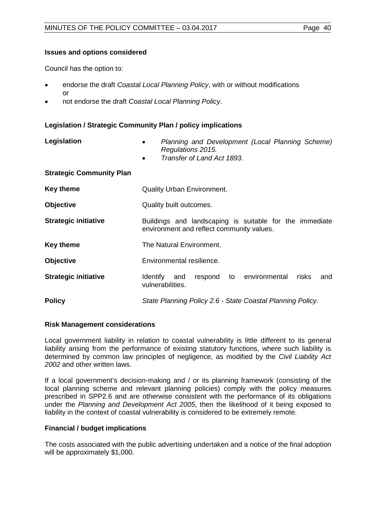## **Issues and options considered**

Council has the option to:

- endorse the draft *Coastal Local Planning Policy*, with or without modifications or
- not endorse the draft *Coastal Local Planning Policy*.

# **Legislation / Strategic Community Plan / policy implications**

| Legislation                     | Planning and Development (Local Planning Scheme)<br>$\bullet$<br>Regulations 2015.<br>Transfer of Land Act 1893.<br>$\bullet$ |  |  |  |  |  |  |
|---------------------------------|-------------------------------------------------------------------------------------------------------------------------------|--|--|--|--|--|--|
| <b>Strategic Community Plan</b> |                                                                                                                               |  |  |  |  |  |  |
| <b>Key theme</b>                | <b>Quality Urban Environment.</b>                                                                                             |  |  |  |  |  |  |
| <b>Objective</b>                | Quality built outcomes.                                                                                                       |  |  |  |  |  |  |
| <b>Strategic initiative</b>     | Buildings and landscaping is suitable for the immediate<br>environment and reflect community values.                          |  |  |  |  |  |  |
| <b>Key theme</b>                | The Natural Environment.                                                                                                      |  |  |  |  |  |  |
| <b>Objective</b>                | Environmental resilience.                                                                                                     |  |  |  |  |  |  |
| <b>Strategic initiative</b>     | respond to environmental<br>Identify<br>risks<br>and<br>and<br>vulnerabilities.                                               |  |  |  |  |  |  |
| <b>Policy</b>                   | State Planning Policy 2.6 - State Coastal Planning Policy.                                                                    |  |  |  |  |  |  |

## **Risk Management considerations**

Local government liability in relation to coastal vulnerability is little different to its general liability arising from the performance of existing statutory functions, where such liability is determined by common law principles of negligence, as modified by the *Civil Liability Act 2002* and other written laws.

If a local government's decision-making and / or its planning framework (consisting of the local planning scheme and relevant planning policies) comply with the policy measures prescribed in SPP2.6 and are otherwise consistent with the performance of its obligations under the *Planning and Development Act 2005*, then the likelihood of it being exposed to liability in the context of coastal vulnerability is considered to be extremely remote.

## **Financial / budget implications**

The costs associated with the public advertising undertaken and a notice of the final adoption will be approximately \$1,000.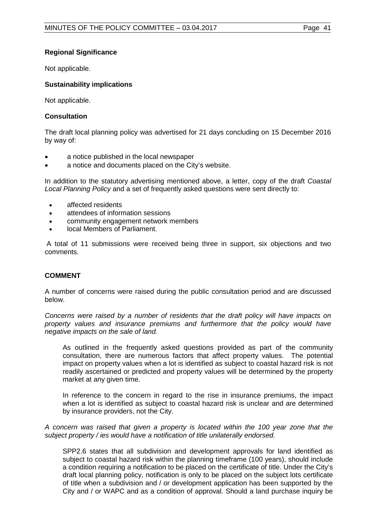# **Regional Significance**

Not applicable.

# **Sustainability implications**

Not applicable.

# **Consultation**

The draft local planning policy was advertised for 21 days concluding on 15 December 2016 by way of:

- a notice published in the local newspaper
- a notice and documents placed on the City's website.

In addition to the statutory advertising mentioned above, a letter, copy of the draft *Coastal Local Planning Policy* and a set of frequently asked questions were sent directly to:

- affected residents
- attendees of information sessions
- community engagement network members
- local Members of Parliament.

A total of 11 submissions were received being three in support, six objections and two comments.

## **COMMENT**

A number of concerns were raised during the public consultation period and are discussed below.

*Concerns were raised by a number of residents that the draft policy will have impacts on property values and insurance premiums and furthermore that the policy would have negative impacts on the sale of land.*

As outlined in the frequently asked questions provided as part of the community consultation, there are numerous factors that affect property values. The potential impact on property values when a lot is identified as subject to coastal hazard risk is not readily ascertained or predicted and property values will be determined by the property market at any given time.

In reference to the concern in regard to the rise in insurance premiums, the impact when a lot is identified as subject to coastal hazard risk is unclear and are determined by insurance providers, not the City.

## *A concern was raised that given a property is located within the 100 year zone that the subject property / ies would have a notification of title unilaterally endorsed.*

SPP2.6 states that all subdivision and development approvals for land identified as subject to coastal hazard risk within the planning timeframe (100 years), should include a condition requiring a notification to be placed on the certificate of title. Under the City's draft local planning policy, notification is only to be placed on the subject lots certificate of title when a subdivision and / or development application has been supported by the City and / or WAPC and as a condition of approval. Should a land purchase inquiry be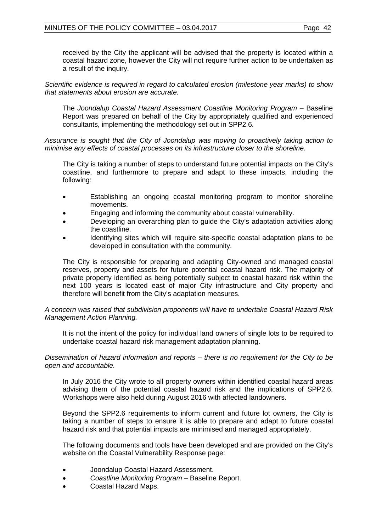received by the City the applicant will be advised that the property is located within a coastal hazard zone, however the City will not require further action to be undertaken as a result of the inquiry.

*Scientific evidence is required in regard to calculated erosion (milestone year marks) to show that statements about erosion are accurate.*

The *Joondalup Coastal Hazard Assessment Coastline Monitoring Program* – Baseline Report was prepared on behalf of the City by appropriately qualified and experienced consultants, implementing the methodology set out in SPP2.6.

*Assurance is sought that the City of Joondalup was moving to proactively taking action to minimise any effects of coastal processes on its infrastructure closer to the shoreline.* 

The City is taking a number of steps to understand future potential impacts on the City's coastline, and furthermore to prepare and adapt to these impacts, including the following:

- Establishing an ongoing coastal monitoring program to monitor shoreline movements.
- Engaging and informing the community about coastal vulnerability.
- Developing an overarching plan to guide the City's adaptation activities along the coastline.
- Identifying sites which will require site-specific coastal adaptation plans to be developed in consultation with the community.

The City is responsible for preparing and adapting City-owned and managed coastal reserves, property and assets for future potential coastal hazard risk. The majority of private property identified as being potentially subject to coastal hazard risk within the next 100 years is located east of major City infrastructure and City property and therefore will benefit from the City's adaptation measures.

*A concern was raised that subdivision proponents will have to undertake Coastal Hazard Risk Management Action Planning.*

It is not the intent of the policy for individual land owners of single lots to be required to undertake coastal hazard risk management adaptation planning.

*Dissemination of hazard information and reports – there is no requirement for the City to be open and accountable.*

In July 2016 the City wrote to all property owners within identified coastal hazard areas advising them of the potential coastal hazard risk and the implications of SPP2.6. Workshops were also held during August 2016 with affected landowners.

Beyond the SPP2.6 requirements to inform current and future lot owners, the City is taking a number of steps to ensure it is able to prepare and adapt to future coastal hazard risk and that potential impacts are minimised and managed appropriately.

The following documents and tools have been developed and are provided on the City's website on the Coastal Vulnerability Response page:

- Joondalup Coastal Hazard Assessment.
- *Coastline Monitoring Program* Baseline Report.
- Coastal Hazard Maps.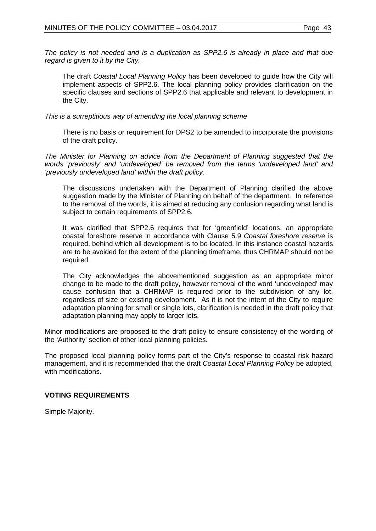*The policy is not needed and is a duplication as SPP2.6 is already in place and that due regard is given to it by the City.*

The draft *Coastal Local Planning Policy* has been developed to guide how the City will implement aspects of SPP2.6. The local planning policy provides clarification on the specific clauses and sections of SPP2.6 that applicable and relevant to development in the City.

*This is a surreptitious way of amending the local planning scheme*

There is no basis or requirement for DPS2 to be amended to incorporate the provisions of the draft policy.

*The Minister for Planning on advice from the Department of Planning suggested that the words 'previously' and 'undeveloped' be removed from the terms 'undeveloped land' and 'previously undeveloped land' within the draft policy.*

The discussions undertaken with the Department of Planning clarified the above suggestion made by the Minister of Planning on behalf of the department. In reference to the removal of the words, it is aimed at reducing any confusion regarding what land is subject to certain requirements of SPP2.6.

It was clarified that SPP2.6 requires that for 'greenfield' locations, an appropriate coastal foreshore reserve in accordance with Clause 5.9 *Coastal foreshore reserve* is required, behind which all development is to be located. In this instance coastal hazards are to be avoided for the extent of the planning timeframe, thus CHRMAP should not be required.

The City acknowledges the abovementioned suggestion as an appropriate minor change to be made to the draft policy, however removal of the word 'undeveloped' may cause confusion that a CHRMAP is required prior to the subdivision of any lot, regardless of size or existing development. As it is not the intent of the City to require adaptation planning for small or single lots, clarification is needed in the draft policy that adaptation planning may apply to larger lots.

Minor modifications are proposed to the draft policy to ensure consistency of the wording of the 'Authority' section of other local planning policies.

The proposed local planning policy forms part of the City's response to coastal risk hazard management, and it is recommended that the draft *Coastal Local Planning Policy* be adopted, with modifications.

## **VOTING REQUIREMENTS**

Simple Majority.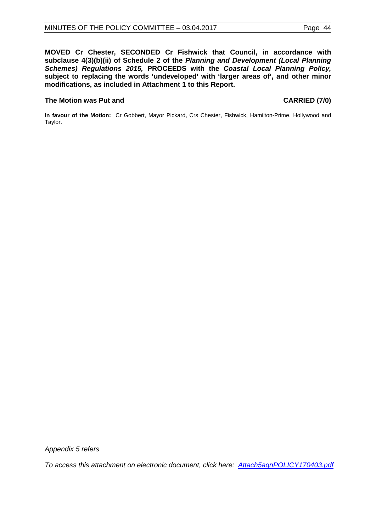**MOVED Cr Chester, SECONDED Cr Fishwick that Council, in accordance with subclause 4(3)(b)(ii) of Schedule 2 of the** *Planning and Development (Local Planning Schemes) Regulations 2015,* **PROCEEDS with the** *Coastal Local Planning Policy,*  **subject to replacing the words 'undeveloped' with 'larger areas of', and other minor modifications, as included in Attachment 1 to this Report.**

## **The Motion was Put and CARRIED (7/0)**

**In favour of the Motion:** Cr Gobbert, Mayor Pickard, Crs Chester, Fishwick, Hamilton-Prime, Hollywood and Taylor.

*Appendix 5 refers*

*[To access this attachment on electronic document, click here: Attach5agnPOLICY170403.pdf](http://www.joondalup.wa.gov.au/files/committees/POLI/2017/Attach5agnPOLICY170403.pdf)*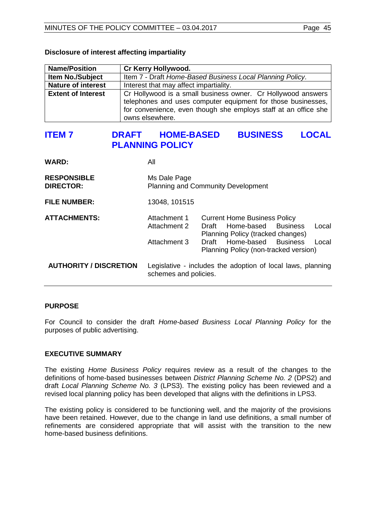| <b>Name/Position</b>      | Cr Kerry Hollywood.                                                                                                                                                                                                |
|---------------------------|--------------------------------------------------------------------------------------------------------------------------------------------------------------------------------------------------------------------|
| <b>Item No./Subject</b>   | Item 7 - Draft Home-Based Business Local Planning Policy.                                                                                                                                                          |
| <b>Nature of interest</b> | Interest that may affect impartiality.                                                                                                                                                                             |
| <b>Extent of Interest</b> | Cr Hollywood is a small business owner. Cr Hollywood answers<br>telephones and uses computer equipment for those businesses,<br>for convenience, even though she employs staff at an office she<br>owns elsewhere. |

## **Disclosure of interest affecting impartiality**

# **ITEM 7 DRAFT HOME-BASED BUSINESS LOCAL PLANNING POLICY**

| <b>WARD:</b>                           | Αll                                                                                  |                                                                                                                                                                                                  |  |  |  |  |
|----------------------------------------|--------------------------------------------------------------------------------------|--------------------------------------------------------------------------------------------------------------------------------------------------------------------------------------------------|--|--|--|--|
| <b>RESPONSIBLE</b><br><b>DIRECTOR:</b> | Ms Dale Page<br><b>Planning and Community Development</b>                            |                                                                                                                                                                                                  |  |  |  |  |
| <b>FILE NUMBER:</b>                    | 13048, 101515                                                                        |                                                                                                                                                                                                  |  |  |  |  |
| <b>ATTACHMENTS:</b>                    | Attachment 1<br>Attachment 2<br>Attachment 3                                         | <b>Current Home Business Policy</b><br>Local<br>Home-based Business<br>Draft<br>Planning Policy (tracked changes)<br>Draft Home-based Business<br>Local<br>Planning Policy (non-tracked version) |  |  |  |  |
| <b>AUTHORITY / DISCRETION</b>          | Legislative - includes the adoption of local laws, planning<br>schemes and policies. |                                                                                                                                                                                                  |  |  |  |  |

## **PURPOSE**

For Council to consider the draft *Home-based Business Local Planning Policy* for the purposes of public advertising.

## **EXECUTIVE SUMMARY**

The existing *Home Business Policy* requires review as a result of the changes to the definitions of home-based businesses between *District Planning Scheme No. 2* (DPS2) and draft *Local Planning Scheme No. 3* (LPS3). The existing policy has been reviewed and a revised local planning policy has been developed that aligns with the definitions in LPS3.

The existing policy is considered to be functioning well, and the majority of the provisions have been retained. However, due to the change in land use definitions, a small number of refinements are considered appropriate that will assist with the transition to the new home-based business definitions.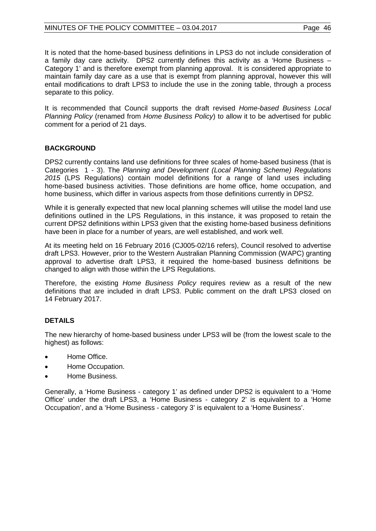## MINUTES OF THE POLICY COMMITTEE - 03.04.2017 Page 46

It is noted that the home-based business definitions in LPS3 do not include consideration of a family day care activity. DPS2 currently defines this activity as a 'Home Business – Category 1' and is therefore exempt from planning approval. It is considered appropriate to maintain family day care as a use that is exempt from planning approval, however this will entail modifications to draft LPS3 to include the use in the zoning table, through a process separate to this policy.

It is recommended that Council supports the draft revised *Home-based Business Local Planning Policy* (renamed from *Home Business Policy*) to allow it to be advertised for public comment for a period of 21 days.

# **BACKGROUND**

DPS2 currently contains land use definitions for three scales of home-based business (that is Categories 1 - 3). The *Planning and Development (Local Planning Scheme) Regulations 2015* (LPS Regulations) contain model definitions for a range of land uses including home-based business activities. Those definitions are home office, home occupation, and home business, which differ in various aspects from those definitions currently in DPS2.

While it is generally expected that new local planning schemes will utilise the model land use definitions outlined in the LPS Regulations, in this instance, it was proposed to retain the current DPS2 definitions within LPS3 given that the existing home-based business definitions have been in place for a number of years, are well established, and work well.

At its meeting held on 16 February 2016 (CJ005-02/16 refers), Council resolved to advertise draft LPS3. However, prior to the Western Australian Planning Commission (WAPC) granting approval to advertise draft LPS3, it required the home-based business definitions be changed to align with those within the LPS Regulations.

Therefore, the existing *Home Business Policy* requires review as a result of the new definitions that are included in draft LPS3. Public comment on the draft LPS3 closed on 14 February 2017.

# **DETAILS**

The new hierarchy of home-based business under LPS3 will be (from the lowest scale to the highest) as follows:

- Home Office.
- Home Occupation.
- Home Business.

Generally, a 'Home Business - category 1' as defined under DPS2 is equivalent to a 'Home Office' under the draft LPS3, a 'Home Business - category 2' is equivalent to a 'Home Occupation', and a 'Home Business - category 3' is equivalent to a 'Home Business'.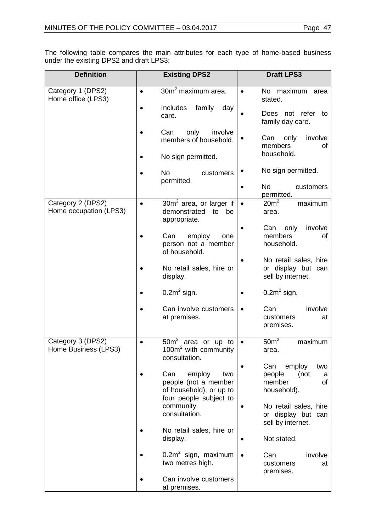The following table compares the main attributes for each type of home-based business under the existing DPS2 and draft LPS3:

| <b>Definition</b>                           | <b>Existing DPS2</b>                                                                      | <b>Draft LPS3</b>                                                |
|---------------------------------------------|-------------------------------------------------------------------------------------------|------------------------------------------------------------------|
| Category 1 (DPS2)<br>Home office (LPS3)     | 30m <sup>2</sup> maximum area.<br>$\bullet$<br><b>Includes</b><br>family<br>day           | No maximum<br>$\bullet$<br>area<br>stated.                       |
|                                             | care.                                                                                     | Does not refer<br>to<br>family day care.                         |
|                                             | Can<br>only<br>involve<br>members of household.                                           | Can<br>only<br>involve<br>members<br>οf                          |
|                                             | No sign permitted.                                                                        | household.                                                       |
|                                             | <b>No</b><br>customers<br>permitted.                                                      | No sign permitted.                                               |
|                                             |                                                                                           | No<br>customers<br>permitted.                                    |
| Category 2 (DPS2)<br>Home occupation (LPS3) | $30m2$ area, or larger if<br>$\bullet$<br>demonstrated<br>to<br>be<br>appropriate.        | $20m^2$<br>maximum<br>area.                                      |
|                                             | employ<br>Can<br>one<br>person not a member<br>of household.                              | only<br>involve<br>Can<br>members<br>οf<br>household.            |
|                                             | No retail sales, hire or<br>display.                                                      | No retail sales, hire<br>or display but can<br>sell by internet. |
|                                             | $0.2m2$ sign.                                                                             | $0.2m2$ sign.                                                    |
|                                             | Can involve customers<br>at premises.                                                     | Can<br>involve<br>customers<br>at<br>premises.                   |
| Category 3 (DPS2)<br>Home Business (LPS3)   | $\overline{50m^2}$ area or up to<br>$\bullet$<br>100 $m2$ with community<br>consultation. | $50m^2$<br>maximum<br>$\bullet$<br>area.                         |
|                                             | Can<br>employ<br>two                                                                      | Can<br>employ<br>two<br>(not<br>people                           |
|                                             | people (not a member<br>of household), or up to<br>four people subject to                 | а<br>member<br>of<br>household).                                 |
|                                             | community<br>consultation.                                                                | No retail sales, hire<br>or display but can<br>sell by internet. |
|                                             | No retail sales, hire or<br>display.                                                      | Not stated.                                                      |
|                                             | $0.2m2$ sign, maximum<br>two metres high.                                                 | Can<br>involve<br>$\bullet$<br>customers<br>at<br>premises.      |
|                                             | Can involve customers<br>at premises.                                                     |                                                                  |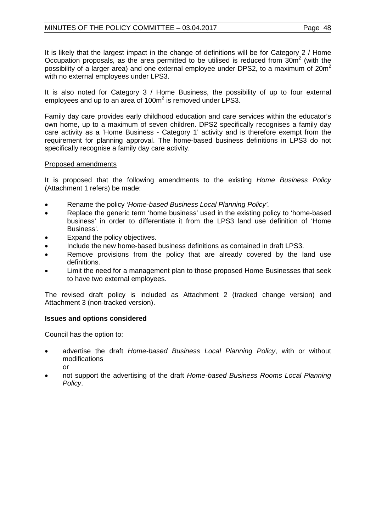It is likely that the largest impact in the change of definitions will be for Category 2 / Home Occupation proposals, as the area permitted to be utilised is reduced from  $30m^2$  (with the possibility of a larger area) and one external employee under DPS2, to a maximum of  $20m^2$ with no external employees under LPS3.

It is also noted for Category 3 / Home Business, the possibility of up to four external employees and up to an area of 100m<sup>2</sup> is removed under LPS3.

Family day care provides early childhood education and care services within the educator's own home, up to a maximum of seven children. DPS2 specifically recognises a family day care activity as a 'Home Business - Category 1' activity and is therefore exempt from the requirement for planning approval. The home-based business definitions in LPS3 do not specifically recognise a family day care activity.

# Proposed amendments

It is proposed that the following amendments to the existing *Home Business Policy* (Attachment 1 refers) be made:

- Rename the policy *'Home-based Business Local Planning Policy'.*
- Replace the generic term 'home business' used in the existing policy to 'home-based business' in order to differentiate it from the LPS3 land use definition of 'Home Business'.
- Expand the policy objectives.
- Include the new home-based business definitions as contained in draft LPS3.
- Remove provisions from the policy that are already covered by the land use definitions.
- Limit the need for a management plan to those proposed Home Businesses that seek to have two external employees.

The revised draft policy is included as Attachment 2 (tracked change version) and Attachment 3 (non-tracked version).

# **Issues and options considered**

Council has the option to:

- advertise the draft *Home-based Business Local Planning Policy*, with or without modifications or
- not support the advertising of the draft *Home-based Business Rooms Local Planning Policy*.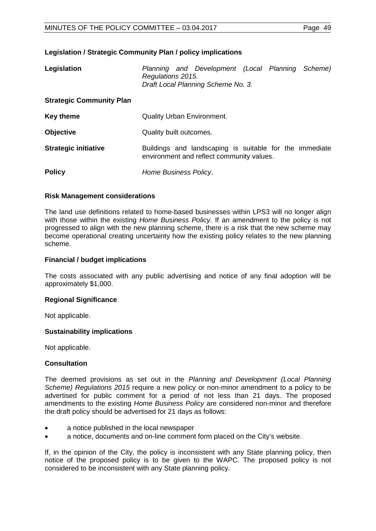## **Legislation / Strategic Community Plan / policy implications**

| Legislation                     | Planning and Development (Local Planning Scheme)<br>Regulations 2015.<br>Draft Local Planning Scheme No. 3. |  |  |
|---------------------------------|-------------------------------------------------------------------------------------------------------------|--|--|
| <b>Strategic Community Plan</b> |                                                                                                             |  |  |
| <b>Key theme</b>                | <b>Quality Urban Environment.</b>                                                                           |  |  |
| <b>Objective</b>                | Quality built outcomes.                                                                                     |  |  |
| <b>Strategic initiative</b>     | Buildings and landscaping is suitable for the immediate<br>environment and reflect community values.        |  |  |
| <b>Policy</b>                   | Home Business Policy.                                                                                       |  |  |

## **Risk Management considerations**

The land use definitions related to home-based businesses within LPS3 will no longer align with those within the existing *Home Business Policy*. If an amendment to the policy is not progressed to align with the new planning scheme, there is a risk that the new scheme may become operational creating uncertainty how the existing policy relates to the new planning scheme.

## **Financial / budget implications**

The costs associated with any public advertising and notice of any final adoption will be approximately \$1,000.

### **Regional Significance**

Not applicable.

## **Sustainability implications**

Not applicable.

## **Consultation**

The deemed provisions as set out in the *Planning and Development (Local Planning Scheme) Regulations 2015* require a new policy or non-minor amendment to a policy to be advertised for public comment for a period of not less than 21 days. The proposed amendments to the existing *Home Business Policy* are considered non-minor and therefore the draft policy should be advertised for 21 days as follows:

- a notice published in the local newspaper
- a notice, documents and on-line comment form placed on the City's website.

If, in the opinion of the City, the policy is inconsistent with any State planning policy, then notice of the proposed policy is to be given to the WAPC. The proposed policy is not considered to be inconsistent with any State planning policy.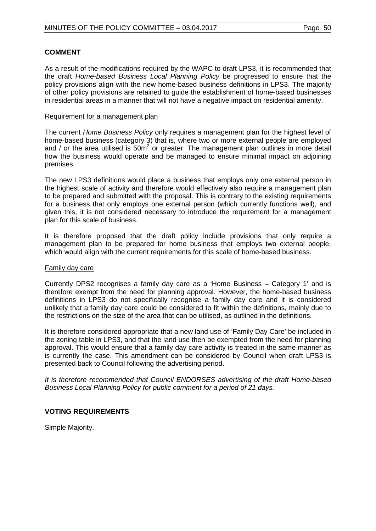## **COMMENT**

As a result of the modifications required by the WAPC to draft LPS3, it is recommended that the draft *Home-based Business Local Planning Policy* be progressed to ensure that the policy provisions align with the new home-based business definitions in LPS3. The majority of other policy provisions are retained to guide the establishment of home-based businesses in residential areas in a manner that will not have a negative impact on residential amenity.

## Requirement for a management plan

The current *Home Business Policy* only requires a management plan for the highest level of home-based business (category 3) that is, where two or more external people are employed and / or the area utilised is  $50m^2$  or greater. The management plan outlines in more detail how the business would operate and be managed to ensure minimal impact on adjoining premises.

The new LPS3 definitions would place a business that employs only one external person in the highest scale of activity and therefore would effectively also require a management plan to be prepared and submitted with the proposal. This is contrary to the existing requirements for a business that only employs one external person (which currently functions well), and given this, it is not considered necessary to introduce the requirement for a management plan for this scale of business.

It is therefore proposed that the draft policy include provisions that only require a management plan to be prepared for home business that employs two external people, which would align with the current requirements for this scale of home-based business.

### Family day care

Currently DPS2 recognises a family day care as a 'Home Business – Category 1' and is therefore exempt from the need for planning approval. However, the home-based business definitions in LPS3 do not specifically recognise a family day care and it is considered unlikely that a family day care could be considered to fit within the definitions, mainly due to the restrictions on the size of the area that can be utilised, as outlined in the definitions.

It is therefore considered appropriate that a new land use of 'Family Day Care' be included in the zoning table in LPS3, and that the land use then be exempted from the need for planning approval. This would ensure that a family day care activity is treated in the same manner as is currently the case. This amendment can be considered by Council when draft LPS3 is presented back to Council following the advertising period.

*It is therefore recommended that Council ENDORSES advertising of the draft Home-based Business Local Planning Policy for public comment for a period of 21 days.*

## **VOTING REQUIREMENTS**

Simple Majority.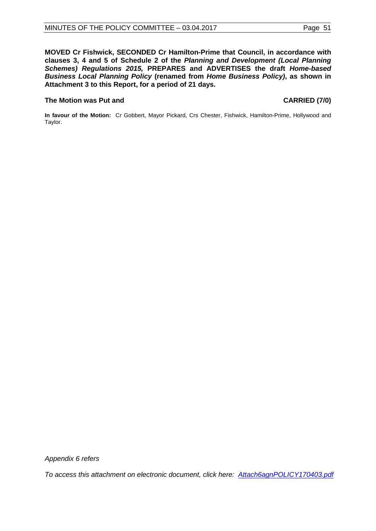**MOVED Cr Fishwick, SECONDED Cr Hamilton-Prime that Council, in accordance with clauses 3, 4 and 5 of Schedule 2 of the** *Planning and Development (Local Planning Schemes) Regulations 2015,* **PREPARES and ADVERTISES the draft** *Home-based Business Local Planning Policy* **(renamed from** *Home Business Policy)***, as shown in Attachment 3 to this Report, for a period of 21 days.**

## **The Motion was Put and CARRIED (7/0)**

**In favour of the Motion:** Cr Gobbert, Mayor Pickard, Crs Chester, Fishwick, Hamilton-Prime, Hollywood and Taylor.

*Appendix 6 refers*

*[To access this attachment on electronic document, click here: Attach6agnPOLICY170403.pdf](http://www.joondalup.wa.gov.au/files/committees/POLI/2017/Attach6agnPOLICY170403.pdf)*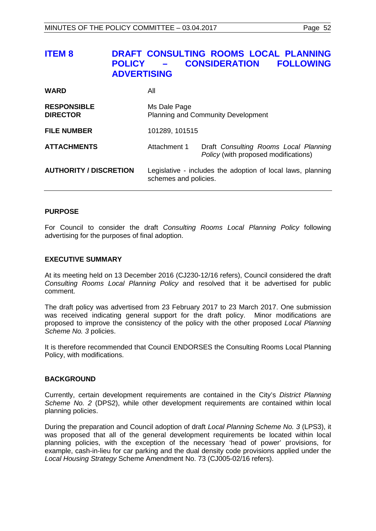| <b>ITEM 8</b>                         | DRAFT CONSULTING ROOMS LOCAL PLANNING<br><b>CONSIDERATION</b><br><b>FOLLOWING</b><br><b>POLICY</b><br><b>ADVERTISING</b> |
|---------------------------------------|--------------------------------------------------------------------------------------------------------------------------|
| <b>WARD</b>                           | All                                                                                                                      |
| <b>RESPONSIBLE</b><br><b>DIRECTOR</b> | Ms Dale Page<br><b>Planning and Community Development</b>                                                                |
| <b>FILE NUMBER</b>                    | 101289, 101515                                                                                                           |
| <b>ATTACHMENTS</b>                    | Draft Consulting Rooms Local Planning<br>Attachment 1                                                                    |

| <b>AUTHORITY / DISCRETION</b> | Legislative - includes the adoption of local laws, planning |
|-------------------------------|-------------------------------------------------------------|
|                               | schemes and policies.                                       |

*Policy* (with proposed modifications)

### **PURPOSE**

For Council to consider the draft *Consulting Rooms Local Planning Policy* following advertising for the purposes of final adoption.

## **EXECUTIVE SUMMARY**

At its meeting held on 13 December 2016 (CJ230-12/16 refers), Council considered the draft *Consulting Rooms Local Planning Policy* and resolved that it be advertised for public comment.

The draft policy was advertised from 23 February 2017 to 23 March 2017. One submission was received indicating general support for the draft policy. Minor modifications are proposed to improve the consistency of the policy with the other proposed *Local Planning Scheme No. 3* policies.

It is therefore recommended that Council ENDORSES the Consulting Rooms Local Planning Policy, with modifications.

### **BACKGROUND**

Currently, certain development requirements are contained in the City's *District Planning Scheme No. 2* (DPS2), while other development requirements are contained within local planning policies.

During the preparation and Council adoption of draft *Local Planning Scheme No. 3* (LPS3), it was proposed that all of the general development requirements be located within local planning policies, with the exception of the necessary 'head of power' provisions, for example, cash-in-lieu for car parking and the dual density code provisions applied under the *Local Housing Strategy* Scheme Amendment No. 73 (CJ005-02/16 refers).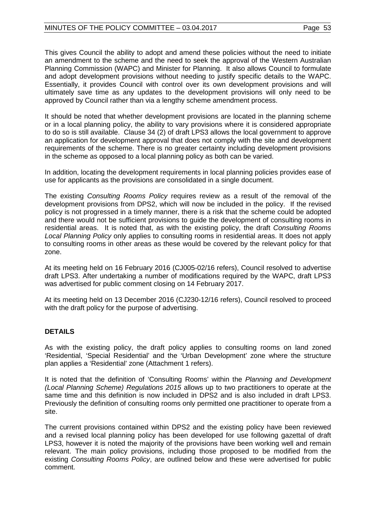This gives Council the ability to adopt and amend these policies without the need to initiate an amendment to the scheme and the need to seek the approval of the Western Australian Planning Commission (WAPC) and Minister for Planning. It also allows Council to formulate and adopt development provisions without needing to justify specific details to the WAPC. Essentially, it provides Council with control over its own development provisions and will ultimately save time as any updates to the development provisions will only need to be approved by Council rather than via a lengthy scheme amendment process.

It should be noted that whether development provisions are located in the planning scheme or in a local planning policy, the ability to vary provisions where it is considered appropriate to do so is still available. Clause 34 (2) of draft LPS3 allows the local government to approve an application for development approval that does not comply with the site and development requirements of the scheme. There is no greater certainty including development provisions in the scheme as opposed to a local planning policy as both can be varied.

In addition, locating the development requirements in local planning policies provides ease of use for applicants as the provisions are consolidated in a single document.

The existing *Consulting Rooms Policy* requires review as a result of the removal of the development provisions from DPS2, which will now be included in the policy. If the revised policy is not progressed in a timely manner, there is a risk that the scheme could be adopted and there would not be sufficient provisions to guide the development of consulting rooms in residential areas. It is noted that, as with the existing policy, the draft *Consulting Rooms Local Planning Policy* only applies to consulting rooms in residential areas. It does not apply to consulting rooms in other areas as these would be covered by the relevant policy for that zone.

At its meeting held on 16 February 2016 (CJ005-02/16 refers), Council resolved to advertise draft LPS3. After undertaking a number of modifications required by the WAPC, draft LPS3 was advertised for public comment closing on 14 February 2017.

At its meeting held on 13 December 2016 (CJ230-12/16 refers), Council resolved to proceed with the draft policy for the purpose of advertising.

# **DETAILS**

As with the existing policy, the draft policy applies to consulting rooms on land zoned 'Residential, 'Special Residential' and the 'Urban Development' zone where the structure plan applies a 'Residential' zone (Attachment 1 refers).

It is noted that the definition of 'Consulting Rooms' within the *Planning and Development (Local Planning Scheme) Regulations 2015* allows up to two practitioners to operate at the same time and this definition is now included in DPS2 and is also included in draft LPS3. Previously the definition of consulting rooms only permitted one practitioner to operate from a site.

The current provisions contained within DPS2 and the existing policy have been reviewed and a revised local planning policy has been developed for use following gazettal of draft LPS3, however it is noted the majority of the provisions have been working well and remain relevant. The main policy provisions, including those proposed to be modified from the existing *Consulting Rooms Policy*, are outlined below and these were advertised for public comment.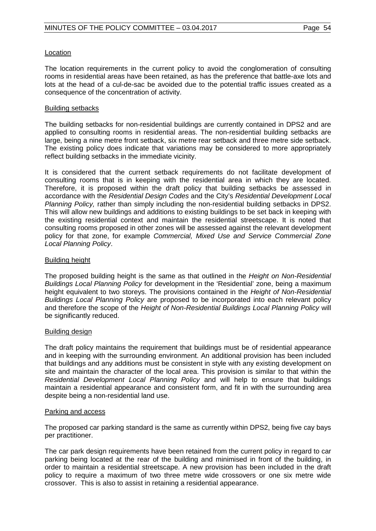## Location

The location requirements in the current policy to avoid the conglomeration of consulting rooms in residential areas have been retained, as has the preference that battle-axe lots and lots at the head of a cul-de-sac be avoided due to the potential traffic issues created as a consequence of the concentration of activity.

## Building setbacks

The building setbacks for non-residential buildings are currently contained in DPS2 and are applied to consulting rooms in residential areas. The non-residential building setbacks are large, being a nine metre front setback, six metre rear setback and three metre side setback. The existing policy does indicate that variations may be considered to more appropriately reflect building setbacks in the immediate vicinity.

It is considered that the current setback requirements do not facilitate development of consulting rooms that is in keeping with the residential area in which they are located. Therefore, it is proposed within the draft policy that building setbacks be assessed in accordance with the *Residential Design Codes* and the City's *Residential Development Local Planning Policy,* rather than simply including the non-residential building setbacks in DPS2. This will allow new buildings and additions to existing buildings to be set back in keeping with the existing residential context and maintain the residential streetscape. It is noted that consulting rooms proposed in other zones will be assessed against the relevant development policy for that zone, for example *Commercial, Mixed Use and Service Commercial Zone Local Planning Policy*.

## Building height

The proposed building height is the same as that outlined in the *Height on Non-Residential Buildings Local Planning Policy* for development in the 'Residential' zone, being a maximum height equivalent to two storeys. The provisions contained in the *Height of Non-Residential Buildings Local Planning Policy* are proposed to be incorporated into each relevant policy and therefore the scope of the *Height of Non-Residential Buildings Local Planning Policy* will be significantly reduced.

## Building design

The draft policy maintains the requirement that buildings must be of residential appearance and in keeping with the surrounding environment. An additional provision has been included that buildings and any additions must be consistent in style with any existing development on site and maintain the character of the local area. This provision is similar to that within the *Residential Development Local Planning Policy* and will help to ensure that buildings maintain a residential appearance and consistent form, and fit in with the surrounding area despite being a non-residential land use.

## Parking and access

The proposed car parking standard is the same as currently within DPS2, being five cay bays per practitioner.

The car park design requirements have been retained from the current policy in regard to car parking being located at the rear of the building and minimised in front of the building, in order to maintain a residential streetscape. A new provision has been included in the draft policy to require a maximum of two three metre wide crossovers or one six metre wide crossover. This is also to assist in retaining a residential appearance.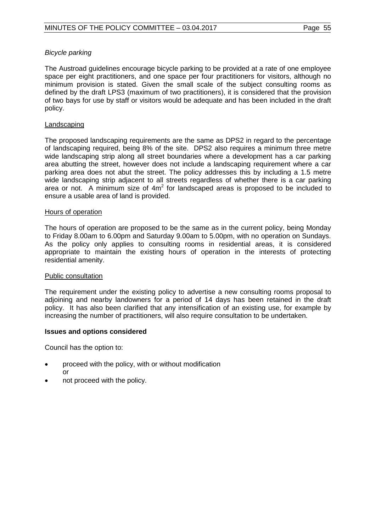# *Bicycle parking*

The Austroad guidelines encourage bicycle parking to be provided at a rate of one employee space per eight practitioners, and one space per four practitioners for visitors, although no minimum provision is stated. Given the small scale of the subject consulting rooms as defined by the draft LPS3 (maximum of two practitioners), it is considered that the provision of two bays for use by staff or visitors would be adequate and has been included in the draft policy.

## Landscaping

The proposed landscaping requirements are the same as DPS2 in regard to the percentage of landscaping required, being 8% of the site. DPS2 also requires a minimum three metre wide landscaping strip along all street boundaries where a development has a car parking area abutting the street, however does not include a landscaping requirement where a car parking area does not abut the street. The policy addresses this by including a 1.5 metre wide landscaping strip adjacent to all streets regardless of whether there is a car parking area or not. A minimum size of  $4m<sup>2</sup>$  for landscaped areas is proposed to be included to ensure a usable area of land is provided.

## Hours of operation

The hours of operation are proposed to be the same as in the current policy, being Monday to Friday 8.00am to 6.00pm and Saturday 9.00am to 5.00pm, with no operation on Sundays. As the policy only applies to consulting rooms in residential areas, it is considered appropriate to maintain the existing hours of operation in the interests of protecting residential amenity.

## Public consultation

The requirement under the existing policy to advertise a new consulting rooms proposal to adjoining and nearby landowners for a period of 14 days has been retained in the draft policy. It has also been clarified that any intensification of an existing use, for example by increasing the number of practitioners, will also require consultation to be undertaken.

## **Issues and options considered**

Council has the option to:

- proceed with the policy, with or without modification or
- not proceed with the policy.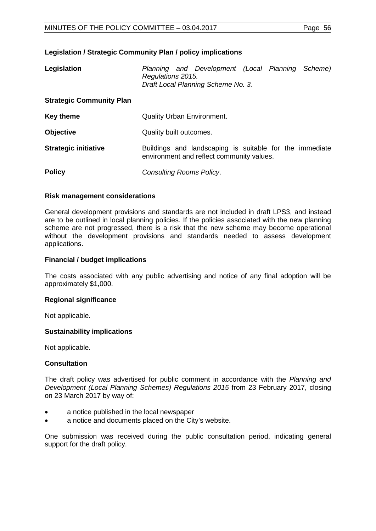## **Legislation / Strategic Community Plan / policy implications**

| Legislation                     | Regulations 2015.                 | Planning and Development (Local Planning Scheme)<br>Draft Local Planning Scheme No. 3.               |  |  |  |  |
|---------------------------------|-----------------------------------|------------------------------------------------------------------------------------------------------|--|--|--|--|
| <b>Strategic Community Plan</b> |                                   |                                                                                                      |  |  |  |  |
| <b>Key theme</b>                | <b>Quality Urban Environment.</b> |                                                                                                      |  |  |  |  |
| <b>Objective</b>                | Quality built outcomes.           |                                                                                                      |  |  |  |  |
| <b>Strategic initiative</b>     |                                   | Buildings and landscaping is suitable for the immediate<br>environment and reflect community values. |  |  |  |  |
| <b>Policy</b>                   | Consulting Rooms Policy.          |                                                                                                      |  |  |  |  |

### **Risk management considerations**

General development provisions and standards are not included in draft LPS3, and instead are to be outlined in local planning policies. If the policies associated with the new planning scheme are not progressed, there is a risk that the new scheme may become operational without the development provisions and standards needed to assess development applications.

## **Financial / budget implications**

The costs associated with any public advertising and notice of any final adoption will be approximately \$1,000.

### **Regional significance**

Not applicable.

## **Sustainability implications**

Not applicable.

## **Consultation**

The draft policy was advertised for public comment in accordance with the *Planning and Development (Local Planning Schemes) Regulations 2015* from 23 February 2017, closing on 23 March 2017 by way of:

- a notice published in the local newspaper
- a notice and documents placed on the City's website.

One submission was received during the public consultation period, indicating general support for the draft policy.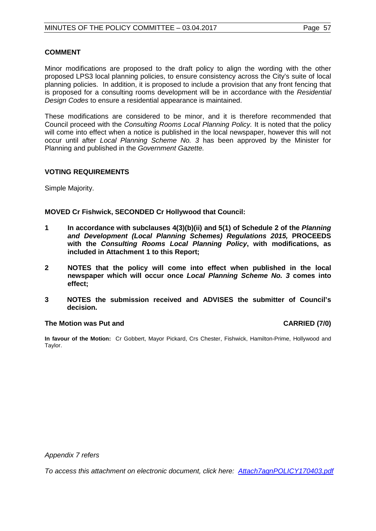## **COMMENT**

Minor modifications are proposed to the draft policy to align the wording with the other proposed LPS3 local planning policies, to ensure consistency across the City's suite of local planning policies. In addition, it is proposed to include a provision that any front fencing that is proposed for a consulting rooms development will be in accordance with the *Residential Design Codes* to ensure a residential appearance is maintained.

These modifications are considered to be minor, and it is therefore recommended that Council proceed with the *Consulting Rooms Local Planning Policy.* It is noted that the policy will come into effect when a notice is published in the local newspaper, however this will not occur until after *Local Planning Scheme No. 3* has been approved by the Minister for Planning and published in the *Government Gazette.*

## **VOTING REQUIREMENTS**

Simple Majority.

## **MOVED Cr Fishwick, SECONDED Cr Hollywood that Council:**

- **1 In accordance with subclauses 4(3)(b)(ii) and 5(1) of Schedule 2 of the** *Planning and Development (Local Planning Schemes) Regulations 2015,* **PROCEEDS with the** *Consulting Rooms Local Planning Policy***, with modifications, as included in Attachment 1 to this Report;**
- **2 NOTES that the policy will come into effect when published in the local newspaper which will occur once** *Local Planning Scheme No. 3* **comes into effect;**
- **3 NOTES the submission received and ADVISES the submitter of Council's decision.**

### **The Motion was Put and CARRIED (7/0)**

**In favour of the Motion:** Cr Gobbert, Mayor Pickard, Crs Chester, Fishwick, Hamilton-Prime, Hollywood and Taylor.

*Appendix 7 refers*

*[To access this attachment on electronic document, click here: Attach7agnPOLICY170403.pdf](http://www.joondalup.wa.gov.au/files/committees/POLI/2017/Attach7agnPOLICY170403.pdf)*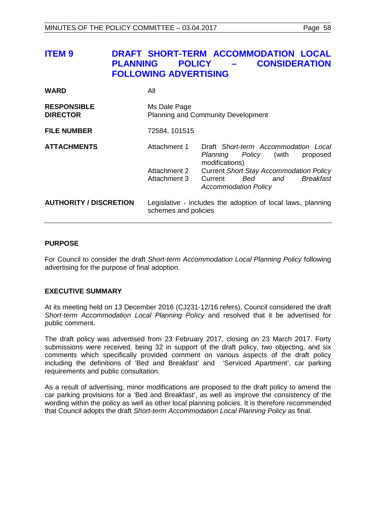| <b>ITEM 9</b>                         | <b>POLICY</b><br><b>PLANNING</b><br><b>FOLLOWING ADVERTISING</b> | DRAFT SHORT-TERM ACCOMMODATION LOCAL<br><b>CONSIDERATION</b>                                                                                                                                                                        |
|---------------------------------------|------------------------------------------------------------------|-------------------------------------------------------------------------------------------------------------------------------------------------------------------------------------------------------------------------------------|
| <b>WARD</b>                           | All                                                              |                                                                                                                                                                                                                                     |
| <b>RESPONSIBLE</b><br><b>DIRECTOR</b> | Ms Dale Page                                                     | <b>Planning and Community Development</b>                                                                                                                                                                                           |
| <b>FILE NUMBER</b>                    | 72584, 101515                                                    |                                                                                                                                                                                                                                     |
| <b>ATTACHMENTS</b>                    | Attachment 1<br>Attachment 2<br>Attachment 3                     | Draft Short-term Accommodation Local<br><i>Policy</i> (with<br>Planning<br>proposed<br>modifications)<br><b>Current Short Stay Accommodation Policy</b><br><b>Breakfast</b><br>Current<br>Bed<br>and<br><b>Accommodation Policy</b> |
| <b>AUTHORITY / DISCRETION</b>         | schemes and policies                                             | Legislative - includes the adoption of local laws, planning                                                                                                                                                                         |

## **PURPOSE**

For Council to consider the draft *Short-term Accommodation Local Planning Policy* following advertising for the purpose of final adoption.

## **EXECUTIVE SUMMARY**

At its meeting held on 13 December 2016 (CJ231-12/16 refers), Council considered the draft *Short-term Accommodation Local Planning Policy* and resolved that it be advertised for public comment.

The draft policy was advertised from 23 February 2017, closing on 23 March 2017. Forty submissions were received, being 32 in support of the draft policy, two objecting, and six comments which specifically provided comment on various aspects of the draft policy including the definitions of 'Bed and Breakfast' and 'Serviced Apartment', car parking requirements and public consultation.

As a result of advertising, minor modifications are proposed to the draft policy to amend the car parking provisions for a 'Bed and Breakfast', as well as improve the consistency of the wording within the policy as well as other local planning policies. It is therefore recommended that Council adopts the draft *Short-term Accommodation Local Planning Policy* as final.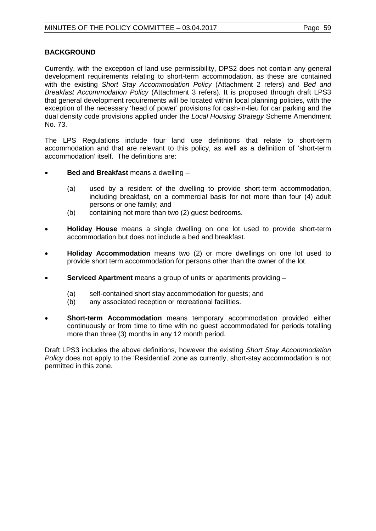# **BACKGROUND**

Currently, with the exception of land use permissibility, DPS2 does not contain any general development requirements relating to short-term accommodation, as these are contained with the existing *Short Stay Accommodation Policy* (Attachment 2 refers) and *Bed and Breakfast Accommodation Policy* (Attachment 3 refers). It is proposed through draft LPS3 that general development requirements will be located within local planning policies, with the exception of the necessary 'head of power' provisions for cash-in-lieu for car parking and the dual density code provisions applied under the *Local Housing Strategy* Scheme Amendment No. 73.

The LPS Regulations include four land use definitions that relate to short-term accommodation and that are relevant to this policy, as well as a definition of 'short-term accommodation' itself. The definitions are:

- **Bed and Breakfast** means a dwelling
	- (a) used by a resident of the dwelling to provide short-term accommodation, including breakfast, on a commercial basis for not more than four (4) adult persons or one family; and
	- (b) containing not more than two (2) guest bedrooms.
- **Holiday House** means a single dwelling on one lot used to provide short-term accommodation but does not include a bed and breakfast.
- **Holiday Accommodation** means two (2) or more dwellings on one lot used to provide short term accommodation for persons other than the owner of the lot.
- **Serviced Apartment** means a group of units or apartments providing
	- (a) self-contained short stay accommodation for guests; and<br>(b) any associated reception or recreational facilities.
	- any associated reception or recreational facilities.
- **Short-term Accommodation** means temporary accommodation provided either continuously or from time to time with no guest accommodated for periods totalling more than three (3) months in any 12 month period.

Draft LPS3 includes the above definitions, however the existing *Short Stay Accommodation Policy* does not apply to the 'Residential' zone as currently, short-stay accommodation is not permitted in this zone.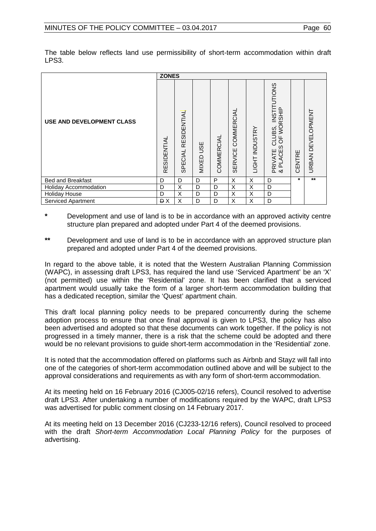|                                  | <b>ZONES</b> |                        |                     |            |                                     |                |                                                              |         |                   |
|----------------------------------|--------------|------------------------|---------------------|------------|-------------------------------------|----------------|--------------------------------------------------------------|---------|-------------------|
| <b>USE AND DEVELOPMENT CLASS</b> | RESIDENTIAL  | RESIDENTIAL<br>SPECIAL | <b>JSE</b><br>MIXED | COMMERCIAL | <b>COMMERCIAL</b><br><b>SERVICE</b> | LIGHT INDUSTRY | CLUBS, INSTITUTIONS<br>; OF WORSHIP<br>PRIVATE C<br>& PLACES | CENTRE  | URBAN DEVELOPMENT |
| <b>Bed and Breakfast</b>         | D            | D                      | D                   | P          | X                                   | X              | D                                                            | $\star$ | $\star\star$      |
| <b>Holiday Accommodation</b>     | D            | X                      | D                   | D          | X                                   | X              | D                                                            |         |                   |
| <b>Holiday House</b>             | D            | X                      | D                   | D          | X                                   | X              | D                                                            |         |                   |
| Serviced Apartment               | <b>DX</b>    | X                      | D                   | D          | X                                   | X              | D                                                            |         |                   |

The table below reflects land use permissibility of short-term accommodation within draft LPS3.

- **\*** Development and use of land is to be in accordance with an approved activity centre structure plan prepared and adopted under Part 4 of the deemed provisions.
- **\*\*** Development and use of land is to be in accordance with an approved structure plan prepared and adopted under Part 4 of the deemed provisions.

In regard to the above table, it is noted that the Western Australian Planning Commission (WAPC), in assessing draft LPS3, has required the land use 'Serviced Apartment' be an 'X' (not permitted) use within the 'Residential' zone. It has been clarified that a serviced apartment would usually take the form of a larger short-term accommodation building that has a dedicated reception, similar the 'Quest' apartment chain.

This draft local planning policy needs to be prepared concurrently during the scheme adoption process to ensure that once final approval is given to LPS3, the policy has also been advertised and adopted so that these documents can work together. If the policy is not progressed in a timely manner, there is a risk that the scheme could be adopted and there would be no relevant provisions to guide short-term accommodation in the 'Residential' zone.

It is noted that the accommodation offered on platforms such as Airbnb and Stayz will fall into one of the categories of short-term accommodation outlined above and will be subject to the approval considerations and requirements as with any form of short-term accommodation.

At its meeting held on 16 February 2016 (CJ005-02/16 refers), Council resolved to advertise draft LPS3. After undertaking a number of modifications required by the WAPC, draft LPS3 was advertised for public comment closing on 14 February 2017.

At its meeting held on 13 December 2016 (CJ233-12/16 refers), Council resolved to proceed with the draft *Short-term Accommodation Local Planning Policy* for the purposes of advertising.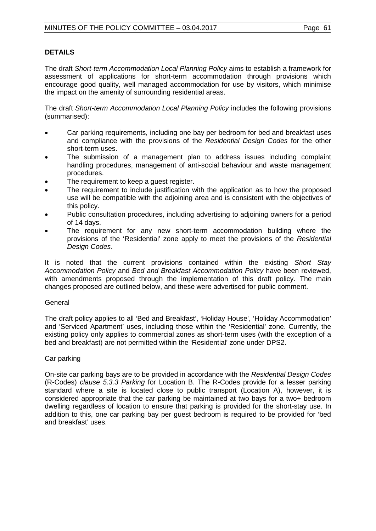# **DETAILS**

The draft *Short-term Accommodation Local Planning Policy* aims to establish a framework for assessment of applications for short-term accommodation through provisions which encourage good quality, well managed accommodation for use by visitors, which minimise the impact on the amenity of surrounding residential areas.

The draft *Short-term Accommodation Local Planning Policy* includes the following provisions (summarised):

- Car parking requirements, including one bay per bedroom for bed and breakfast uses and compliance with the provisions of the *Residential Design Codes* for the other short-term uses.
- The submission of a management plan to address issues including complaint handling procedures, management of anti-social behaviour and waste management procedures.
- The requirement to keep a guest register.
- The requirement to include justification with the application as to how the proposed use will be compatible with the adjoining area and is consistent with the objectives of this policy.
- Public consultation procedures, including advertising to adjoining owners for a period of 14 days.
- The requirement for any new short-term accommodation building where the provisions of the 'Residential' zone apply to meet the provisions of the *Residential Design Codes*.

It is noted that the current provisions contained within the existing *Short Stay Accommodation Policy* and *Bed and Breakfast Accommodation Policy* have been reviewed, with amendments proposed through the implementation of this draft policy. The main changes proposed are outlined below, and these were advertised for public comment.

## General

The draft policy applies to all 'Bed and Breakfast', 'Holiday House', 'Holiday Accommodation' and 'Serviced Apartment' uses, including those within the 'Residential' zone. Currently, the existing policy only applies to commercial zones as short-term uses (with the exception of a bed and breakfast) are not permitted within the 'Residential' zone under DPS2.

## Car parking

On-site car parking bays are to be provided in accordance with the *Residential Design Codes*  (R-Codes) *clause 5.3.3 Parking* for Location B. The R-Codes provide for a lesser parking standard where a site is located close to public transport (Location A), however, it is considered appropriate that the car parking be maintained at two bays for a two+ bedroom dwelling regardless of location to ensure that parking is provided for the short-stay use. In addition to this, one car parking bay per guest bedroom is required to be provided for 'bed and breakfast' uses.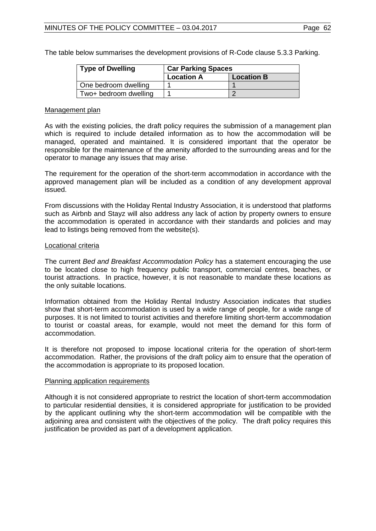The table below summarises the development provisions of R-Code clause 5.3.3 Parking.

| <b>Type of Dwelling</b> | <b>Car Parking Spaces</b> |                   |  |  |  |
|-------------------------|---------------------------|-------------------|--|--|--|
|                         | <b>Location A</b>         | <b>Location B</b> |  |  |  |
| One bedroom dwelling    |                           |                   |  |  |  |
| Two+ bedroom dwelling   |                           |                   |  |  |  |

### Management plan

As with the existing policies, the draft policy requires the submission of a management plan which is required to include detailed information as to how the accommodation will be managed, operated and maintained. It is considered important that the operator be responsible for the maintenance of the amenity afforded to the surrounding areas and for the operator to manage any issues that may arise.

The requirement for the operation of the short-term accommodation in accordance with the approved management plan will be included as a condition of any development approval issued.

From discussions with the Holiday Rental Industry Association, it is understood that platforms such as Airbnb and Stayz will also address any lack of action by property owners to ensure the accommodation is operated in accordance with their standards and policies and may lead to listings being removed from the website(s).

## Locational criteria

The current *Bed and Breakfast Accommodation Policy* has a statement encouraging the use to be located close to high frequency public transport, commercial centres, beaches, or tourist attractions. In practice, however, it is not reasonable to mandate these locations as the only suitable locations.

Information obtained from the Holiday Rental Industry Association indicates that studies show that short-term accommodation is used by a wide range of people, for a wide range of purposes. It is not limited to tourist activities and therefore limiting short-term accommodation to tourist or coastal areas, for example, would not meet the demand for this form of accommodation.

It is therefore not proposed to impose locational criteria for the operation of short-term accommodation. Rather, the provisions of the draft policy aim to ensure that the operation of the accommodation is appropriate to its proposed location.

### Planning application requirements

Although it is not considered appropriate to restrict the location of short-term accommodation to particular residential densities, it is considered appropriate for justification to be provided by the applicant outlining why the short-term accommodation will be compatible with the adjoining area and consistent with the objectives of the policy. The draft policy requires this justification be provided as part of a development application.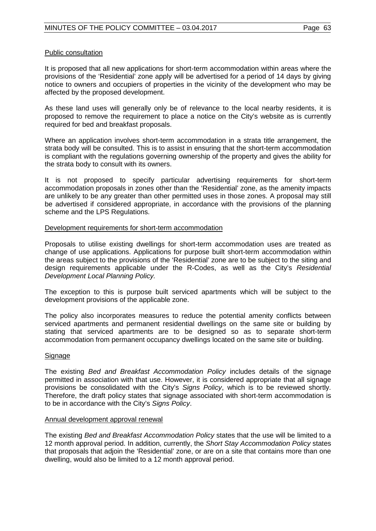## Public consultation

It is proposed that all new applications for short-term accommodation within areas where the provisions of the 'Residential' zone apply will be advertised for a period of 14 days by giving notice to owners and occupiers of properties in the vicinity of the development who may be affected by the proposed development.

As these land uses will generally only be of relevance to the local nearby residents, it is proposed to remove the requirement to place a notice on the City's website as is currently required for bed and breakfast proposals.

Where an application involves short-term accommodation in a strata title arrangement, the strata body will be consulted. This is to assist in ensuring that the short-term accommodation is compliant with the regulations governing ownership of the property and gives the ability for the strata body to consult with its owners.

It is not proposed to specify particular advertising requirements for short-term accommodation proposals in zones other than the 'Residential' zone, as the amenity impacts are unlikely to be any greater than other permitted uses in those zones. A proposal may still be advertised if considered appropriate, in accordance with the provisions of the planning scheme and the LPS Regulations.

## Development requirements for short-term accommodation

Proposals to utilise existing dwellings for short-term accommodation uses are treated as change of use applications. Applications for purpose built short-term accommodation within the areas subject to the provisions of the 'Residential' zone are to be subject to the siting and design requirements applicable under the R-Codes, as well as the City's *Residential Development Local Planning Policy.*

The exception to this is purpose built serviced apartments which will be subject to the development provisions of the applicable zone.

The policy also incorporates measures to reduce the potential amenity conflicts between serviced apartments and permanent residential dwellings on the same site or building by stating that serviced apartments are to be designed so as to separate short-term accommodation from permanent occupancy dwellings located on the same site or building.

## Signage

The existing *Bed and Breakfast Accommodation Policy* includes details of the signage permitted in association with that use. However, it is considered appropriate that all signage provisions be consolidated with the City's *Signs Policy*, which is to be reviewed shortly. Therefore, the draft policy states that signage associated with short-term accommodation is to be in accordance with the City's *Signs Policy*.

### Annual development approval renewal

The existing *Bed and Breakfast Accommodation Policy* states that the use will be limited to a 12 month approval period. In addition, currently, the *Short Stay Accommodation Policy* states that proposals that adjoin the 'Residential' zone, or are on a site that contains more than one dwelling, would also be limited to a 12 month approval period.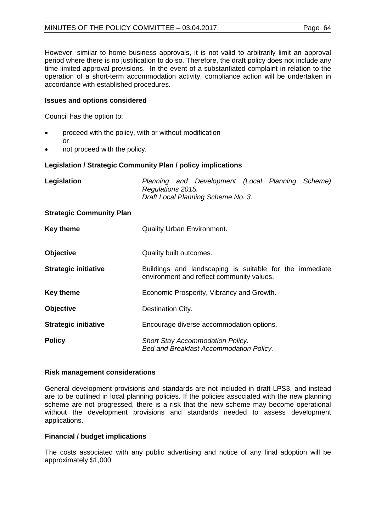However, similar to home business approvals, it is not valid to arbitrarily limit an approval period where there is no justification to do so. Therefore, the draft policy does not include any time-limited approval provisions. In the event of a substantiated complaint in relation to the operation of a short-term accommodation activity, compliance action will be undertaken in accordance with established procedures.

# **Issues and options considered**

Council has the option to:

- proceed with the policy, with or without modification or
- not proceed with the policy.

# **Legislation / Strategic Community Plan / policy implications**

| Legislation                     | Planning and Development (Local Planning Scheme)<br>Regulations 2015.<br>Draft Local Planning Scheme No. 3. |  |  |
|---------------------------------|-------------------------------------------------------------------------------------------------------------|--|--|
| <b>Strategic Community Plan</b> |                                                                                                             |  |  |
| <b>Key theme</b>                | <b>Quality Urban Environment.</b>                                                                           |  |  |
| <b>Objective</b>                | Quality built outcomes.                                                                                     |  |  |
| <b>Strategic initiative</b>     | Buildings and landscaping is suitable for the immediate<br>environment and reflect community values.        |  |  |
| <b>Key theme</b>                | Economic Prosperity, Vibrancy and Growth.                                                                   |  |  |
| <b>Objective</b>                | Destination City.                                                                                           |  |  |
| <b>Strategic initiative</b>     | Encourage diverse accommodation options.                                                                    |  |  |
| <b>Policy</b>                   | <b>Short Stay Accommodation Policy.</b><br>Bed and Breakfast Accommodation Policy.                          |  |  |

## **Risk management considerations**

General development provisions and standards are not included in draft LPS3, and instead are to be outlined in local planning policies. If the policies associated with the new planning scheme are not progressed, there is a risk that the new scheme may become operational without the development provisions and standards needed to assess development applications.

## **Financial / budget implications**

The costs associated with any public advertising and notice of any final adoption will be approximately \$1,000.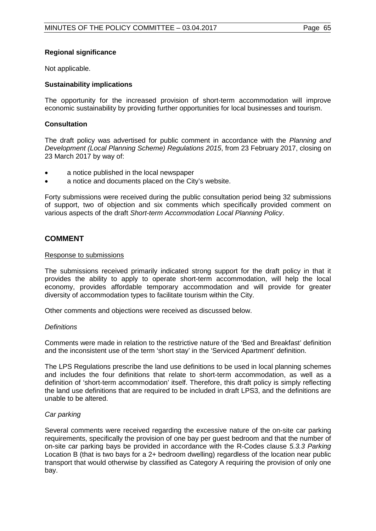# **Regional significance**

Not applicable.

# **Sustainability implications**

The opportunity for the increased provision of short-term accommodation will improve economic sustainability by providing further opportunities for local businesses and tourism.

## **Consultation**

The draft policy was advertised for public comment in accordance with the *Planning and Development (Local Planning Scheme) Regulations 2015*, from 23 February 2017, closing on 23 March 2017 by way of:

- a notice published in the local newspaper
- a notice and documents placed on the City's website.

Forty submissions were received during the public consultation period being 32 submissions of support, two of objection and six comments which specifically provided comment on various aspects of the draft *Short-term Accommodation Local Planning Policy*.

# **COMMENT**

## Response to submissions

The submissions received primarily indicated strong support for the draft policy in that it provides the ability to apply to operate short-term accommodation, will help the local economy, provides affordable temporary accommodation and will provide for greater diversity of accommodation types to facilitate tourism within the City.

Other comments and objections were received as discussed below.

## *Definitions*

Comments were made in relation to the restrictive nature of the 'Bed and Breakfast' definition and the inconsistent use of the term 'short stay' in the 'Serviced Apartment' definition.

The LPS Regulations prescribe the land use definitions to be used in local planning schemes and includes the four definitions that relate to short-term accommodation, as well as a definition of 'short-term accommodation' itself. Therefore, this draft policy is simply reflecting the land use definitions that are required to be included in draft LPS3, and the definitions are unable to be altered.

## *Car parking*

Several comments were received regarding the excessive nature of the on-site car parking requirements, specifically the provision of one bay per guest bedroom and that the number of on-site car parking bays be provided in accordance with the R-Codes clause *5.3.3 Parking* Location B (that is two bays for a 2+ bedroom dwelling) regardless of the location near public transport that would otherwise by classified as Category A requiring the provision of only one bay.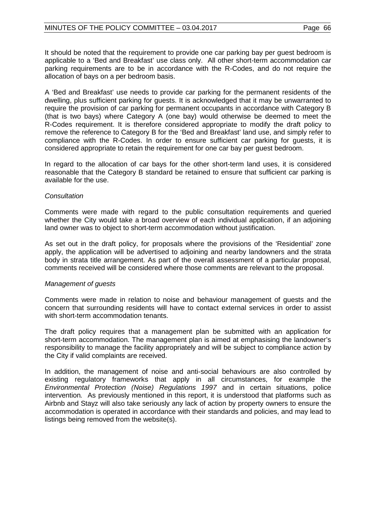It should be noted that the requirement to provide one car parking bay per guest bedroom is applicable to a 'Bed and Breakfast' use class only. All other short-term accommodation car parking requirements are to be in accordance with the R-Codes, and do not require the allocation of bays on a per bedroom basis.

A 'Bed and Breakfast' use needs to provide car parking for the permanent residents of the dwelling, plus sufficient parking for guests. It is acknowledged that it may be unwarranted to require the provision of car parking for permanent occupants in accordance with Category B (that is two bays) where Category A (one bay) would otherwise be deemed to meet the R-Codes requirement. It is therefore considered appropriate to modify the draft policy to remove the reference to Category B for the 'Bed and Breakfast' land use, and simply refer to compliance with the R-Codes. In order to ensure sufficient car parking for guests, it is considered appropriate to retain the requirement for one car bay per guest bedroom.

In regard to the allocation of car bays for the other short-term land uses, it is considered reasonable that the Category B standard be retained to ensure that sufficient car parking is available for the use.

## *Consultation*

Comments were made with regard to the public consultation requirements and queried whether the City would take a broad overview of each individual application, if an adjoining land owner was to object to short-term accommodation without justification.

As set out in the draft policy, for proposals where the provisions of the 'Residential' zone apply, the application will be advertised to adjoining and nearby landowners and the strata body in strata title arrangement. As part of the overall assessment of a particular proposal, comments received will be considered where those comments are relevant to the proposal.

## *Management of guests*

Comments were made in relation to noise and behaviour management of guests and the concern that surrounding residents will have to contact external services in order to assist with short-term accommodation tenants.

The draft policy requires that a management plan be submitted with an application for short-term accommodation. The management plan is aimed at emphasising the landowner's responsibility to manage the facility appropriately and will be subject to compliance action by the City if valid complaints are received.

In addition, the management of noise and anti-social behaviours are also controlled by existing regulatory frameworks that apply in all circumstances, for example the *Environmental Protection (Noise) Regulations 1997* and in certain situations, police intervention*.* As previously mentioned in this report, it is understood that platforms such as Airbnb and Stayz will also take seriously any lack of action by property owners to ensure the accommodation is operated in accordance with their standards and policies, and may lead to listings being removed from the website(s).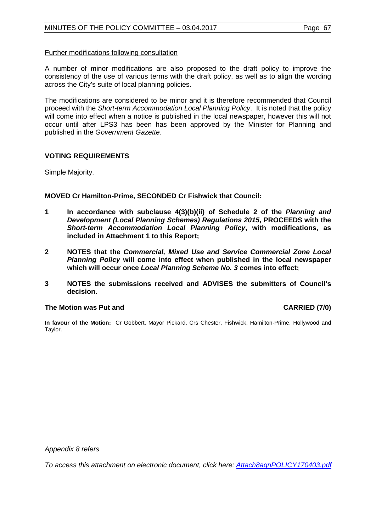A number of minor modifications are also proposed to the draft policy to improve the consistency of the use of various terms with the draft policy, as well as to align the wording across the City's suite of local planning policies.

The modifications are considered to be minor and it is therefore recommended that Council proceed with the *Short-term Accommodation Local Planning Policy*. It is noted that the policy will come into effect when a notice is published in the local newspaper, however this will not occur until after LPS3 has been has been approved by the Minister for Planning and published in the *Government Gazette*.

## **VOTING REQUIREMENTS**

Simple Majority.

## **MOVED Cr Hamilton-Prime, SECONDED Cr Fishwick that Council:**

- **1 In accordance with subclause 4(3)(b)(ii) of Schedule 2 of the** *Planning and Development (Local Planning Schemes) Regulations 2015***, PROCEEDS with the**  *Short-term Accommodation Local Planning Policy***, with modifications, as included in Attachment 1 to this Report;**
- **2 NOTES that the** *Commercial, Mixed Use and Service Commercial Zone Local Planning Policy* **will come into effect when published in the local newspaper which will occur once** *Local Planning Scheme No. 3* **comes into effect;**
- **3 NOTES the submissions received and ADVISES the submitters of Council's decision.**

## **The Motion was Put and CARRIED (7/0)**

**In favour of the Motion:** Cr Gobbert, Mayor Pickard, Crs Chester, Fishwick, Hamilton-Prime, Hollywood and Taylor.

*Appendix 8 refers*

*[To access this attachment on electronic document, click here:](http://www.joondalup.wa.gov.au/files/committees/POLI/2017/Attach8agnPOLICY170403.pdf) Attach8agnPOLICY170403.pdf*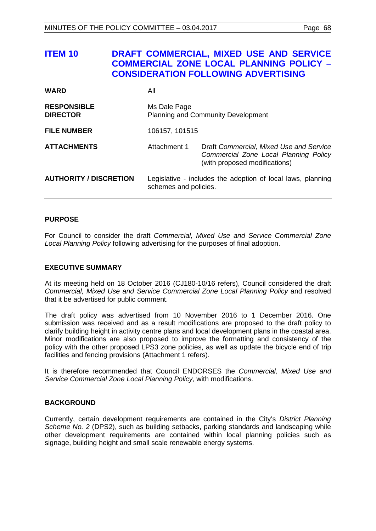| <b>ITEM 10</b>                        |                       | DRAFT COMMERCIAL, MIXED USE AND SERVICE<br><b>COMMERCIAL ZONE LOCAL PLANNING POLICY -</b><br><b>CONSIDERATION FOLLOWING ADVERTISING</b> |
|---------------------------------------|-----------------------|-----------------------------------------------------------------------------------------------------------------------------------------|
| <b>WARD</b>                           | All                   |                                                                                                                                         |
| <b>RESPONSIBLE</b><br><b>DIRECTOR</b> | Ms Dale Page          | <b>Planning and Community Development</b>                                                                                               |
| <b>FILE NUMBER</b>                    | 106157, 101515        |                                                                                                                                         |
| <b>ATTACHMENTS</b>                    | Attachment 1          | Draft Commercial, Mixed Use and Service<br>Commercial Zone Local Planning Policy<br>(with proposed modifications)                       |
| <b>AUTHORITY / DISCRETION</b>         | schemes and policies. | Legislative - includes the adoption of local laws, planning                                                                             |

## **PURPOSE**

For Council to consider the draft *Commercial, Mixed Use and Service Commercial Zone Local Planning Policy* following advertising for the purposes of final adoption.

### **EXECUTIVE SUMMARY**

At its meeting held on 18 October 2016 (CJ180-10/16 refers), Council considered the draft *Commercial, Mixed Use and Service Commercial Zone Local Planning Policy* and resolved that it be advertised for public comment.

The draft policy was advertised from 10 November 2016 to 1 December 2016. One submission was received and as a result modifications are proposed to the draft policy to clarify building height in activity centre plans and local development plans in the coastal area. Minor modifications are also proposed to improve the formatting and consistency of the policy with the other proposed LPS3 zone policies, as well as update the bicycle end of trip facilities and fencing provisions (Attachment 1 refers).

It is therefore recommended that Council ENDORSES the *Commercial, Mixed Use and Service Commercial Zone Local Planning Policy*, with modifications.

## **BACKGROUND**

Currently, certain development requirements are contained in the City's *District Planning Scheme No. 2* (DPS2), such as building setbacks, parking standards and landscaping while other development requirements are contained within local planning policies such as signage, building height and small scale renewable energy systems.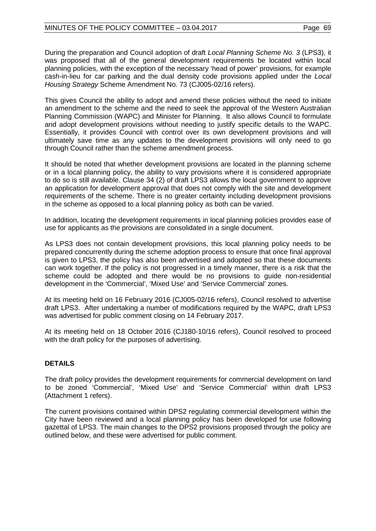During the preparation and Council adoption of draft *Local Planning Scheme No. 3* (LPS3), it was proposed that all of the general development requirements be located within local planning policies, with the exception of the necessary 'head of power' provisions, for example cash-in-lieu for car parking and the dual density code provisions applied under the *Local Housing Strategy* Scheme Amendment No. 73 (CJ005-02/16 refers).

This gives Council the ability to adopt and amend these policies without the need to initiate an amendment to the scheme and the need to seek the approval of the Western Australian Planning Commission (WAPC) and Minister for Planning. It also allows Council to formulate and adopt development provisions without needing to justify specific details to the WAPC. Essentially, it provides Council with control over its own development provisions and will ultimately save time as any updates to the development provisions will only need to go through Council rather than the scheme amendment process.

It should be noted that whether development provisions are located in the planning scheme or in a local planning policy, the ability to vary provisions where it is considered appropriate to do so is still available. Clause 34 (2) of draft LPS3 allows the local government to approve an application for development approval that does not comply with the site and development requirements of the scheme. There is no greater certainty including development provisions in the scheme as opposed to a local planning policy as both can be varied.

In addition, locating the development requirements in local planning policies provides ease of use for applicants as the provisions are consolidated in a single document.

As LPS3 does not contain development provisions, this local planning policy needs to be prepared concurrently during the scheme adoption process to ensure that once final approval is given to LPS3, the policy has also been advertised and adopted so that these documents can work together. If the policy is not progressed in a timely manner, there is a risk that the scheme could be adopted and there would be no provisions to guide non-residential development in the 'Commercial', 'Mixed Use' and 'Service Commercial' zones.

At its meeting held on 16 February 2016 (CJ005-02/16 refers), Council resolved to advertise draft LPS3. After undertaking a number of modifications required by the WAPC, draft LPS3 was advertised for public comment closing on 14 February 2017.

At its meeting held on 18 October 2016 (CJ180-10/16 refers), Council resolved to proceed with the draft policy for the purposes of advertising.

# **DETAILS**

The draft policy provides the development requirements for commercial development on land to be zoned 'Commercial', 'Mixed Use' and 'Service Commercial' within draft LPS3 (Attachment 1 refers).

The current provisions contained within DPS2 regulating commercial development within the City have been reviewed and a local planning policy has been developed for use following gazettal of LPS3. The main changes to the DPS2 provisions proposed through the policy are outlined below, and these were advertised for public comment.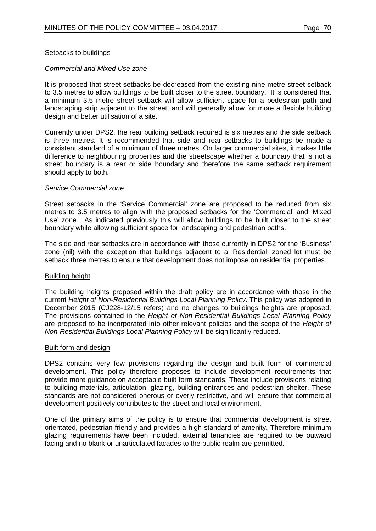## Setbacks to buildings

## *Commercial and Mixed Use zone*

It is proposed that street setbacks be decreased from the existing nine metre street setback to 3.5 metres to allow buildings to be built closer to the street boundary. It is considered that a minimum 3.5 metre street setback will allow sufficient space for a pedestrian path and landscaping strip adjacent to the street, and will generally allow for more a flexible building design and better utilisation of a site.

Currently under DPS2, the rear building setback required is six metres and the side setback is three metres. It is recommended that side and rear setbacks to buildings be made a consistent standard of a minimum of three metres. On larger commercial sites, it makes little difference to neighbouring properties and the streetscape whether a boundary that is not a street boundary is a rear or side boundary and therefore the same setback requirement should apply to both.

## *Service Commercial zone*

Street setbacks in the 'Service Commercial' zone are proposed to be reduced from six metres to 3.5 metres to align with the proposed setbacks for the 'Commercial' and 'Mixed Use' zone. As indicated previously this will allow buildings to be built closer to the street boundary while allowing sufficient space for landscaping and pedestrian paths.

The side and rear setbacks are in accordance with those currently in DPS2 for the 'Business' zone (nil) with the exception that buildings adjacent to a 'Residential' zoned lot must be setback three metres to ensure that development does not impose on residential properties.

## Building height

The building heights proposed within the draft policy are in accordance with those in the current *Height of Non-Residential Buildings Local Planning Policy*. This policy was adopted in December 2015 (CJ228-12/15 refers) and no changes to buildings heights are proposed. The provisions contained in the *Height of Non-Residential Buildings Local Planning Policy* are proposed to be incorporated into other relevant policies and the scope of the *Height of Non-Residential Buildings Local Planning Policy* will be significantly reduced.

### Built form and design

DPS2 contains very few provisions regarding the design and built form of commercial development. This policy therefore proposes to include development requirements that provide more guidance on acceptable built form standards. These include provisions relating to building materials, articulation, glazing, building entrances and pedestrian shelter. These standards are not considered onerous or overly restrictive, and will ensure that commercial development positively contributes to the street and local environment.

One of the primary aims of the policy is to ensure that commercial development is street orientated, pedestrian friendly and provides a high standard of amenity. Therefore minimum glazing requirements have been included, external tenancies are required to be outward facing and no blank or unarticulated facades to the public realm are permitted.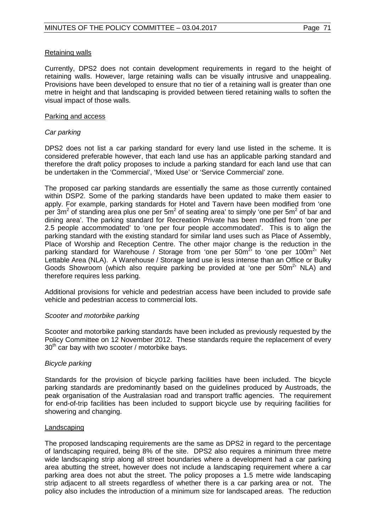## Retaining walls

Currently, DPS2 does not contain development requirements in regard to the height of retaining walls. However, large retaining walls can be visually intrusive and unappealing. Provisions have been developed to ensure that no tier of a retaining wall is greater than one metre in height and that landscaping is provided between tiered retaining walls to soften the visual impact of those walls.

## Parking and access

## *Car parking*

DPS2 does not list a car parking standard for every land use listed in the scheme. It is considered preferable however, that each land use has an applicable parking standard and therefore the draft policy proposes to include a parking standard for each land use that can be undertaken in the 'Commercial', 'Mixed Use' or 'Service Commercial' zone.

The proposed car parking standards are essentially the same as those currently contained within DSP2. Some of the parking standards have been updated to make them easier to apply. For example, parking standards for Hotel and Tavern have been modified from 'one per  $3m^2$  of standing area plus one per  $5m^2$  of seating area' to simply 'one per  $5m^2$  of bar and dining area'. The parking standard for Recreation Private has been modified from 'one per 2.5 people accommodated' to 'one per four people accommodated'. This is to align the parking standard with the existing standard for similar land uses such as Place of Assembly, Place of Worship and Reception Centre. The other major change is the reduction in the parking standard for Warehouse / Storage from 'one per 50m<sup>2</sup>' to 'one per 100m<sup>2</sup>' Net Lettable Area (NLA). A Warehouse / Storage land use is less intense than an Office or Bulky Goods Showroom (which also require parking be provided at 'one per 50m<sup>2</sup>' NLA) and therefore requires less parking.

Additional provisions for vehicle and pedestrian access have been included to provide safe vehicle and pedestrian access to commercial lots.

### *Scooter and motorbike parking*

Scooter and motorbike parking standards have been included as previously requested by the Policy Committee on 12 November 2012. These standards require the replacement of every  $30<sup>th</sup>$  car bay with two scooter / motorbike bays.

## *Bicycle parking*

Standards for the provision of bicycle parking facilities have been included. The bicycle parking standards are predominantly based on the guidelines produced by Austroads, the peak organisation of the Australasian road and transport traffic agencies. The requirement for end-of-trip facilities has been included to support bicycle use by requiring facilities for showering and changing.

### Landscaping

The proposed landscaping requirements are the same as DPS2 in regard to the percentage of landscaping required, being 8% of the site. DPS2 also requires a minimum three metre wide landscaping strip along all street boundaries where a development had a car parking area abutting the street, however does not include a landscaping requirement where a car parking area does not abut the street. The policy proposes a 1.5 metre wide landscaping strip adjacent to all streets regardless of whether there is a car parking area or not. The policy also includes the introduction of a minimum size for landscaped areas. The reduction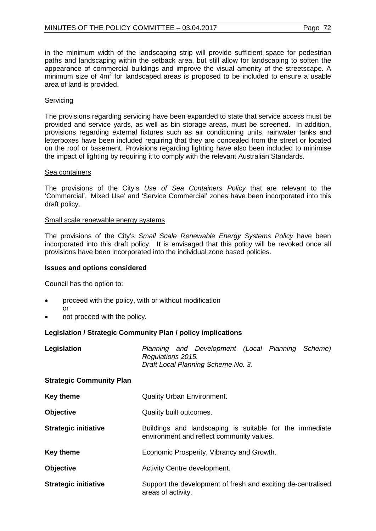in the minimum width of the landscaping strip will provide sufficient space for pedestrian paths and landscaping within the setback area, but still allow for landscaping to soften the appearance of commercial buildings and improve the visual amenity of the streetscape. A minimum size of  $4m<sup>2</sup>$  for landscaped areas is proposed to be included to ensure a usable area of land is provided.

## **Servicing**

The provisions regarding servicing have been expanded to state that service access must be provided and service yards, as well as bin storage areas, must be screened. In addition, provisions regarding external fixtures such as air conditioning units, rainwater tanks and letterboxes have been included requiring that they are concealed from the street or located on the roof or basement. Provisions regarding lighting have also been included to minimise the impact of lighting by requiring it to comply with the relevant Australian Standards.

## Sea containers

The provisions of the City's *Use of Sea Containers Policy* that are relevant to the 'Commercial', 'Mixed Use' and 'Service Commercial' zones have been incorporated into this draft policy.

## Small scale renewable energy systems

The provisions of the City's *Small Scale Renewable Energy Systems Policy* have been incorporated into this draft policy. It is envisaged that this policy will be revoked once all provisions have been incorporated into the individual zone based policies.

## **Issues and options considered**

Council has the option to:

- proceed with the policy, with or without modification or
- not proceed with the policy.

## **Legislation / Strategic Community Plan / policy implications**

| Legislation                     | Planning and Development (Local Planning Scheme)<br>Regulations 2015.<br>Draft Local Planning Scheme No. 3. |
|---------------------------------|-------------------------------------------------------------------------------------------------------------|
| <b>Strategic Community Plan</b> |                                                                                                             |
| Key theme                       | <b>Quality Urban Environment.</b>                                                                           |
| <b>Objective</b>                | Quality built outcomes.                                                                                     |
| <b>Strategic initiative</b>     | Buildings and landscaping is suitable for the immediate<br>environment and reflect community values.        |
| <b>Key theme</b>                | Economic Prosperity, Vibrancy and Growth.                                                                   |
| <b>Objective</b>                | Activity Centre development.                                                                                |
| <b>Strategic initiative</b>     | Support the development of fresh and exciting de-centralised<br>areas of activity.                          |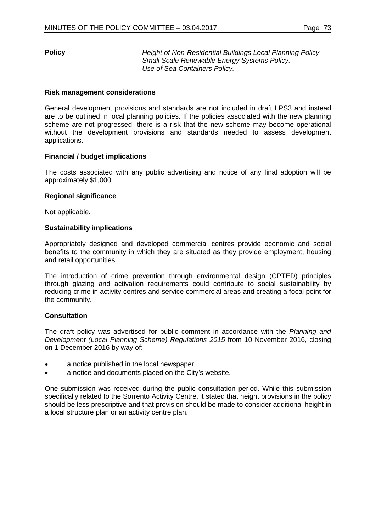**Policy** *Height of Non-Residential Buildings Local Planning Policy. Small Scale Renewable Energy Systems Policy. Use of Sea Containers Policy.*

# **Risk management considerations**

General development provisions and standards are not included in draft LPS3 and instead are to be outlined in local planning policies. If the policies associated with the new planning scheme are not progressed, there is a risk that the new scheme may become operational without the development provisions and standards needed to assess development applications.

### **Financial / budget implications**

The costs associated with any public advertising and notice of any final adoption will be approximately \$1,000.

### **Regional significance**

Not applicable.

### **Sustainability implications**

Appropriately designed and developed commercial centres provide economic and social benefits to the community in which they are situated as they provide employment, housing and retail opportunities.

The introduction of crime prevention through environmental design (CPTED) principles through glazing and activation requirements could contribute to social sustainability by reducing crime in activity centres and service commercial areas and creating a focal point for the community.

# **Consultation**

The draft policy was advertised for public comment in accordance with the *Planning and Development (Local Planning Scheme) Regulations 2015* from 10 November 2016, closing on 1 December 2016 by way of:

- a notice published in the local newspaper
- a notice and documents placed on the City's website.

One submission was received during the public consultation period. While this submission specifically related to the Sorrento Activity Centre, it stated that height provisions in the policy should be less prescriptive and that provision should be made to consider additional height in a local structure plan or an activity centre plan.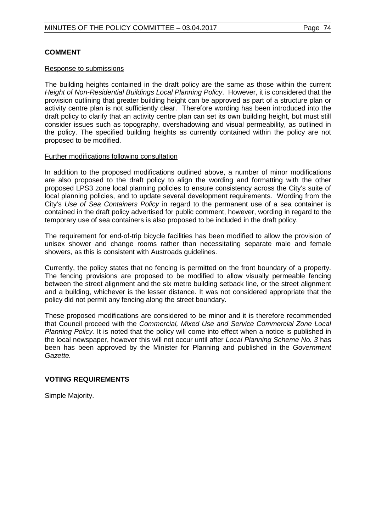# **COMMENT**

## Response to submissions

The building heights contained in the draft policy are the same as those within the current *Height of Non-Residential Buildings Local Planning Policy*. However, it is considered that the provision outlining that greater building height can be approved as part of a structure plan or activity centre plan is not sufficiently clear. Therefore wording has been introduced into the draft policy to clarify that an activity centre plan can set its own building height, but must still consider issues such as topography, overshadowing and visual permeability, as outlined in the policy. The specified building heights as currently contained within the policy are not proposed to be modified.

### Further modifications following consultation

In addition to the proposed modifications outlined above, a number of minor modifications are also proposed to the draft policy to align the wording and formatting with the other proposed LPS3 zone local planning policies to ensure consistency across the City's suite of local planning policies, and to update several development requirements. Wording from the City's *Use of Sea Containers Policy* in regard to the permanent use of a sea container is contained in the draft policy advertised for public comment, however, wording in regard to the temporary use of sea containers is also proposed to be included in the draft policy.

The requirement for end-of-trip bicycle facilities has been modified to allow the provision of unisex shower and change rooms rather than necessitating separate male and female showers, as this is consistent with Austroads guidelines.

Currently, the policy states that no fencing is permitted on the front boundary of a property. The fencing provisions are proposed to be modified to allow visually permeable fencing between the street alignment and the six metre building setback line, or the street alignment and a building, whichever is the lesser distance. It was not considered appropriate that the policy did not permit any fencing along the street boundary.

These proposed modifications are considered to be minor and it is therefore recommended that Council proceed with the *Commercial, Mixed Use and Service Commercial Zone Local Planning Policy.* It is noted that the policy will come into effect when a notice is published in the local newspaper, however this will not occur until after *Local Planning Scheme No. 3* has been has been approved by the Minister for Planning and published in the *Government Gazette.*

# **VOTING REQUIREMENTS**

Simple Majority.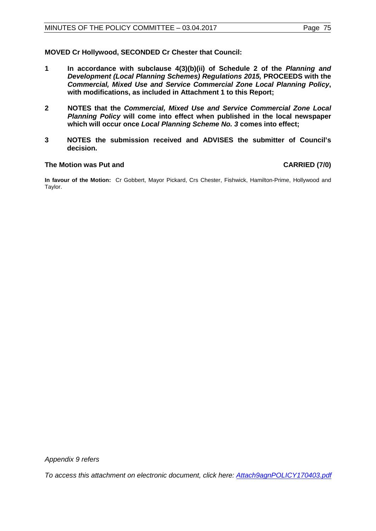**MOVED Cr Hollywood, SECONDED Cr Chester that Council:**

- **1 In accordance with subclause 4(3)(b)(ii) of Schedule 2 of the** *Planning and Development (Local Planning Schemes) Regulations 2015,* **PROCEEDS with the** *Commercial, Mixed Use and Service Commercial Zone Local Planning Policy***, with modifications, as included in Attachment 1 to this Report;**
- **2 NOTES that the** *Commercial, Mixed Use and Service Commercial Zone Local Planning Policy* **will come into effect when published in the local newspaper which will occur once** *Local Planning Scheme No. 3* **comes into effect;**
- **3 NOTES the submission received and ADVISES the submitter of Council's decision.**

### **The Motion was Put and CARRIED (7/0)**

**In favour of the Motion:** Cr Gobbert, Mayor Pickard, Crs Chester, Fishwick, Hamilton-Prime, Hollywood and Taylor.

*Appendix 9 refers*

*[To access this attachment on electronic document, click here:](http://www.joondalup.wa.gov.au/files/committees/POLI/2017/Attach9agnPOLICY170403.pdf) Attach9agnPOLICY170403.pdf*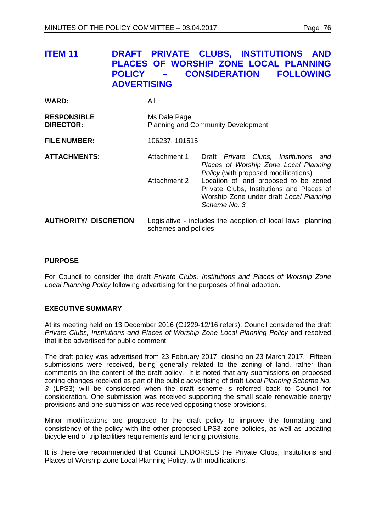# **ITEM 11 DRAFT PRIVATE CLUBS, INSTITUTIONS AND PLACES OF WORSHIP ZONE LOCAL PLANNING POLICY – CONSIDERATION FOLLOWING ADVERTISING**

| <b>WARD:</b>                           | All                                                                                  |                                                      |  |                                                                                                                                                                                                                 |
|----------------------------------------|--------------------------------------------------------------------------------------|------------------------------------------------------|--|-----------------------------------------------------------------------------------------------------------------------------------------------------------------------------------------------------------------|
| <b>RESPONSIBLE</b><br><b>DIRECTOR:</b> | Ms Dale Page<br><b>Planning and Community Development</b>                            |                                                      |  |                                                                                                                                                                                                                 |
| <b>FILE NUMBER:</b>                    | 106237, 101515                                                                       |                                                      |  |                                                                                                                                                                                                                 |
| <b>ATTACHMENTS:</b>                    | Attachment 1<br>Attachment 2                                                         | Policy (with proposed modifications)<br>Scheme No. 3 |  | Draft Private Clubs, Institutions and<br>Places of Worship Zone Local Planning<br>Location of land proposed to be zoned<br>Private Clubs, Institutions and Places of<br>Worship Zone under draft Local Planning |
| <b>AUTHORITY/ DISCRETION</b>           | Legislative - includes the adoption of local laws, planning<br>schemes and policies. |                                                      |  |                                                                                                                                                                                                                 |

# **PURPOSE**

For Council to consider the draft *Private Clubs, Institutions and Places of Worship Zone Local Planning Policy* following advertising for the purposes of final adoption.

# **EXECUTIVE SUMMARY**

At its meeting held on 13 December 2016 (CJ229-12/16 refers), Council considered the draft *Private Clubs, Institutions and Places of Worship Zone Local Planning Policy* and resolved that it be advertised for public comment.

The draft policy was advertised from 23 February 2017, closing on 23 March 2017. Fifteen submissions were received, being generally related to the zoning of land, rather than comments on the content of the draft policy. It is noted that any submissions on proposed zoning changes received as part of the public advertising of draft *Local Planning Scheme No. 3* (LPS3) will be considered when the draft scheme is referred back to Council for consideration. One submission was received supporting the small scale renewable energy provisions and one submission was received opposing those provisions.

Minor modifications are proposed to the draft policy to improve the formatting and consistency of the policy with the other proposed LPS3 zone policies, as well as updating bicycle end of trip facilities requirements and fencing provisions.

It is therefore recommended that Council ENDORSES the Private Clubs, Institutions and Places of Worship Zone Local Planning Policy, with modifications.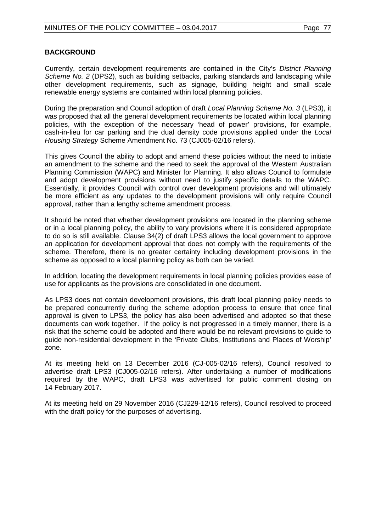# **BACKGROUND**

Currently, certain development requirements are contained in the City's *District Planning Scheme No. 2* (DPS2), such as building setbacks, parking standards and landscaping while other development requirements, such as signage, building height and small scale renewable energy systems are contained within local planning policies.

During the preparation and Council adoption of draft *Local Planning Scheme No. 3* (LPS3), it was proposed that all the general development requirements be located within local planning policies, with the exception of the necessary 'head of power' provisions, for example, cash-in-lieu for car parking and the dual density code provisions applied under the *Local Housing Strategy* Scheme Amendment No. 73 (CJ005-02/16 refers).

This gives Council the ability to adopt and amend these policies without the need to initiate an amendment to the scheme and the need to seek the approval of the Western Australian Planning Commission (WAPC) and Minister for Planning. It also allows Council to formulate and adopt development provisions without need to justify specific details to the WAPC. Essentially, it provides Council with control over development provisions and will ultimately be more efficient as any updates to the development provisions will only require Council approval, rather than a lengthy scheme amendment process.

It should be noted that whether development provisions are located in the planning scheme or in a local planning policy, the ability to vary provisions where it is considered appropriate to do so is still available. Clause 34(2) of draft LPS3 allows the local government to approve an application for development approval that does not comply with the requirements of the scheme. Therefore, there is no greater certainty including development provisions in the scheme as opposed to a local planning policy as both can be varied.

In addition, locating the development requirements in local planning policies provides ease of use for applicants as the provisions are consolidated in one document.

As LPS3 does not contain development provisions, this draft local planning policy needs to be prepared concurrently during the scheme adoption process to ensure that once final approval is given to LPS3, the policy has also been advertised and adopted so that these documents can work together. If the policy is not progressed in a timely manner, there is a risk that the scheme could be adopted and there would be no relevant provisions to guide to guide non-residential development in the 'Private Clubs, Institutions and Places of Worship' zone.

At its meeting held on 13 December 2016 (CJ-005-02/16 refers), Council resolved to advertise draft LPS3 (CJ005-02/16 refers). After undertaking a number of modifications required by the WAPC, draft LPS3 was advertised for public comment closing on 14 February 2017.

At its meeting held on 29 November 2016 (CJ229-12/16 refers), Council resolved to proceed with the draft policy for the purposes of advertising.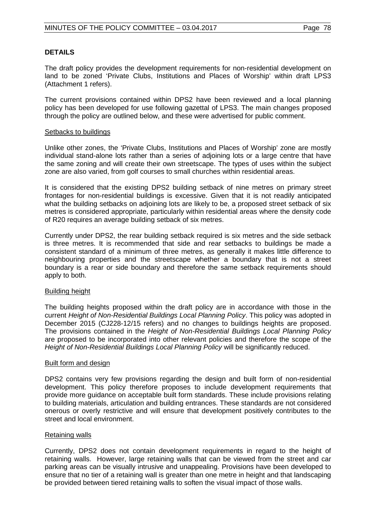# **DETAILS**

The draft policy provides the development requirements for non-residential development on land to be zoned 'Private Clubs, Institutions and Places of Worship' within draft LPS3 (Attachment 1 refers).

The current provisions contained within DPS2 have been reviewed and a local planning policy has been developed for use following gazettal of LPS3. The main changes proposed through the policy are outlined below, and these were advertised for public comment.

## Setbacks to buildings

Unlike other zones, the 'Private Clubs, Institutions and Places of Worship' zone are mostly individual stand-alone lots rather than a series of adjoining lots or a large centre that have the same zoning and will create their own streetscape. The types of uses within the subject zone are also varied, from golf courses to small churches within residential areas.

It is considered that the existing DPS2 building setback of nine metres on primary street frontages for non-residential buildings is excessive. Given that it is not readily anticipated what the building setbacks on adjoining lots are likely to be, a proposed street setback of six metres is considered appropriate, particularly within residential areas where the density code of R20 requires an average building setback of six metres.

Currently under DPS2, the rear building setback required is six metres and the side setback is three metres. It is recommended that side and rear setbacks to buildings be made a consistent standard of a minimum of three metres, as generally it makes little difference to neighbouring properties and the streetscape whether a boundary that is not a street boundary is a rear or side boundary and therefore the same setback requirements should apply to both.

# Building height

The building heights proposed within the draft policy are in accordance with those in the current *Height of Non-Residential Buildings Local Planning Policy*. This policy was adopted in December 2015 (CJ228-12/15 refers) and no changes to buildings heights are proposed. The provisions contained in the *Height of Non-Residential Buildings Local Planning Policy* are proposed to be incorporated into other relevant policies and therefore the scope of the *Height of Non-Residential Buildings Local Planning Policy* will be significantly reduced.

# Built form and design

DPS2 contains very few provisions regarding the design and built form of non-residential development. This policy therefore proposes to include development requirements that provide more guidance on acceptable built form standards. These include provisions relating to building materials, articulation and building entrances. These standards are not considered onerous or overly restrictive and will ensure that development positively contributes to the street and local environment.

# Retaining walls

Currently, DPS2 does not contain development requirements in regard to the height of retaining walls. However, large retaining walls that can be viewed from the street and car parking areas can be visually intrusive and unappealing. Provisions have been developed to ensure that no tier of a retaining wall is greater than one metre in height and that landscaping be provided between tiered retaining walls to soften the visual impact of those walls.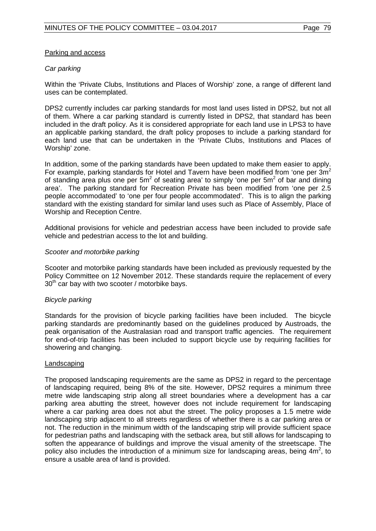# Parking and access

# *Car parking*

Within the 'Private Clubs, Institutions and Places of Worship' zone, a range of different land uses can be contemplated.

DPS2 currently includes car parking standards for most land uses listed in DPS2, but not all of them. Where a car parking standard is currently listed in DPS2, that standard has been included in the draft policy. As it is considered appropriate for each land use in LPS3 to have an applicable parking standard, the draft policy proposes to include a parking standard for each land use that can be undertaken in the 'Private Clubs, Institutions and Places of Worship' zone.

In addition, some of the parking standards have been updated to make them easier to apply. For example, parking standards for Hotel and Tavern have been modified from 'one per  $3m^2$ of standing area plus one per  $5m^2$  of seating area' to simply 'one per  $5m^2$  of bar and dining area'. The parking standard for Recreation Private has been modified from 'one per 2.5 people accommodated' to 'one per four people accommodated'. This is to align the parking standard with the existing standard for similar land uses such as Place of Assembly, Place of Worship and Reception Centre.

Additional provisions for vehicle and pedestrian access have been included to provide safe vehicle and pedestrian access to the lot and building.

### *Scooter and motorbike parking*

Scooter and motorbike parking standards have been included as previously requested by the Policy Committee on 12 November 2012. These standards require the replacement of every  $30<sup>th</sup>$  car bay with two scooter / motorbike bays.

# *Bicycle parking*

Standards for the provision of bicycle parking facilities have been included. The bicycle parking standards are predominantly based on the guidelines produced by Austroads, the peak organisation of the Australasian road and transport traffic agencies. The requirement for end-of-trip facilities has been included to support bicycle use by requiring facilities for showering and changing.

#### Landscaping

The proposed landscaping requirements are the same as DPS2 in regard to the percentage of landscaping required, being 8% of the site. However, DPS2 requires a minimum three metre wide landscaping strip along all street boundaries where a development has a car parking area abutting the street, however does not include requirement for landscaping where a car parking area does not abut the street. The policy proposes a 1.5 metre wide landscaping strip adjacent to all streets regardless of whether there is a car parking area or not. The reduction in the minimum width of the landscaping strip will provide sufficient space for pedestrian paths and landscaping with the setback area, but still allows for landscaping to soften the appearance of buildings and improve the visual amenity of the streetscape. The policy also includes the introduction of a minimum size for landscaping areas, being  $4m^2$ , to ensure a usable area of land is provided.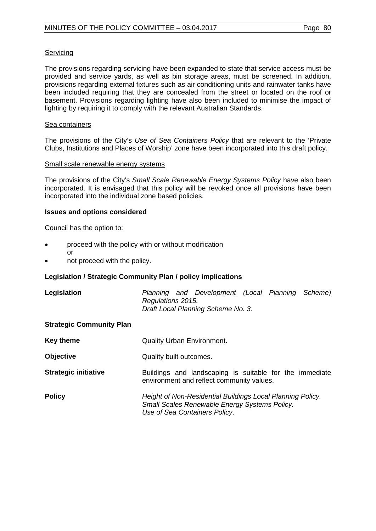# **Servicing**

The provisions regarding servicing have been expanded to state that service access must be provided and service yards, as well as bin storage areas, must be screened. In addition, provisions regarding external fixtures such as air conditioning units and rainwater tanks have been included requiring that they are concealed from the street or located on the roof or basement. Provisions regarding lighting have also been included to minimise the impact of lighting by requiring it to comply with the relevant Australian Standards.

### Sea containers

The provisions of the City's *Use of Sea Containers Policy* that are relevant to the 'Private Clubs, Institutions and Places of Worship' zone have been incorporated into this draft policy.

### Small scale renewable energy systems

The provisions of the City's *Small Scale Renewable Energy Systems Policy* have also been incorporated. It is envisaged that this policy will be revoked once all provisions have been incorporated into the individual zone based policies.

# **Issues and options considered**

Council has the option to:

- proceed with the policy with or without modification or
- not proceed with the policy.

# **Legislation / Strategic Community Plan / policy implications**

| Legislation                     | Planning and Development (Local Planning Scheme)<br>Regulations 2015.<br>Draft Local Planning Scheme No. 3.                                  |
|---------------------------------|----------------------------------------------------------------------------------------------------------------------------------------------|
| <b>Strategic Community Plan</b> |                                                                                                                                              |
| <b>Key theme</b>                | <b>Quality Urban Environment.</b>                                                                                                            |
| <b>Objective</b>                | Quality built outcomes.                                                                                                                      |
| <b>Strategic initiative</b>     | Buildings and landscaping is suitable for the immediate<br>environment and reflect community values.                                         |
| <b>Policy</b>                   | Height of Non-Residential Buildings Local Planning Policy.<br>Small Scales Renewable Energy Systems Policy.<br>Use of Sea Containers Policy. |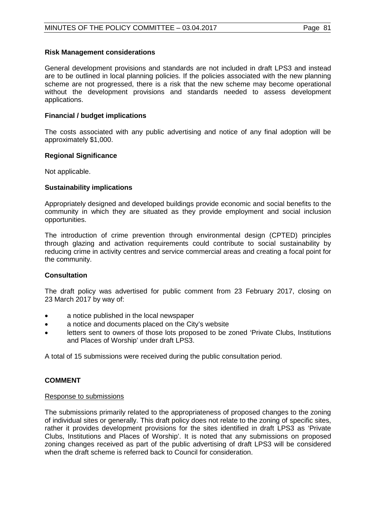# **Risk Management considerations**

General development provisions and standards are not included in draft LPS3 and instead are to be outlined in local planning policies. If the policies associated with the new planning scheme are not progressed, there is a risk that the new scheme may become operational without the development provisions and standards needed to assess development applications.

# **Financial / budget implications**

The costs associated with any public advertising and notice of any final adoption will be approximately \$1,000.

# **Regional Significance**

Not applicable.

# **Sustainability implications**

Appropriately designed and developed buildings provide economic and social benefits to the community in which they are situated as they provide employment and social inclusion opportunities.

The introduction of crime prevention through environmental design (CPTED) principles through glazing and activation requirements could contribute to social sustainability by reducing crime in activity centres and service commercial areas and creating a focal point for the community.

# **Consultation**

The draft policy was advertised for public comment from 23 February 2017, closing on 23 March 2017 by way of:

- a notice published in the local newspaper
- a notice and documents placed on the City's website
- letters sent to owners of those lots proposed to be zoned 'Private Clubs, Institutions and Places of Worship' under draft LPS3.

A total of 15 submissions were received during the public consultation period.

# **COMMENT**

# Response to submissions

The submissions primarily related to the appropriateness of proposed changes to the zoning of individual sites or generally. This draft policy does not relate to the zoning of specific sites, rather it provides development provisions for the sites identified in draft LPS3 as 'Private Clubs, Institutions and Places of Worship'. It is noted that any submissions on proposed zoning changes received as part of the public advertising of draft LPS3 will be considered when the draft scheme is referred back to Council for consideration.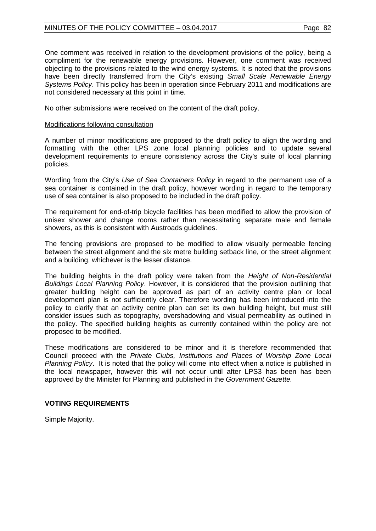# MINUTES OF THE POLICY COMMITTEE - 03.04.2017 Page 82

One comment was received in relation to the development provisions of the policy, being a compliment for the renewable energy provisions. However, one comment was received objecting to the provisions related to the wind energy systems. It is noted that the provisions have been directly transferred from the City's existing *Small Scale Renewable Energy Systems Policy*. This policy has been in operation since February 2011 and modifications are not considered necessary at this point in time.

No other submissions were received on the content of the draft policy.

# Modifications following consultation

A number of minor modifications are proposed to the draft policy to align the wording and formatting with the other LPS zone local planning policies and to update several development requirements to ensure consistency across the City's suite of local planning policies.

Wording from the City's *Use of Sea Containers Policy* in regard to the permanent use of a sea container is contained in the draft policy, however wording in regard to the temporary use of sea container is also proposed to be included in the draft policy.

The requirement for end-of-trip bicycle facilities has been modified to allow the provision of unisex shower and change rooms rather than necessitating separate male and female showers, as this is consistent with Austroads guidelines.

The fencing provisions are proposed to be modified to allow visually permeable fencing between the street alignment and the six metre building setback line, or the street alignment and a building, whichever is the lesser distance.

The building heights in the draft policy were taken from the *Height of Non-Residential Buildings Local Planning Policy*. However, it is considered that the provision outlining that greater building height can be approved as part of an activity centre plan or local development plan is not sufficiently clear. Therefore wording has been introduced into the policy to clarify that an activity centre plan can set its own building height, but must still consider issues such as topography, overshadowing and visual permeability as outlined in the policy. The specified building heights as currently contained within the policy are not proposed to be modified.

These modifications are considered to be minor and it is therefore recommended that Council proceed with the *Private Clubs, Institutions and Places of Worship Zone Local Planning Policy*. It is noted that the policy will come into effect when a notice is published in the local newspaper, however this will not occur until after LPS3 has been has been approved by the Minister for Planning and published in the *Government Gazette.*

# **VOTING REQUIREMENTS**

Simple Majority.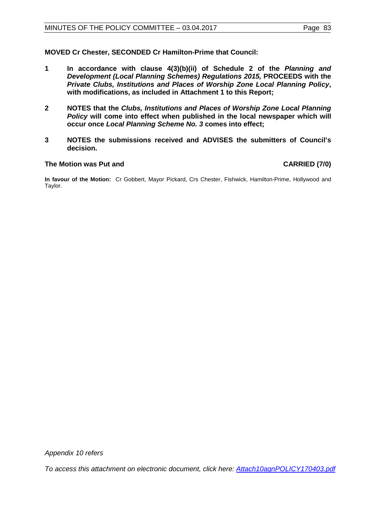**MOVED Cr Chester, SECONDED Cr Hamilton-Prime that Council:**

- **1 In accordance with clause 4(3)(b)(ii) of Schedule 2 of the** *Planning and Development (Local Planning Schemes) Regulations 2015,* **PROCEEDS with the** *Private Clubs, Institutions and Places of Worship Zone Local Planning Policy***, with modifications, as included in Attachment 1 to this Report;**
- **2 NOTES that the** *Clubs, Institutions and Places of Worship Zone Local Planning Policy* **will come into effect when published in the local newspaper which will occur once** *Local Planning Scheme No. 3* **comes into effect;**
- **3 NOTES the submissions received and ADVISES the submitters of Council's decision.**

## **The Motion was Put and CARRIED (7/0)**

**In favour of the Motion:** Cr Gobbert, Mayor Pickard, Crs Chester, Fishwick, Hamilton-Prime, Hollywood and Taylor.

*Appendix 10 refers*

*[To access this attachment on electronic document, click here:](http://www.joondalup.wa.gov.au/files/committees/POLI/2017/Attach10agnPOLICY170403.pdf) Attach10agnPOLICY170403.pdf*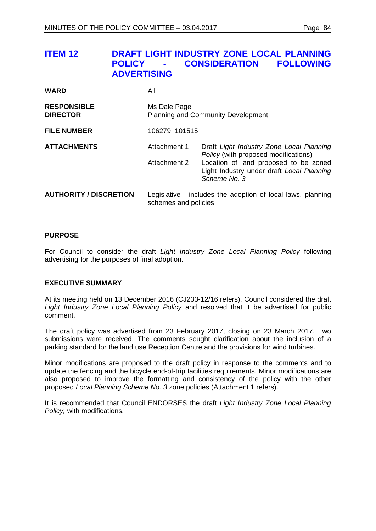| <b>ITEM 12</b> | DRAFT LIGHT INDUSTRY ZONE LOCAL PLANNING |                                         |  |  |
|----------------|------------------------------------------|-----------------------------------------|--|--|
|                |                                          | <b>POLICY - CONSIDERATION FOLLOWING</b> |  |  |
|                | <b>ADVERTISING</b>                       |                                         |  |  |
|                |                                          |                                         |  |  |

| <b>WARD</b>                           | All                                                                                  |                                                                                                                                                                                        |  |
|---------------------------------------|--------------------------------------------------------------------------------------|----------------------------------------------------------------------------------------------------------------------------------------------------------------------------------------|--|
| <b>RESPONSIBLE</b><br><b>DIRECTOR</b> | Ms Dale Page<br><b>Planning and Community Development</b>                            |                                                                                                                                                                                        |  |
| <b>FILE NUMBER</b>                    | 106279, 101515                                                                       |                                                                                                                                                                                        |  |
| <b>ATTACHMENTS</b>                    | Attachment 1<br>Attachment 2                                                         | Draft Light Industry Zone Local Planning<br>Policy (with proposed modifications)<br>Location of land proposed to be zoned<br>Light Industry under draft Local Planning<br>Scheme No. 3 |  |
| <b>AUTHORITY / DISCRETION</b>         | Legislative - includes the adoption of local laws, planning<br>schemes and policies. |                                                                                                                                                                                        |  |

#### **PURPOSE**

For Council to consider the draft *Light Industry Zone Local Planning Policy* following advertising for the purposes of final adoption.

#### **EXECUTIVE SUMMARY**

At its meeting held on 13 December 2016 (CJ233-12/16 refers), Council considered the draft *Light Industry Zone Local Planning Policy* and resolved that it be advertised for public comment.

The draft policy was advertised from 23 February 2017, closing on 23 March 2017. Two submissions were received. The comments sought clarification about the inclusion of a parking standard for the land use Reception Centre and the provisions for wind turbines.

Minor modifications are proposed to the draft policy in response to the comments and to update the fencing and the bicycle end-of-trip facilities requirements. Minor modifications are also proposed to improve the formatting and consistency of the policy with the other proposed *Local Planning Scheme No. 3* zone policies (Attachment 1 refers).

It is recommended that Council ENDORSES the draft *Light Industry Zone Local Planning Policy,* with modifications.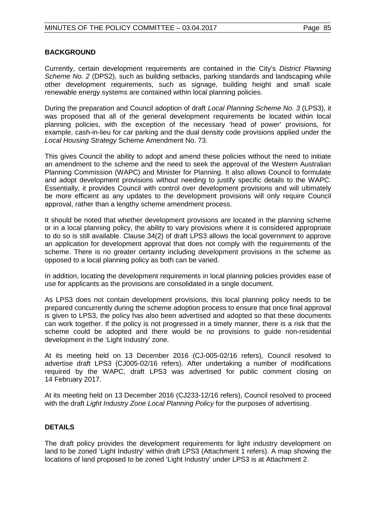# **BACKGROUND**

Currently, certain development requirements are contained in the City's *District Planning Scheme No. 2* (DPS2), such as building setbacks, parking standards and landscaping while other development requirements, such as signage, building height and small scale renewable energy systems are contained within local planning policies.

During the preparation and Council adoption of draft *Local Planning Scheme No. 3* (LPS3), it was proposed that all of the general development requirements be located within local planning policies, with the exception of the necessary 'head of power' provisions, for example, cash-in-lieu for car parking and the dual density code provisions applied under the *Local Housing Strategy* Scheme Amendment No. 73.

This gives Council the ability to adopt and amend these policies without the need to initiate an amendment to the scheme and the need to seek the approval of the Western Australian Planning Commission (WAPC) and Minister for Planning. It also allows Council to formulate and adopt development provisions without needing to justify specific details to the WAPC. Essentially, it provides Council with control over development provisions and will ultimately be more efficient as any updates to the development provisions will only require Council approval, rather than a lengthy scheme amendment process.

It should be noted that whether development provisions are located in the planning scheme or in a local planning policy, the ability to vary provisions where it is considered appropriate to do so is still available. Clause 34(2) of draft LPS3 allows the local government to approve an application for development approval that does not comply with the requirements of the scheme. There is no greater certainty including development provisions in the scheme as opposed to a local planning policy as both can be varied.

In addition, locating the development requirements in local planning policies provides ease of use for applicants as the provisions are consolidated in a single document.

As LPS3 does not contain development provisions, this local planning policy needs to be prepared concurrently during the scheme adoption process to ensure that once final approval is given to LPS3, the policy has also been advertised and adopted so that these documents can work together. If the policy is not progressed in a timely manner, there is a risk that the scheme could be adopted and there would be no provisions to guide non-residential development in the 'Light Industry' zone.

At its meeting held on 13 December 2016 (CJ-005-02/16 refers), Council resolved to advertise draft LPS3 (CJ005-02/16 refers). After undertaking a number of modifications required by the WAPC, draft LPS3 was advertised for public comment closing on 14 February 2017.

At its meeting held on 13 December 2016 (CJ233-12/16 refers), Council resolved to proceed with the draft *Light Industry Zone Local Planning Policy* for the purposes of advertising.

# **DETAILS**

The draft policy provides the development requirements for light industry development on land to be zoned 'Light Industry' within draft LPS3 (Attachment 1 refers). A map showing the locations of land proposed to be zoned 'Light Industry' under LPS3 is at Attachment 2.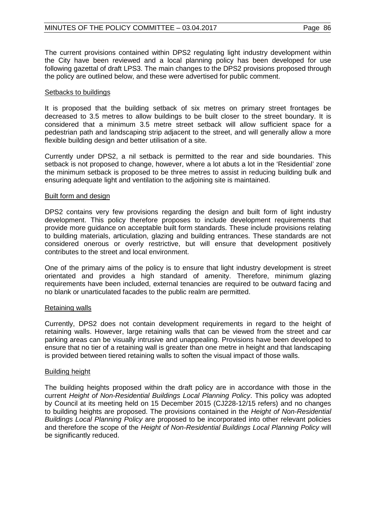The current provisions contained within DPS2 regulating light industry development within the City have been reviewed and a local planning policy has been developed for use following gazettal of draft LPS3. The main changes to the DPS2 provisions proposed through the policy are outlined below, and these were advertised for public comment.

### Setbacks to buildings

It is proposed that the building setback of six metres on primary street frontages be decreased to 3.5 metres to allow buildings to be built closer to the street boundary. It is considered that a minimum 3.5 metre street setback will allow sufficient space for a pedestrian path and landscaping strip adjacent to the street, and will generally allow a more flexible building design and better utilisation of a site.

Currently under DPS2, a nil setback is permitted to the rear and side boundaries. This setback is not proposed to change, however, where a lot abuts a lot in the 'Residential' zone the minimum setback is proposed to be three metres to assist in reducing building bulk and ensuring adequate light and ventilation to the adjoining site is maintained.

### Built form and design

DPS2 contains very few provisions regarding the design and built form of light industry development. This policy therefore proposes to include development requirements that provide more guidance on acceptable built form standards. These include provisions relating to building materials, articulation, glazing and building entrances. These standards are not considered onerous or overly restrictive, but will ensure that development positively contributes to the street and local environment.

One of the primary aims of the policy is to ensure that light industry development is street orientated and provides a high standard of amenity. Therefore, minimum glazing requirements have been included, external tenancies are required to be outward facing and no blank or unarticulated facades to the public realm are permitted.

# Retaining walls

Currently, DPS2 does not contain development requirements in regard to the height of retaining walls. However, large retaining walls that can be viewed from the street and car parking areas can be visually intrusive and unappealing. Provisions have been developed to ensure that no tier of a retaining wall is greater than one metre in height and that landscaping is provided between tiered retaining walls to soften the visual impact of those walls.

# Building height

The building heights proposed within the draft policy are in accordance with those in the current *Height of Non-Residential Buildings Local Planning Policy*. This policy was adopted by Council at its meeting held on 15 December 2015 (CJ228-12/15 refers) and no changes to building heights are proposed. The provisions contained in the *Height of Non-Residential Buildings Local Planning Policy* are proposed to be incorporated into other relevant policies and therefore the scope of the *Height of Non-Residential Buildings Local Planning Policy* will be significantly reduced.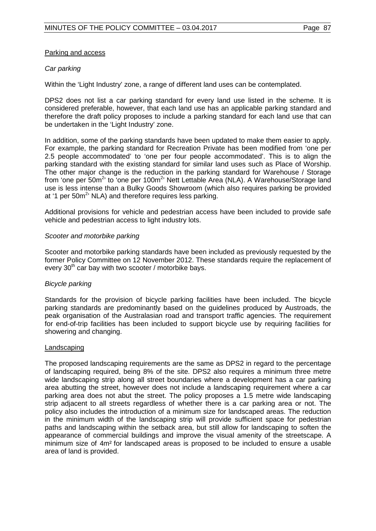# Parking and access

# *Car parking*

Within the 'Light Industry' zone, a range of different land uses can be contemplated.

DPS2 does not list a car parking standard for every land use listed in the scheme. It is considered preferable, however, that each land use has an applicable parking standard and therefore the draft policy proposes to include a parking standard for each land use that can be undertaken in the 'Light Industry' zone.

In addition, some of the parking standards have been updated to make them easier to apply. For example, the parking standard for Recreation Private has been modified from 'one per 2.5 people accommodated' to 'one per four people accommodated'. This is to align the parking standard with the existing standard for similar land uses such as Place of Worship. The other major change is the reduction in the parking standard for Warehouse / Storage from 'one per 50m<sup>2</sup>' to 'one per 100m<sup>2</sup>' Nett Lettable Area (NLA). A Warehouse/Storage land use is less intense than a Bulky Goods Showroom (which also requires parking be provided at '1 per 50m<sup>2</sup>' NLA) and therefore requires less parking.

Additional provisions for vehicle and pedestrian access have been included to provide safe vehicle and pedestrian access to light industry lots.

### *Scooter and motorbike parking*

Scooter and motorbike parking standards have been included as previously requested by the former Policy Committee on 12 November 2012. These standards require the replacement of every  $30<sup>th</sup>$  car bay with two scooter / motorbike bays.

# *Bicycle parking*

Standards for the provision of bicycle parking facilities have been included. The bicycle parking standards are predominantly based on the guidelines produced by Austroads, the peak organisation of the Australasian road and transport traffic agencies. The requirement for end-of-trip facilities has been included to support bicycle use by requiring facilities for showering and changing.

#### Landscaping

The proposed landscaping requirements are the same as DPS2 in regard to the percentage of landscaping required, being 8% of the site. DPS2 also requires a minimum three metre wide landscaping strip along all street boundaries where a development has a car parking area abutting the street, however does not include a landscaping requirement where a car parking area does not abut the street. The policy proposes a 1.5 metre wide landscaping strip adjacent to all streets regardless of whether there is a car parking area or not. The policy also includes the introduction of a minimum size for landscaped areas. The reduction in the minimum width of the landscaping strip will provide sufficient space for pedestrian paths and landscaping within the setback area, but still allow for landscaping to soften the appearance of commercial buildings and improve the visual amenity of the streetscape. A minimum size of 4m² for landscaped areas is proposed to be included to ensure a usable area of land is provided.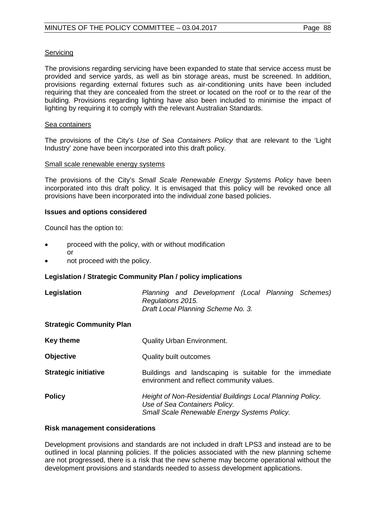## **Servicing**

The provisions regarding servicing have been expanded to state that service access must be provided and service yards, as well as bin storage areas, must be screened. In addition, provisions regarding external fixtures such as air-conditioning units have been included requiring that they are concealed from the street or located on the roof or to the rear of the building. Provisions regarding lighting have also been included to minimise the impact of lighting by requiring it to comply with the relevant Australian Standards.

#### Sea containers

The provisions of the City's *Use of Sea Containers Policy* that are relevant to the 'Light Industry' zone have been incorporated into this draft policy.

### Small scale renewable energy systems

The provisions of the City's *Small Scale Renewable Energy Systems Policy* have been incorporated into this draft policy. It is envisaged that this policy will be revoked once all provisions have been incorporated into the individual zone based policies.

### **Issues and options considered**

Council has the option to:

- proceed with the policy, with or without modification or
- not proceed with the policy.

# **Legislation / Strategic Community Plan / policy implications**

| Legislation                     | Planning and Development (Local Planning Schemes)<br>Regulations 2015.<br>Draft Local Planning Scheme No. 3.                                |
|---------------------------------|---------------------------------------------------------------------------------------------------------------------------------------------|
| <b>Strategic Community Plan</b> |                                                                                                                                             |
| Key theme                       | <b>Quality Urban Environment.</b>                                                                                                           |
| <b>Objective</b>                | <b>Quality built outcomes</b>                                                                                                               |
| <b>Strategic initiative</b>     | Buildings and landscaping is suitable for the immediate<br>environment and reflect community values.                                        |
| <b>Policy</b>                   | Height of Non-Residential Buildings Local Planning Policy.<br>Use of Sea Containers Policy.<br>Small Scale Renewable Energy Systems Policy. |

#### **Risk management considerations**

Development provisions and standards are not included in draft LPS3 and instead are to be outlined in local planning policies. If the policies associated with the new planning scheme are not progressed, there is a risk that the new scheme may become operational without the development provisions and standards needed to assess development applications.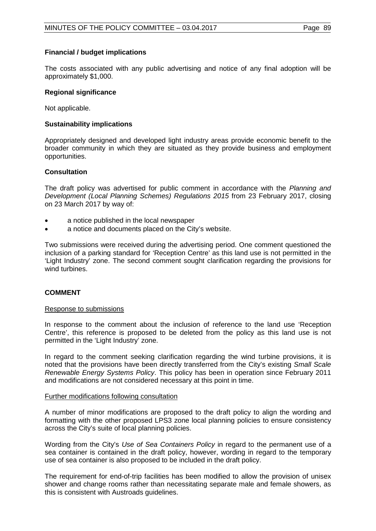# **Financial / budget implications**

The costs associated with any public advertising and notice of any final adoption will be approximately \$1,000.

# **Regional significance**

Not applicable.

## **Sustainability implications**

Appropriately designed and developed light industry areas provide economic benefit to the broader community in which they are situated as they provide business and employment opportunities.

### **Consultation**

The draft policy was advertised for public comment in accordance with the *Planning and Development (Local Planning Schemes) Regulations 2015* from 23 February 2017, closing on 23 March 2017 by way of:

- a notice published in the local newspaper
- a notice and documents placed on the City's website.

Two submissions were received during the advertising period. One comment questioned the inclusion of a parking standard for 'Reception Centre' as this land use is not permitted in the 'Light Industry' zone. The second comment sought clarification regarding the provisions for wind turbines.

# **COMMENT**

#### Response to submissions

In response to the comment about the inclusion of reference to the land use 'Reception Centre', this reference is proposed to be deleted from the policy as this land use is not permitted in the 'Light Industry' zone.

In regard to the comment seeking clarification regarding the wind turbine provisions, it is noted that the provisions have been directly transferred from the City's existing *Small Scale Renewable Energy Systems Policy*. This policy has been in operation since February 2011 and modifications are not considered necessary at this point in time.

#### Further modifications following consultation

A number of minor modifications are proposed to the draft policy to align the wording and formatting with the other proposed LPS3 zone local planning policies to ensure consistency across the City's suite of local planning policies.

Wording from the City's *Use of Sea Containers Policy* in regard to the permanent use of a sea container is contained in the draft policy, however, wording in regard to the temporary use of sea container is also proposed to be included in the draft policy.

The requirement for end-of-trip facilities has been modified to allow the provision of unisex shower and change rooms rather than necessitating separate male and female showers, as this is consistent with Austroads guidelines.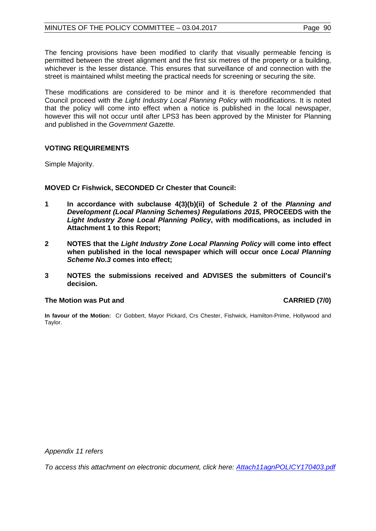The fencing provisions have been modified to clarify that visually permeable fencing is permitted between the street alignment and the first six metres of the property or a building, whichever is the lesser distance. This ensures that surveillance of and connection with the street is maintained whilst meeting the practical needs for screening or securing the site.

These modifications are considered to be minor and it is therefore recommended that Council proceed with the *Light Industry Local Planning Policy* with modifications. It is noted that the policy will come into effect when a notice is published in the local newspaper, however this will not occur until after LPS3 has been approved by the Minister for Planning and published in the *Government Gazette.*

# **VOTING REQUIREMENTS**

Simple Majority.

# **MOVED Cr Fishwick, SECONDED Cr Chester that Council:**

- **1 In accordance with subclause 4(3)(b)(ii) of Schedule 2 of the** *Planning and Development (Local Planning Schemes) Regulations 2015, PROCEEDS with the Light Industry Zone Local Planning Policy***, with modifications, as included in Attachment 1 to this Report;**
- **2 NOTES that the** *Light Industry Zone Local Planning Policy* **will come into effect when published in the local newspaper which will occur once** *Local Planning Scheme No.3* **comes into effect;**
- **3 NOTES the submissions received and ADVISES the submitters of Council's decision.**

#### **The Motion was Put and CARRIED (7/0)**

**In favour of the Motion:** Cr Gobbert, Mayor Pickard, Crs Chester, Fishwick, Hamilton-Prime, Hollywood and Taylor.

*Appendix 11 refers*

*[To access this attachment on electronic document, click here:](http://www.joondalup.wa.gov.au/files/committees/POLI/2017/Attach11agnPOLICY170403.pdf) Attach11agnPOLICY170403.pdf*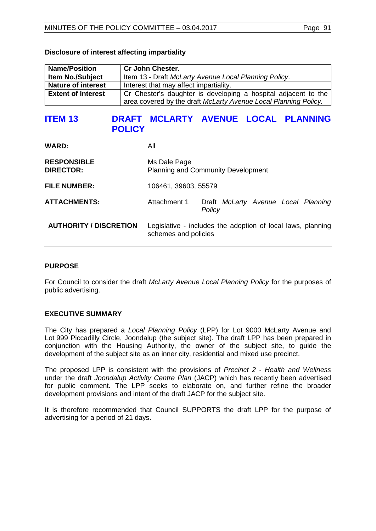| <b>Name/Position</b>      | <b>Cr John Chester.</b>                                         |
|---------------------------|-----------------------------------------------------------------|
| <b>Item No./Subject</b>   | Item 13 - Draft McLarty Avenue Local Planning Policy.           |
| <b>Nature of interest</b> | Interest that may affect impartiality.                          |
| <b>Extent of Interest</b> | Cr Chester's daughter is developing a hospital adjacent to the  |
|                           | area covered by the draft McLarty Avenue Local Planning Policy. |

### **Disclosure of interest affecting impartiality**

# **ITEM 13 DRAFT MCLARTY AVENUE LOCAL PLANNING POLICY**

| <b>WARD:</b>                           | All                                                                                 |                                               |  |  |
|----------------------------------------|-------------------------------------------------------------------------------------|-----------------------------------------------|--|--|
| <b>RESPONSIBLE</b><br><b>DIRECTOR:</b> | Ms Dale Page<br><b>Planning and Community Development</b>                           |                                               |  |  |
| <b>FILE NUMBER:</b>                    | 106461, 39603, 55579                                                                |                                               |  |  |
| <b>ATTACHMENTS:</b>                    | Attachment 1                                                                        | Draft McLarty Avenue Local Planning<br>Policy |  |  |
| <b>AUTHORITY / DISCRETION</b>          | Legislative - includes the adoption of local laws, planning<br>schemes and policies |                                               |  |  |

# **PURPOSE**

For Council to consider the draft *McLarty Avenue Local Planning Policy* for the purposes of public advertising.

# **EXECUTIVE SUMMARY**

The City has prepared a *Local Planning Policy* (LPP) for Lot 9000 McLarty Avenue and Lot 999 Piccadilly Circle, Joondalup (the subject site). The draft LPP has been prepared in conjunction with the Housing Authority, the owner of the subject site, to guide the development of the subject site as an inner city, residential and mixed use precinct.

The proposed LPP is consistent with the provisions of *Precinct 2 - Health and Wellness* under the draft *Joondalup Activity Centre Plan* (JACP) which has recently been advertised for public comment. The LPP seeks to elaborate on, and further refine the broader development provisions and intent of the draft JACP for the subject site.

It is therefore recommended that Council SUPPORTS the draft LPP for the purpose of advertising for a period of 21 days.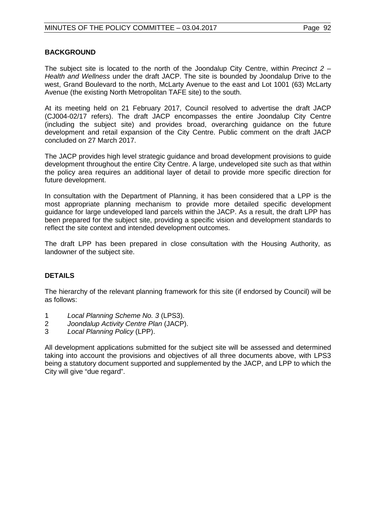# **BACKGROUND**

The subject site is located to the north of the Joondalup City Centre, within *Precinct 2 – Health and Wellness* under the draft JACP. The site is bounded by Joondalup Drive to the west, Grand Boulevard to the north, McLarty Avenue to the east and Lot 1001 (63) McLarty Avenue (the existing North Metropolitan TAFE site) to the south.

At its meeting held on 21 February 2017, Council resolved to advertise the draft JACP (CJ004-02/17 refers). The draft JACP encompasses the entire Joondalup City Centre (including the subject site) and provides broad, overarching guidance on the future development and retail expansion of the City Centre. Public comment on the draft JACP concluded on 27 March 2017.

The JACP provides high level strategic guidance and broad development provisions to guide development throughout the entire City Centre. A large, undeveloped site such as that within the policy area requires an additional layer of detail to provide more specific direction for future development.

In consultation with the Department of Planning, it has been considered that a LPP is the most appropriate planning mechanism to provide more detailed specific development guidance for large undeveloped land parcels within the JACP. As a result, the draft LPP has been prepared for the subject site, providing a specific vision and development standards to reflect the site context and intended development outcomes.

The draft LPP has been prepared in close consultation with the Housing Authority, as landowner of the subject site.

# **DETAILS**

The hierarchy of the relevant planning framework for this site (if endorsed by Council) will be as follows:

- 1 *Local Planning Scheme No. 3* (LPS3).
- 2 *Joondalup Activity Centre Plan* (JACP).
- 3 *Local Planning Policy* (LPP).

All development applications submitted for the subject site will be assessed and determined taking into account the provisions and objectives of all three documents above, with LPS3 being a statutory document supported and supplemented by the JACP, and LPP to which the City will give "due regard".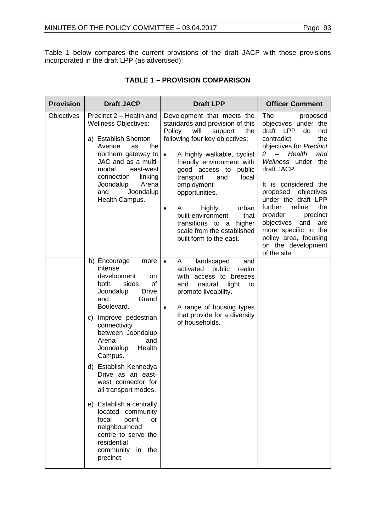Table 1 below compares the current provisions of the draft JACP with those provisions incorporated in the draft LPP (as advertised):

| <b>Provision</b>  | <b>Draft JACP</b>                                                                                                                                                                                                                                                                                                                                                                                                                                                                                                   | <b>Draft LPP</b>                                                                                                                                                                                                                                                                                                                                                                                                                                              | <b>Officer Comment</b>                                                                                                                                                                                                                                                                                                                                                                                                                                         |
|-------------------|---------------------------------------------------------------------------------------------------------------------------------------------------------------------------------------------------------------------------------------------------------------------------------------------------------------------------------------------------------------------------------------------------------------------------------------------------------------------------------------------------------------------|---------------------------------------------------------------------------------------------------------------------------------------------------------------------------------------------------------------------------------------------------------------------------------------------------------------------------------------------------------------------------------------------------------------------------------------------------------------|----------------------------------------------------------------------------------------------------------------------------------------------------------------------------------------------------------------------------------------------------------------------------------------------------------------------------------------------------------------------------------------------------------------------------------------------------------------|
| <b>Objectives</b> | Precinct 2 - Health and<br><b>Wellness Objectives:</b><br>a) Establish Shenton<br>Avenue<br>the<br>as<br>northern gateway to<br>JAC and as a multi-<br>modal<br>east-west<br>connection<br>linking<br>Joondalup<br>Arena<br>Joondalup<br>and<br>Health Campus.                                                                                                                                                                                                                                                      | Development that meets the<br>standards and provision of this<br>Policy<br>will<br>the<br>support<br>following four key objectives:<br>A highly walkable, cyclist<br>$\bullet$<br>friendly environment with<br>good access to<br>public<br>local<br>transport<br>and<br>employment<br>opportunities.<br>highly<br>urban<br>A<br>$\bullet$<br>built-environment<br>that<br>transitions to a<br>higher<br>scale from the established<br>built form to the east. | <b>The</b><br>proposed<br>objectives under the<br>draft LPP<br>do<br>not<br>contradict<br>the<br>objectives for Precinct<br>Health<br>$\overline{\phantom{0}}$<br>2<br>and<br>Wellness under the<br>draft JACP.<br>It is considered the<br>proposed<br>objectives<br>under the draft LPP<br>further<br>refine<br>the<br>broader<br>precinct<br>objectives<br>and<br>are<br>more specific to the<br>policy area, focusing<br>on the development<br>of the site. |
|                   | b) Encourage<br>more<br>intense<br>development<br>on<br>both<br>sides<br>of<br><b>Drive</b><br>Joondalup<br>Grand<br>and<br>Boulevard.<br>c) Improve pedestrian<br>connectivity<br>between Joondalup<br>Arena<br>and<br>Health<br>Joondalup<br>Campus.<br>d) Establish Kennedya<br>Drive as an east-<br>west connector for<br>all transport modes.<br>e) Establish a centrally<br>located community<br>focal<br>point<br>or<br>neighbourhood<br>centre to serve the<br>residential<br>community in the<br>precinct. | landscaped<br>and<br>$\bullet$<br>A<br>activated<br>public<br>realm<br>with access to breezes<br>natural<br>and<br>light<br>to<br>promote liveability.<br>A range of housing types<br>$\bullet$<br>that provide for a diversity<br>of households.                                                                                                                                                                                                             |                                                                                                                                                                                                                                                                                                                                                                                                                                                                |

# **TABLE 1 – PROVISION COMPARISON**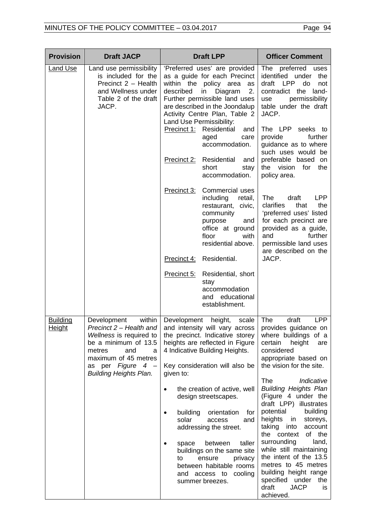| <b>Provision</b>          | <b>Draft JACP</b>                                                                                                                                                                                         | <b>Draft LPP</b>                                                                                                                                                                                                                                                  | <b>Officer Comment</b>                                                                                                                                                                                                                                                            |
|---------------------------|-----------------------------------------------------------------------------------------------------------------------------------------------------------------------------------------------------------|-------------------------------------------------------------------------------------------------------------------------------------------------------------------------------------------------------------------------------------------------------------------|-----------------------------------------------------------------------------------------------------------------------------------------------------------------------------------------------------------------------------------------------------------------------------------|
| <b>Land Use</b>           | Land use permissibility<br>is included for the<br>Precinct 2 - Health<br>and Wellness under<br>Table 2 of the draft<br>JACP.                                                                              | 'Preferred uses' are provided<br>as a guide for each Precinct<br>within the policy area<br>as<br>2.<br>described<br>Diagram<br>in<br>Further permissible land uses<br>are described in the Joondalup<br>Activity Centre Plan, Table 2<br>Land Use Permissibility: | The<br>preferred<br>uses<br>identified under<br>the<br><b>LPP</b><br>do<br>draft<br>not<br>contradict the land-<br>permissibility<br>use<br>table under the draft<br>JACP.                                                                                                        |
|                           |                                                                                                                                                                                                           | Precinct 1: Residential<br>and<br>aged<br>care<br>accommodation.                                                                                                                                                                                                  | The LPP<br>seeks to<br>provide<br>further<br>guidance as to where<br>such uses would be                                                                                                                                                                                           |
|                           |                                                                                                                                                                                                           | <b>Precinct 2:</b> Residential<br>and<br>short<br>stay<br>accommodation.                                                                                                                                                                                          | preferable based on<br>the vision for<br>the<br>policy area.                                                                                                                                                                                                                      |
|                           |                                                                                                                                                                                                           | Precinct 3:<br><b>Commercial uses</b><br>including<br>retail,<br>restaurant,<br>civic,<br>community<br>purpose<br>and<br>office at ground<br>floor<br>with<br>residential above.                                                                                  | <b>The</b><br><b>LPP</b><br>draft<br>clarifies<br>that<br>the<br>'preferred uses' listed<br>for each precinct are<br>provided as a guide,<br>and<br>further<br>permissible land uses<br>are described on the                                                                      |
|                           |                                                                                                                                                                                                           | Residential.<br>Precinct 4:                                                                                                                                                                                                                                       | JACP.                                                                                                                                                                                                                                                                             |
|                           |                                                                                                                                                                                                           | Precinct 5:<br>Residential, short<br>stay<br>accommodation<br>and educational<br>establishment.                                                                                                                                                                   |                                                                                                                                                                                                                                                                                   |
| <b>Building</b><br>Height | within<br>Development<br>Precinct $2$ – Health and<br>Wellness is required to<br>be a minimum of 13.5<br>metres<br>and<br>a<br>maximum of 45 metres<br>as per Figure 4 -<br><b>Building Heights Plan.</b> | Development height,<br>scale<br>and intensity will vary across<br>the precinct. Indicative storey<br>heights are reflected in Figure<br>4 Indicative Building Heights.<br>Key consideration will also be<br>given to:                                             | The<br>draft<br><b>LPP</b><br>provides guidance on<br>where buildings of a<br>certain<br>height<br>are<br>considered<br>appropriate based on<br>the vision for the site.                                                                                                          |
|                           |                                                                                                                                                                                                           | the creation of active, well<br>design streetscapes.<br>building<br>orientation<br>for                                                                                                                                                                            | <b>The</b><br>Indicative<br><b>Building Heights Plan</b><br>(Figure 4 under the<br>draft LPP) illustrates<br>potential<br>building                                                                                                                                                |
|                           |                                                                                                                                                                                                           | solar<br>and<br>access<br>addressing the street.<br>taller<br>between<br>space<br>buildings on the same site<br>ensure<br>privacy<br>to<br>between habitable rooms<br>and access to cooling<br>summer breezes.                                                    | heights<br>in<br>storeys,<br>taking<br>into<br>account<br>the context<br>of the<br>surrounding<br>land,<br>while still maintaining<br>the intent of the 13.5<br>metres to 45 metres<br>building height range<br>specified under<br>the<br>draft<br><b>JACP</b><br>is<br>achieved. |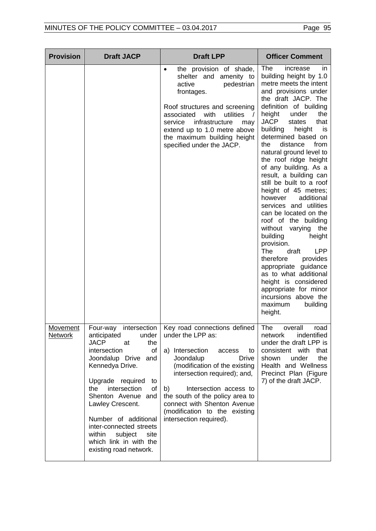| <b>Provision</b>                  | <b>Draft JACP</b>                                                                                                                                                                                                                                                                                                                                                                    | <b>Draft LPP</b>                                                                                                                                                                                                                                                                                                                                 | <b>Officer Comment</b>                                                                                                                                                                                                                                                                                                                                                                                                                                                                                                                                                                                                                                                                                                                                                                                                                      |
|-----------------------------------|--------------------------------------------------------------------------------------------------------------------------------------------------------------------------------------------------------------------------------------------------------------------------------------------------------------------------------------------------------------------------------------|--------------------------------------------------------------------------------------------------------------------------------------------------------------------------------------------------------------------------------------------------------------------------------------------------------------------------------------------------|---------------------------------------------------------------------------------------------------------------------------------------------------------------------------------------------------------------------------------------------------------------------------------------------------------------------------------------------------------------------------------------------------------------------------------------------------------------------------------------------------------------------------------------------------------------------------------------------------------------------------------------------------------------------------------------------------------------------------------------------------------------------------------------------------------------------------------------------|
|                                   |                                                                                                                                                                                                                                                                                                                                                                                      | the provision of shade,<br>$\bullet$<br>shelter and amenity to<br>pedestrian<br>active<br>frontages.<br>Roof structures and screening<br>with<br>utilities<br>associated<br>$\sqrt{ }$<br>infrastructure<br>service<br>may<br>extend up to 1.0 metre above<br>the maximum building height<br>specified under the JACP.                           | The<br>increase<br>ın<br>building height by 1.0<br>metre meets the intent<br>and provisions under<br>the draft JACP. The<br>definition of building<br>height<br>under<br>the<br>JACP<br>that<br>states<br>building<br>height<br>is<br>determined based on<br>the<br>distance<br>from<br>natural ground level to<br>the roof ridge height<br>of any building. As a<br>result, a building can<br>still be built to a roof<br>height of 45 metres;<br>additional<br>however<br>services and utilities<br>can be located on the<br>roof of the building<br>without<br>varying the<br>building<br>height<br>provision.<br><b>LPP</b><br><b>The</b><br>draft<br>therefore<br>provides<br>appropriate guidance<br>as to what additional<br>height is considered<br>appropriate for minor<br>incursions above the<br>maximum<br>building<br>height. |
| <b>Movement</b><br><b>Network</b> | Four-way<br>intersection<br>anticipated<br>under<br><b>JACP</b><br>the<br>at<br>intersection<br>οf<br>Joondalup Drive<br>and<br>Kennedya Drive.<br>Upgrade required<br>to<br>the<br>intersection<br>of<br>Shenton Avenue and<br>Lawley Crescent.<br>Number of additional<br>inter-connected streets<br>within<br>subject<br>site<br>which link in with the<br>existing road network. | Key road connections defined<br>under the LPP as:<br>a) Intersection<br>access<br>to<br>Joondalup<br><b>Drive</b><br>(modification of the existing<br>intersection required); and,<br>b)<br>Intersection access to<br>the south of the policy area to<br>connect with Shenton Avenue<br>(modification to the existing<br>intersection required). | The<br>overall<br>road<br>network<br>indentified<br>under the draft LPP is<br>consistent with<br>that<br>under<br>the<br>shown<br>Health and Wellness<br>Precinct Plan (Figure<br>7) of the draft JACP.                                                                                                                                                                                                                                                                                                                                                                                                                                                                                                                                                                                                                                     |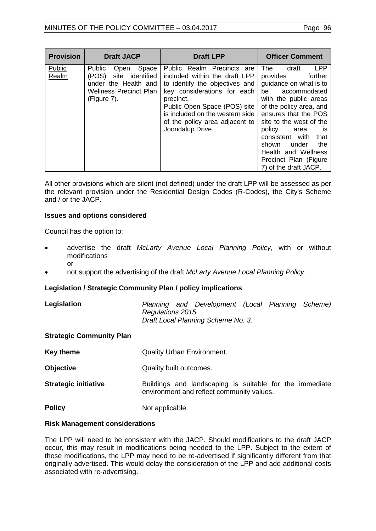| <b>Provision</b> | <b>Draft JACP</b>                                                                                                                  | <b>Draft LPP</b>                                                                                                                                                                                                                                                   | <b>Officer Comment</b>                                                                                                                                                                                                                                                                                                                                                   |
|------------------|------------------------------------------------------------------------------------------------------------------------------------|--------------------------------------------------------------------------------------------------------------------------------------------------------------------------------------------------------------------------------------------------------------------|--------------------------------------------------------------------------------------------------------------------------------------------------------------------------------------------------------------------------------------------------------------------------------------------------------------------------------------------------------------------------|
| Public<br>Realm  | Space<br><b>Public</b><br>Open<br>site identified<br>(POS)<br>under the Health and<br><b>Wellness Precinct Plan</b><br>(Figure 7). | Public Realm Precincts are<br>included within the draft LPP<br>to identify the objectives and<br>key considerations for each<br>precinct.<br>Public Open Space (POS) site<br>is included on the western side<br>of the policy area adjacent to<br>Joondalup Drive. | <b>LPP</b><br><b>The</b><br>draft<br>further<br>provides<br>guidance on what is to<br>be accommodated<br>with the public areas<br>of the policy area, and<br>ensures that the POS<br>site to the west of the<br>policy<br>area<br><b>is</b><br>that<br>consistent with<br>the<br>under<br>shown<br>Health and Wellness<br>Precinct Plan (Figure<br>7) of the draft JACP. |

All other provisions which are silent (not defined) under the draft LPP will be assessed as per the relevant provision under the Residential Design Codes (R-Codes), the City's Scheme and / or the JACP.

### **Issues and options considered**

Council has the option to:

- advertise the draft *McLarty Avenue Local Planning Policy*, with or without modifications or
- not support the advertising of the draft *McLarty Avenue Local Planning Policy*.

# **Legislation / Strategic Community Plan / policy implications**

**Legislation** *Planning and Development (Local Planning Scheme) Regulations 2015. Draft Local Planning Scheme No. 3.*

#### **Strategic Community Plan**

| Key theme                   | <b>Quality Urban Environment.</b>                                                                    |
|-----------------------------|------------------------------------------------------------------------------------------------------|
| <b>Objective</b>            | Quality built outcomes.                                                                              |
| <b>Strategic initiative</b> | Buildings and landscaping is suitable for the immediate<br>environment and reflect community values. |
| <b>Policy</b>               | Not applicable.                                                                                      |

# **Risk Management considerations**

The LPP will need to be consistent with the JACP. Should modifications to the draft JACP occur, this may result in modifications being needed to the LPP. Subject to the extent of these modifications, the LPP may need to be re-advertised if significantly different from that originally advertised. This would delay the consideration of the LPP and add additional costs associated with re-advertising.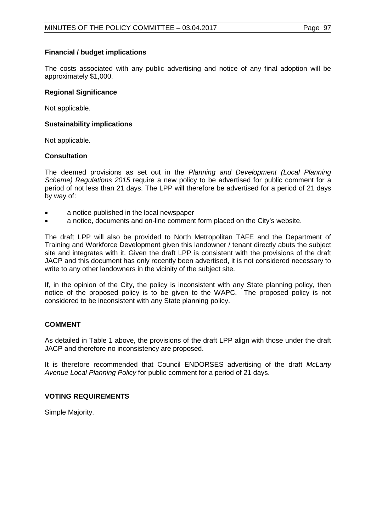# **Financial / budget implications**

The costs associated with any public advertising and notice of any final adoption will be approximately \$1,000.

# **Regional Significance**

Not applicable.

# **Sustainability implications**

Not applicable.

# **Consultation**

The deemed provisions as set out in the *Planning and Development (Local Planning Scheme) Regulations 2015* require a new policy to be advertised for public comment for a period of not less than 21 days. The LPP will therefore be advertised for a period of 21 days by way of:

- a notice published in the local newspaper
- a notice, documents and on-line comment form placed on the City's website.

The draft LPP will also be provided to North Metropolitan TAFE and the Department of Training and Workforce Development given this landowner / tenant directly abuts the subject site and integrates with it. Given the draft LPP is consistent with the provisions of the draft JACP and this document has only recently been advertised, it is not considered necessary to write to any other landowners in the vicinity of the subject site.

If, in the opinion of the City, the policy is inconsistent with any State planning policy, then notice of the proposed policy is to be given to the WAPC. The proposed policy is not considered to be inconsistent with any State planning policy.

# **COMMENT**

As detailed in Table 1 above, the provisions of the draft LPP align with those under the draft JACP and therefore no inconsistency are proposed.

It is therefore recommended that Council ENDORSES advertising of the draft *McLarty Avenue Local Planning Policy* for public comment for a period of 21 days.

# **VOTING REQUIREMENTS**

Simple Majority.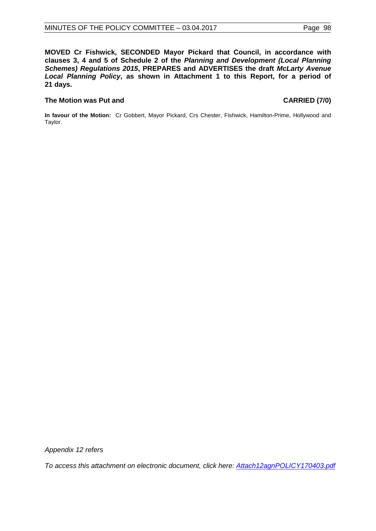**MOVED Cr Fishwick, SECONDED Mayor Pickard that Council, in accordance with clauses 3, 4 and 5 of Schedule 2 of the** *Planning and Development (Local Planning Schemes) Regulations 2015***, PREPARES and ADVERTISES the draft** *McLarty Avenue Local Planning Policy***, as shown in Attachment 1 to this Report, for a period of 21 days.**

# **The Motion was Put and CARRIED (7/0)**

**In favour of the Motion:** Cr Gobbert, Mayor Pickard, Crs Chester, Fishwick, Hamilton-Prime, Hollywood and Taylor.

*Appendix 12 refers*

*[To access this attachment on electronic document, click here:](http://www.joondalup.wa.gov.au/files/committees/POLI/2017/Attach12agnPOLICY170403.pdf) Attach12agnPOLICY170403.pdf*